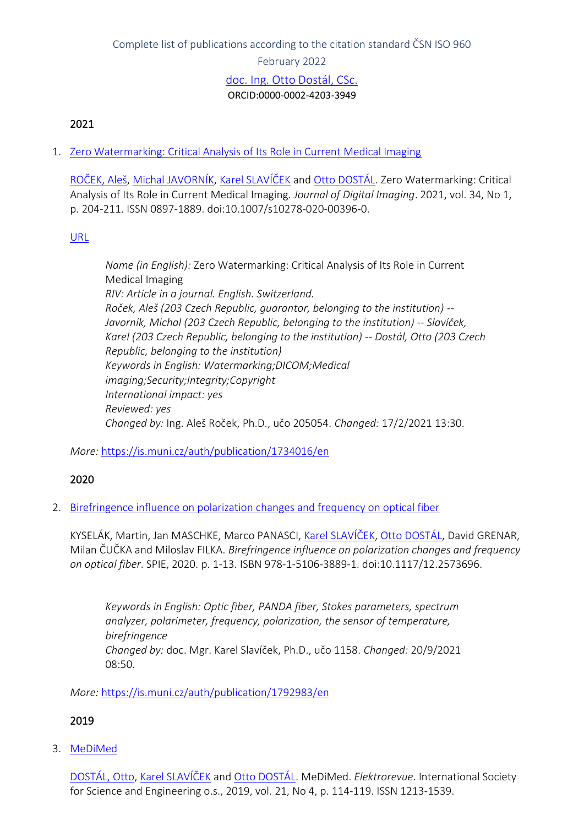#### 2021

1. [Zero Watermarking: Critical Analysis of Its Role in Current Medical Imaging](https://is.muni.cz/auth/publication/1734016/en?lang=en)

[ROČEK, Aleš](https://is.muni.cz/auth/person/205054?lang=en), [Michal JAVORNÍK](https://is.muni.cz/auth/person/1111?lang=en), [Karel SLAVÍČEK](https://is.muni.cz/auth/person/1158?lang=en) and [Otto DOSTÁL](https://is.muni.cz/auth/person/2535?lang=en). Zero Watermarking: Critical Analysis of Its Role in Current Medical Imaging. *Journal of Digital Imaging*. 2021, vol. 34, No 1, p. 204-211. ISSN 0897-1889. doi:10.1007/s10278-020-00396-0.

#### [URL](https://link.springer.com/article/10.1007/s10278-020-00396-0)

*Name (in English):* Zero Watermarking: Critical Analysis of Its Role in Current Medical Imaging *RIV: Article in a journal. English. Switzerland. Roček, Aleš (203 Czech Republic, guarantor, belonging to the institution) -- Javorník, Michal (203 Czech Republic, belonging to the institution) -- Slavíček, Karel (203 Czech Republic, belonging to the institution) -- Dostál, Otto (203 Czech Republic, belonging to the institution) Keywords in English: Watermarking;DICOM;Medical imaging;Security;Integrity;Copyright International impact: yes Reviewed: yes Changed by:* Ing. Aleš Roček, Ph.D., učo 205054. *Changed:* 17/2/2021 13:30.

*More:* [https://is.muni.cz/auth/publication/1734016/en](https://is.muni.cz/auth/publication/1734016/en/Zero-Watermarking-Critical-Analysis-of-Its-Role-in-Current-Medical-Imaging/Rocek-Javornik-Slavicek-Dostal?lang=en)

#### 2020

2. [Birefringence influence on polarization changes and frequency on optical fiber](https://is.muni.cz/auth/publication/1792983/en?lang=en)

KYSELÁK, Martin, Jan MASCHKE, Marco PANASCI, [Karel SLAVÍČEK](https://is.muni.cz/auth/person/1158?lang=en), [Otto DOSTÁL](https://is.muni.cz/auth/person/2535?lang=en), David GRENAR, Milan ČUČKA and Miloslav FILKA. *Birefringence influence on polarization changes and frequency on optical fiber*. SPIE, 2020. p. 1-13. ISBN 978-1-5106-3889-1. doi:10.1117/12.2573696.

*Keywords in English: Optic fiber, PANDA fiber, Stokes parameters, spectrum analyzer, polarimeter, frequency, polarization, the sensor of temperature, birefringence Changed by:* doc. Mgr. Karel Slavíček, Ph.D., učo 1158. *Changed:* 20/9/2021 08:50.

*More:* [https://is.muni.cz/auth/publication/1792983/en](https://is.muni.cz/auth/publication/1792983/en/Birefringence-influence-on-polarization-changes-and-frequency-on-optical-fiber/Kyselak-Maschke-Panasci-Slavicek?lang=en)

#### 2019

3. [MeDiMed](https://is.muni.cz/auth/publication/1653199/en?lang=en)

[DOSTÁL, Otto](https://is.muni.cz/auth/person/2535?lang=en), [Karel SLAVÍČEK](https://is.muni.cz/auth/person/1158?lang=en) and [Otto DOSTÁL](https://is.muni.cz/auth/person/45081?lang=en). MeDiMed. *Elektrorevue*. International Society for Science and Engineering o.s., 2019, vol. 21, No 4, p. 114-119. ISSN 1213-1539.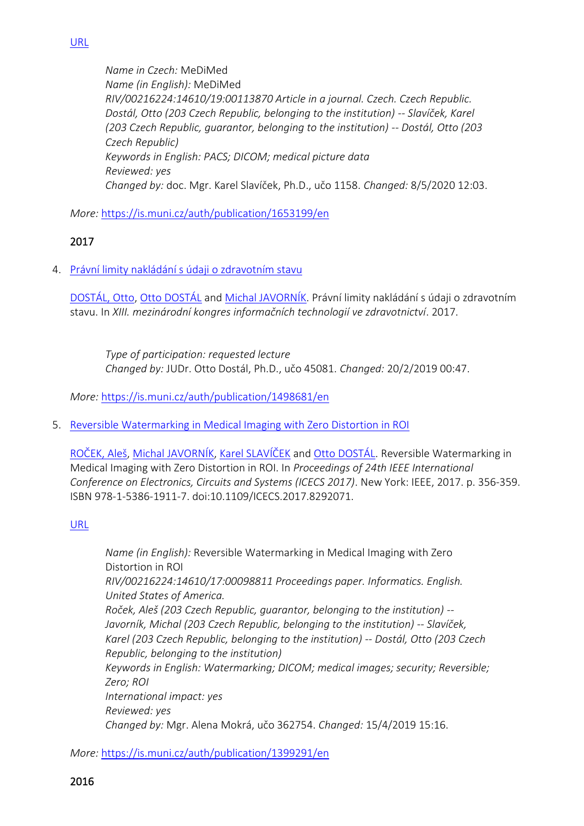### [URL](http://elektrorevue.cz/cz/clanky/komunikacni-technologie/0/medimed-1/)

*Name in Czech:* MeDiMed *Name (in English):* MeDiMed *RIV/00216224:14610/19:00113870 Article in a journal. Czech. Czech Republic. Dostál, Otto (203 Czech Republic, belonging to the institution) -- Slavíček, Karel (203 Czech Republic, guarantor, belonging to the institution) -- Dostál, Otto (203 Czech Republic) Keywords in English: PACS; DICOM; medical picture data Reviewed: yes Changed by:* doc. Mgr. Karel Slavíček, Ph.D., učo 1158. *Changed:* 8/5/2020 12:03.

*More:* [https://is.muni.cz/auth/publication/1653199/en](https://is.muni.cz/auth/publication/1653199/en/MeDiMed/Dostal-Slavicek-Dostal?lang=en)

# 2017

4. [Právní limity nakládání s údaji o zdravotním stavu](https://is.muni.cz/auth/publication/1498681/en?lang=en)

[DOSTÁL, Otto](https://is.muni.cz/auth/person/45081?lang=en), [Otto DOSTÁL](https://is.muni.cz/auth/person/2535?lang=en) and [Michal JAVORNÍK.](https://is.muni.cz/auth/person/1111?lang=en) Právní limity nakládání s údaji o zdravotním stavu. In *XIII. mezinárodní kongres informačních technologií ve zdravotnictví*. 2017.

*Type of participation: requested lecture Changed by:* JUDr. Otto Dostál, Ph.D., učo 45081. *Changed:* 20/2/2019 00:47.

*More:* [https://is.muni.cz/auth/publication/1498681/en](https://is.muni.cz/auth/publication/1498681/en/Pravni-limity-nakladani-s-udaji-o-zdravotnim-stavu/Dostal-Dostal-Javornik?lang=en)

5. [Reversible Watermarking in Medical Imaging with Zero Distortion in ROI](https://is.muni.cz/auth/publication/1399291/en?lang=en)

[ROČEK, Aleš](https://is.muni.cz/auth/person/205054?lang=en), [Michal JAVORNÍK](https://is.muni.cz/auth/person/1111?lang=en), [Karel SLAVÍČEK](https://is.muni.cz/auth/person/1158?lang=en) and [Otto DOSTÁL](https://is.muni.cz/auth/person/2535?lang=en). Reversible Watermarking in Medical Imaging with Zero Distortion in ROI. In *Proceedings of 24th IEEE International Conference on Electronics, Circuits and Systems (ICECS 2017)*. New York: IEEE, 2017. p. 356-359. ISBN 978-1-5386-1911-7. doi:10.1109/ICECS.2017.8292071.

# [URL](https://ieeexplore.ieee.org/document/8292071/)

*Name (in English):* Reversible Watermarking in Medical Imaging with Zero Distortion in ROI *RIV/00216224:14610/17:00098811 Proceedings paper. Informatics. English. United States of America. Roček, Aleš (203 Czech Republic, guarantor, belonging to the institution) -- Javorník, Michal (203 Czech Republic, belonging to the institution) -- Slavíček, Karel (203 Czech Republic, belonging to the institution) -- Dostál, Otto (203 Czech Republic, belonging to the institution) Keywords in English: Watermarking; DICOM; medical images; security; Reversible; Zero; ROI International impact: yes Reviewed: yes Changed by:* Mgr. Alena Mokrá, učo 362754. *Changed:* 15/4/2019 15:16.

*More:* [https://is.muni.cz/auth/publication/1399291/en](https://is.muni.cz/auth/publication/1399291/en/Reversible-Watermarking-in-Medical-Imaging-with-Zero-Distortion-in-ROI/Rocek-Javornik-Slavicek-Dostal?lang=en)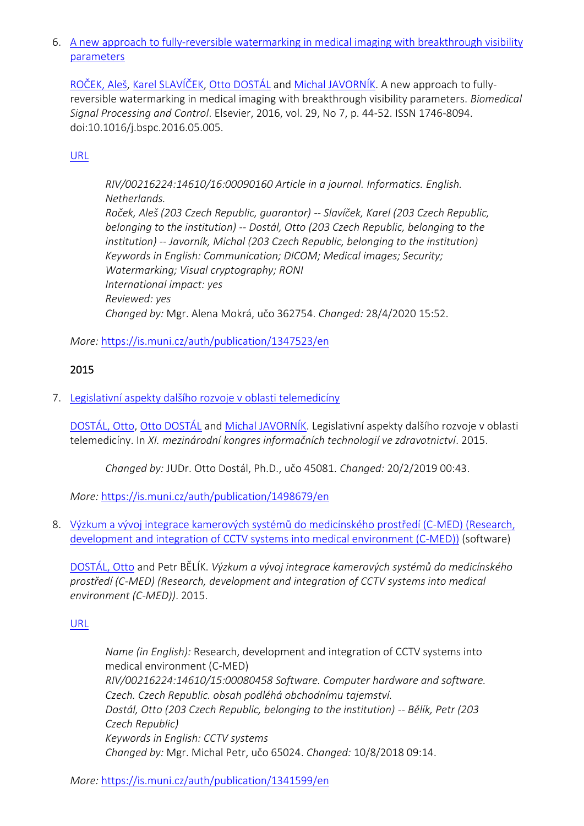6. [A new approach to fully-reversible watermarking in medical imaging with breakthrough visibility](https://is.muni.cz/auth/publication/1347523/en?lang=en)  [parameters](https://is.muni.cz/auth/publication/1347523/en?lang=en)

[ROČEK, Aleš](https://is.muni.cz/auth/person/205054?lang=en), [Karel SLAVÍČEK](https://is.muni.cz/auth/person/1158?lang=en), [Otto DOSTÁL](https://is.muni.cz/auth/person/2535?lang=en) and [Michal JAVORNÍK](https://is.muni.cz/auth/person/1111?lang=en). A new approach to fullyreversible watermarking in medical imaging with breakthrough visibility parameters. *Biomedical Signal Processing and Control*. Elsevier, 2016, vol. 29, No 7, p. 44-52. ISSN 1746-8094. doi:10.1016/j.bspc.2016.05.005.

### [URL](https://doi.org/10.1016/j.bspc.2016.05.005)

*RIV/00216224:14610/16:00090160 Article in a journal. Informatics. English. Netherlands. Roček, Aleš (203 Czech Republic, guarantor) -- Slavíček, Karel (203 Czech Republic, belonging to the institution) -- Dostál, Otto (203 Czech Republic, belonging to the institution) -- Javorník, Michal (203 Czech Republic, belonging to the institution) Keywords in English: Communication; DICOM; Medical images; Security; Watermarking; Visual cryptography; RONI International impact: yes Reviewed: yes Changed by:* Mgr. Alena Mokrá, učo 362754. *Changed:* 28/4/2020 15:52.

*More:* [https://is.muni.cz/auth/publication/1347523/en](https://is.muni.cz/auth/publication/1347523/en/A-new-approach-to-fully-reversible-watermarking-in-medical-imaging-with-breakthrough-visibility-parameters/Rocek-Slavicek-Dostal-Javornik?lang=en)

# 2015

7. [Legislativní aspekty dalšího rozvoje v oblasti telemedicíny](https://is.muni.cz/auth/publication/1498679/en?lang=en)

[DOSTÁL, Otto](https://is.muni.cz/auth/person/45081?lang=en), [Otto DOSTÁL](https://is.muni.cz/auth/person/2535?lang=en) and [Michal JAVORNÍK.](https://is.muni.cz/auth/person/1111?lang=en) Legislativní aspekty dalšího rozvoje v oblasti telemedicíny. In *XI. mezinárodní kongres informačních technologií ve zdravotnictví*. 2015.

*Changed by:* JUDr. Otto Dostál, Ph.D., učo 45081. *Changed:* 20/2/2019 00:43.

*More:* [https://is.muni.cz/auth/publication/1498679/en](https://is.muni.cz/auth/publication/1498679/en/Legislativni-aspekty-dalsiho-rozvoje-v-oblasti-telemediciny/Dostal-Dostal-Javornik?lang=en)

8. [Výzkum a vývoj integrace kamerových systémů do medicínského prostředí \(C](https://is.muni.cz/auth/publication/1341599/en?lang=en)-MED) (Research, [development and integration of CCTV systems into medical environment \(C-MED\)\)](https://is.muni.cz/auth/publication/1341599/en?lang=en) (software)

[DOSTÁL, Otto](https://is.muni.cz/auth/person/2535?lang=en) and Petr BĚLÍK. *Výzkum a vývoj integrace kamerových systémů do medicínského prostředí (C-MED) (Research, development and integration of CCTV systems into medical environment (C-MED))*. 2015.

[URL](https://www.comimpex.cz/vyzkum-vyvoj-integrace-kamerovych-systemu-do-medicinskeho-prostredi-c-med)

*Name (in English):* Research, development and integration of CCTV systems into medical environment (C-MED) *RIV/00216224:14610/15:00080458 Software. Computer hardware and software. Czech. Czech Republic. obsah podléhá obchodnímu tajemství. Dostál, Otto (203 Czech Republic, belonging to the institution) -- Bělík, Petr (203 Czech Republic) Keywords in English: CCTV systems Changed by:* Mgr. Michal Petr, učo 65024. *Changed:* 10/8/2018 09:14.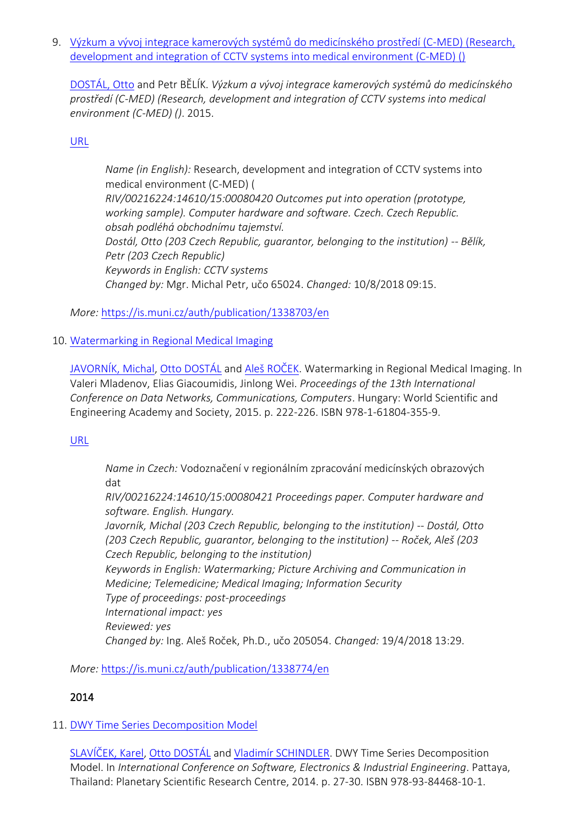9. [Výzkum a vývoj integrace kamerových systémů do medicínského prostředí \(C](https://is.muni.cz/auth/publication/1338703/en?lang=en)-MED) (Research, [development and integration of CCTV systems into medical environment \(C-MED\) \(\)](https://is.muni.cz/auth/publication/1338703/en?lang=en)

[DOSTÁL, Otto](https://is.muni.cz/auth/person/2535?lang=en) and Petr BĚLÍK. *Výzkum a vývoj integrace kamerových systémů do medicínského prostředí (C-MED) (Research, development and integration of CCTV systems into medical environment (C-MED) ()*. 2015.

# [URL](https://www.comimpex.cz/vyzkum-vyvoj-integrace-kamerovych-systemu-do-medicinskeho-prostredi-c-med)

*Name (in English):* Research, development and integration of CCTV systems into medical environment (C-MED) ( *RIV/00216224:14610/15:00080420 Outcomes put into operation (prototype, working sample). Computer hardware and software. Czech. Czech Republic. obsah podléhá obchodnímu tajemství. Dostál, Otto (203 Czech Republic, guarantor, belonging to the institution) -- Bělík, Petr (203 Czech Republic) Keywords in English: CCTV systems Changed by:* Mgr. Michal Petr, učo 65024. *Changed:* 10/8/2018 09:15.

*More:* [https://is.muni.cz/auth/publication/1338703/en](https://is.muni.cz/auth/publication/1338703/en/Vyzkum-a-vyvoj-integrace-kamerovych-systemu-do-medicinskeho-prostredi-C-MED/Dostal-Belik?lang=en)

# 10. [Watermarking in Regional Medical Imaging](https://is.muni.cz/auth/publication/1338774/en?lang=en)

[JAVORNÍK,](https://is.muni.cz/auth/person/1111?lang=en) Michal, [Otto DOSTÁL](https://is.muni.cz/auth/person/2535?lang=en) and [Aleš ROČEK](https://is.muni.cz/auth/person/205054?lang=en). Watermarking in Regional Medical Imaging. In Valeri Mladenov, Elias Giacoumidis, Jinlong Wei. *Proceedings of the 13th International Conference on Data Networks, Communications, Computers*. Hungary: World Scientific and Engineering Academy and Society, 2015. p. 222-226. ISBN 978-1-61804-355-9.

# [URL](http://www.wseas.us/e-library/conferences/2015/Budapest/DNCOSE/DNCOSE-35.pdf)

*Name in Czech:* Vodoznačení v regionálním zpracování medicínských obrazových dat

*RIV/00216224:14610/15:00080421 Proceedings paper. Computer hardware and software. English. Hungary.*

*Javorník, Michal (203 Czech Republic, belonging to the institution) -- Dostál, Otto (203 Czech Republic, guarantor, belonging to the institution) -- Roček, Aleš (203 Czech Republic, belonging to the institution)*

*Keywords in English: Watermarking; Picture Archiving and Communication in Medicine; Telemedicine; Medical Imaging; Information Security Type of proceedings: post-proceedings International impact: yes*

*Reviewed: yes*

*Changed by:* Ing. Aleš Roček, Ph.D., učo 205054. *Changed:* 19/4/2018 13:29.

*More:* [https://is.muni.cz/auth/publication/1338774/en](https://is.muni.cz/auth/publication/1338774/en/Watermarking-in-Regional-Medical-Imaging/Javornik-Dostal-Rocek?lang=en)

# 2014

# 11. [DWY Time Series Decomposition Model](https://is.muni.cz/auth/publication/1217033/en?lang=en)

[SLAVÍČEK, Karel](https://is.muni.cz/auth/person/1158?lang=en), [Otto DOSTÁL](https://is.muni.cz/auth/person/2535?lang=en) and [Vladimír SCHINDLER](https://is.muni.cz/auth/person/160298?lang=en). DWY Time Series Decomposition Model. In *International Conference on Software, Electronics & Industrial Engineering*. Pattaya, Thailand: Planetary Scientific Research Centre, 2014. p. 27-30. ISBN 978-93-84468-10-1.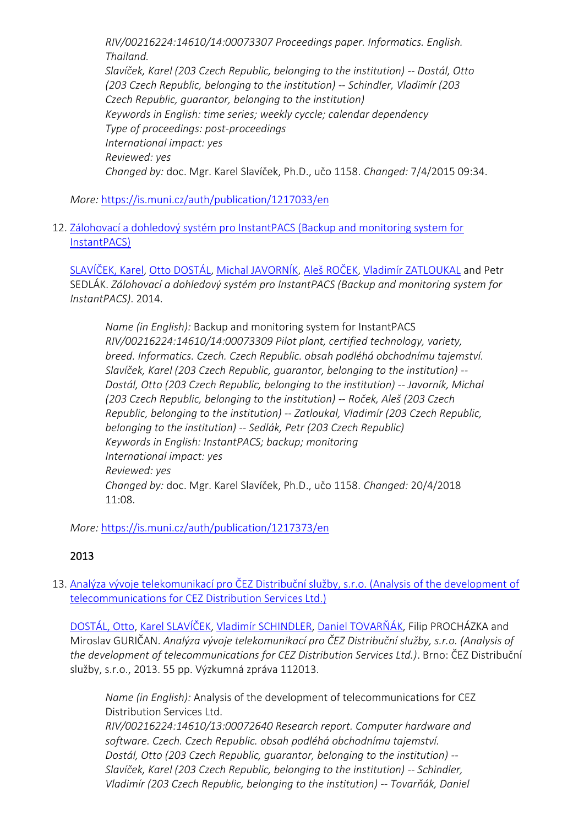*RIV/00216224:14610/14:00073307 Proceedings paper. Informatics. English. Thailand. Slavíček, Karel (203 Czech Republic, belonging to the institution) -- Dostál, Otto (203 Czech Republic, belonging to the institution) -- Schindler, Vladimír (203 Czech Republic, guarantor, belonging to the institution) Keywords in English: time series; weekly cyccle; calendar dependency Type of proceedings: post-proceedings International impact: yes Reviewed: yes Changed by:* doc. Mgr. Karel Slavíček, Ph.D., učo 1158. *Changed:* 7/4/2015 09:34.

*More:* [https://is.muni.cz/auth/publication/1217033/en](https://is.muni.cz/auth/publication/1217033/en/DWY-Time-Series-Decomposition-Model/Slavicek-Dostal-Schindler?lang=en)

12. [Zálohovací a dohledový systém pro InstantPACS \(Backup and monitoring system for](https://is.muni.cz/auth/publication/1217373/en?lang=en)  [InstantPACS\)](https://is.muni.cz/auth/publication/1217373/en?lang=en)

[SLAVÍČEK, Karel](https://is.muni.cz/auth/person/1158?lang=en), [Otto DOSTÁL](https://is.muni.cz/auth/person/2535?lang=en), [Michal JAVORNÍK](https://is.muni.cz/auth/person/1111?lang=en), [Aleš ROČEK](https://is.muni.cz/auth/person/205054?lang=en), [Vladimír ZATLOUKAL](https://is.muni.cz/auth/person/1113?lang=en) and Petr SEDLÁK. *Zálohovací a dohledový systém pro InstantPACS (Backup and monitoring system for InstantPACS)*. 2014.

*Name (in English):* Backup and monitoring system for InstantPACS *RIV/00216224:14610/14:00073309 Pilot plant, certified technology, variety, breed. Informatics. Czech. Czech Republic. obsah podléhá obchodnímu tajemství. Slavíček, Karel (203 Czech Republic, guarantor, belonging to the institution) -- Dostál, Otto (203 Czech Republic, belonging to the institution) -- Javorník, Michal (203 Czech Republic, belonging to the institution) -- Roček, Aleš (203 Czech Republic, belonging to the institution) -- Zatloukal, Vladimír (203 Czech Republic, belonging to the institution) -- Sedlák, Petr (203 Czech Republic) Keywords in English: InstantPACS; backup; monitoring International impact: yes Reviewed: yes Changed by:* doc. Mgr. Karel Slavíček, Ph.D., učo 1158. *Changed:* 20/4/2018 11:08.

*More:* [https://is.muni.cz/auth/publication/1217373/en](https://is.muni.cz/auth/publication/1217373/en/Zalohovaci-a-dohledovy-system-pro-InstantPACS/Slavicek-Dostal-Javornik-Rocek?lang=en)

# 2013

13. Analýza vývoje [telekomunikací pro ČEZ Distribuční služby, s.r.o. \(Analysis of the development of](https://is.muni.cz/auth/publication/1169438/en?lang=en)  [telecommunications for CEZ Distribution Services Ltd.\)](https://is.muni.cz/auth/publication/1169438/en?lang=en)

[DOSTÁL, Otto](https://is.muni.cz/auth/person/2535?lang=en), [Karel SLAVÍČEK](https://is.muni.cz/auth/person/1158?lang=en), [Vladimír SCHINDLER](https://is.muni.cz/auth/person/160298?lang=en), [Daniel TOVARŇÁK,](https://is.muni.cz/auth/person/172673?lang=en) Filip PROCHÁZKA and Miroslav GURIČAN. *Analýza vývoje telekomunikací pro ČEZ Distribuční služby, s.r.o. (Analysis of the development of telecommunications for CEZ Distribution Services Ltd.)*. Brno: ČEZ Distribuční služby, s.r.o., 2013. 55 pp. Výzkumná zpráva 112013.

*Name (in English):* Analysis of the development of telecommunications for CEZ Distribution Services Ltd. *RIV/00216224:14610/13:00072640 Research report. Computer hardware and* 

*software. Czech. Czech Republic. obsah podléhá obchodnímu tajemství. Dostál, Otto (203 Czech Republic, guarantor, belonging to the institution) -- Slavíček, Karel (203 Czech Republic, belonging to the institution) -- Schindler, Vladimír (203 Czech Republic, belonging to the institution) -- Tovarňák, Daniel*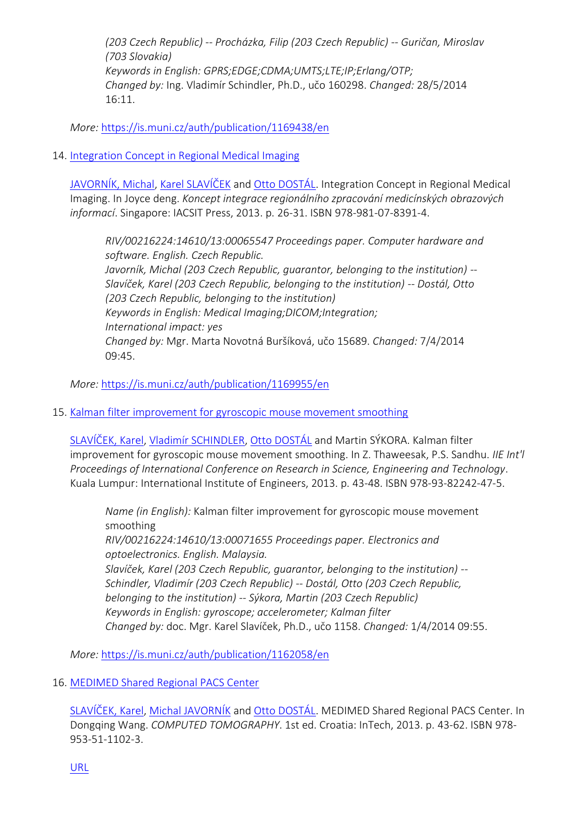*(203 Czech Republic) -- Procházka, Filip (203 Czech Republic) -- Guričan, Miroslav (703 Slovakia) Keywords in English: GPRS;EDGE;CDMA;UMTS;LTE;IP;Erlang/OTP; Changed by:* Ing. Vladimír Schindler, Ph.D., učo 160298. *Changed:* 28/5/2014 16:11.

*More:* [https://is.muni.cz/auth/publication/1169438/en](https://is.muni.cz/auth/publication/1169438/en/Analyza-vyvoje-telekomunikaci-pro-CEZ-Distribucni-sluzby-sro/Dostal-Slavicek-Schindler-Tovarnak?lang=en)

14. [Integration Concept in Regional Medical Imaging](https://is.muni.cz/auth/publication/1169955/en?lang=en)

[JAVORNÍK, Michal](https://is.muni.cz/auth/person/1111?lang=en), [Karel SLAVÍČEK](https://is.muni.cz/auth/person/1158?lang=en) and [Otto DOSTÁL](https://is.muni.cz/auth/person/2535?lang=en). Integration Concept in Regional Medical Imaging. In Joyce deng. *Koncept integrace regionálního zpracování medicínských obrazových informací*. Singapore: IACSIT Press, 2013. p. 26-31. ISBN 978-981-07-8391-4.

*RIV/00216224:14610/13:00065547 Proceedings paper. Computer hardware and software. English. Czech Republic. Javorník, Michal (203 Czech Republic, guarantor, belonging to the institution) -- Slavíček, Karel (203 Czech Republic, belonging to the institution) -- Dostál, Otto (203 Czech Republic, belonging to the institution) Keywords in English: Medical Imaging;DICOM;Integration; International impact: yes Changed by:* Mgr. Marta Novotná Buršíková, učo 15689. *Changed:* 7/4/2014 09:45.

*More:* [https://is.muni.cz/auth/publication/1169955/en](https://is.muni.cz/auth/publication/1169955/en/Integration-Concept-in-Regional-Medical-Imaging/Javornik-Slavicek-Dostal?lang=en)

15. [Kalman filter improvement for gyroscopic mouse movement smoothing](https://is.muni.cz/auth/publication/1162058/en?lang=en)

[SLAVÍČEK, Karel](https://is.muni.cz/auth/person/1158?lang=en), [Vladimír SCHINDLER](https://is.muni.cz/auth/person/160298?lang=en), [Otto DOSTÁL](https://is.muni.cz/auth/person/2535?lang=en) and Martin SÝKORA. Kalman filter improvement for gyroscopic mouse movement smoothing. In Z. Thaweesak, P.S. Sandhu. *IIE Int'l Proceedings of International Conference on Research in Science, Engineering and Technology*. Kuala Lumpur: International Institute of Engineers, 2013. p. 43-48. ISBN 978-93-82242-47-5.

*Name (in English):* Kalman filter improvement for gyroscopic mouse movement smoothing *RIV/00216224:14610/13:00071655 Proceedings paper. Electronics and optoelectronics. English. Malaysia. Slavíček, Karel (203 Czech Republic, guarantor, belonging to the institution) -- Schindler, Vladimír (203 Czech Republic) -- Dostál, Otto (203 Czech Republic, belonging to the institution) -- Sýkora, Martin (203 Czech Republic) Keywords in English: gyroscope; accelerometer; Kalman filter Changed by:* doc. Mgr. Karel Slavíček, Ph.D., učo 1158. *Changed:* 1/4/2014 09:55.

*More:* [https://is.muni.cz/auth/publication/1162058/en](https://is.muni.cz/auth/publication/1162058/en/Kalman-filter-improvement-for-gyroscopic-mouse-movement-smoothing/Slavicek-Schindler-Dostal-Sykora?lang=en)

16. [MEDIMED Shared Regional PACS Center](https://is.muni.cz/auth/publication/1163709/en?lang=en)

[SLAVÍČEK, Karel](https://is.muni.cz/auth/person/1158?lang=en), [Michal JAVORNÍK](https://is.muni.cz/auth/person/1111?lang=en) and O[tto DOSTÁL](https://is.muni.cz/auth/person/2535?lang=en). MEDIMED Shared Regional PACS Center. In Dongqing Wang. *COMPUTED TOMOGRAPHY*. 1st ed. Croatia: InTech, 2013. p. 43-62. ISBN 978- 953-51-1102-3.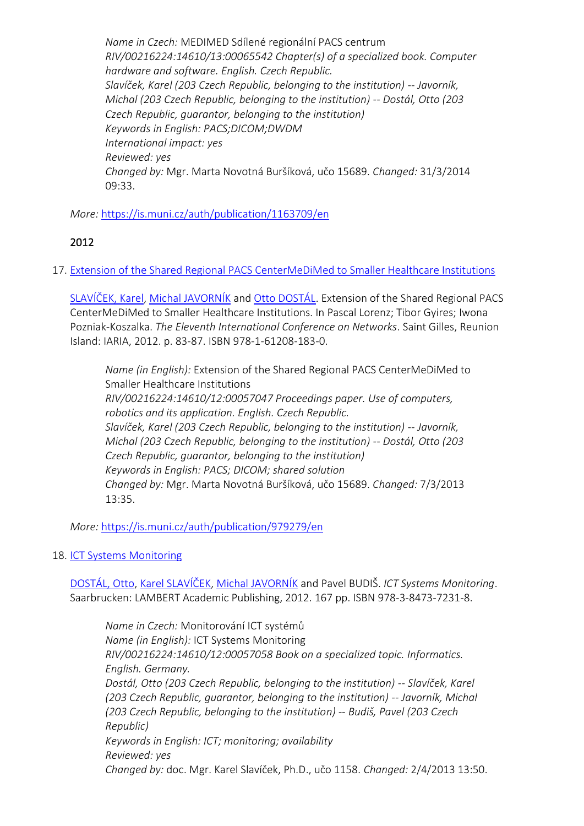*Name in Czech:* MEDIMED Sdílené regionální PACS centrum *RIV/00216224:14610/13:00065542 Chapter(s) of a specialized book. Computer hardware and software. English. Czech Republic. Slavíček, Karel (203 Czech Republic, belonging to the institution) -- Javorník, Michal (203 Czech Republic, belonging to the institution) -- Dostál, Otto (203 Czech Republic, guarantor, belonging to the institution) Keywords in English: PACS;DICOM;DWDM International impact: yes Reviewed: yes Changed by:* Mgr. Marta Novotná Buršíková, učo 15689. *Changed:* 31/3/2014 09:33.

*More:* [https://is.muni.cz/auth/publication/1163709/en](https://is.muni.cz/auth/publication/1163709/en/MEDIMED-Shared-Regional-PACS-Center/Slavicek-Javornik-Dostal?lang=en)

# 2012

17. [Extension of the Shared Regional PACS CenterMeDiMed to Smaller Healthcare Institutions](https://is.muni.cz/auth/publication/979279/en?lang=en)

[SLAVÍČEK, Karel](https://is.muni.cz/auth/person/1158?lang=en), [Michal JAVORNÍK](https://is.muni.cz/auth/person/1111?lang=en) and [Otto DOSTÁL](https://is.muni.cz/auth/person/2535?lang=en). Extension of the Shared Regional PACS CenterMeDiMed to Smaller Healthcare Institutions. In Pascal Lorenz; Tibor Gyires; Iwona Pozniak-Koszalka. *The Eleventh International Conference on Networks*. Saint Gilles, Reunion Island: IARIA, 2012. p. 83-87. ISBN 978-1-61208-183-0.

*Name (in English):* Extension of the Shared Regional PACS CenterMeDiMed to Smaller Healthcare Institutions *RIV/00216224:14610/12:00057047 Proceedings paper. Use of computers, robotics and its application. English. Czech Republic. Slavíček, Karel (203 Czech Republic, belonging to the institution) -- Javorník, Michal (203 Czech Republic, belonging to the institution) -- Dostál, Otto (203 Czech Republic, guarantor, belonging to the institution) Keywords in English: PACS; DICOM; shared solution Changed by:* Mgr. Marta Novotná Buršíková, učo 15689. *Changed:* 7/3/2013 13:35.

*More:* [https://is.muni.cz/auth/publication/979279/en](https://is.muni.cz/auth/publication/979279/en/Extension-of-the-Shared-Regional-PACS-CenterMeDiMed-to-Smaller-Healthcare-Institutions/Slavicek-Javornik-Dostal?lang=en)

18. [ICT Systems Monitoring](https://is.muni.cz/auth/publication/1082769/en?lang=en)

[DOSTÁL, Otto](https://is.muni.cz/auth/person/2535?lang=en), [Karel SLAVÍČEK](https://is.muni.cz/auth/person/1158?lang=en), [Michal JAVO](https://is.muni.cz/auth/person/1111?lang=en)RNÍK and Pavel BUDIŠ. *ICT Systems Monitoring*. Saarbrucken: LAMBERT Academic Publishing, 2012. 167 pp. ISBN 978-3-8473-7231-8.

*Name in Czech:* Monitorování ICT systémů *Name (in English):* ICT Systems Monitoring *RIV/00216224:14610/12:00057058 Book on a specialized topic. Informatics. English. Germany. Dostál, Otto (203 Czech Republic, belonging to the institution) -- Slavíček, Karel (203 Czech Republic, guarantor, belonging to the institution) -- Javorník, Michal (203 Czech Republic, belonging to the institution) -- Budiš, Pavel (203 Czech Republic) Keywords in English: ICT; monitoring; availability Reviewed: yes Changed by:* doc. Mgr. Karel Slavíček, Ph.D., učo 1158. *Changed:* 2/4/2013 13:50.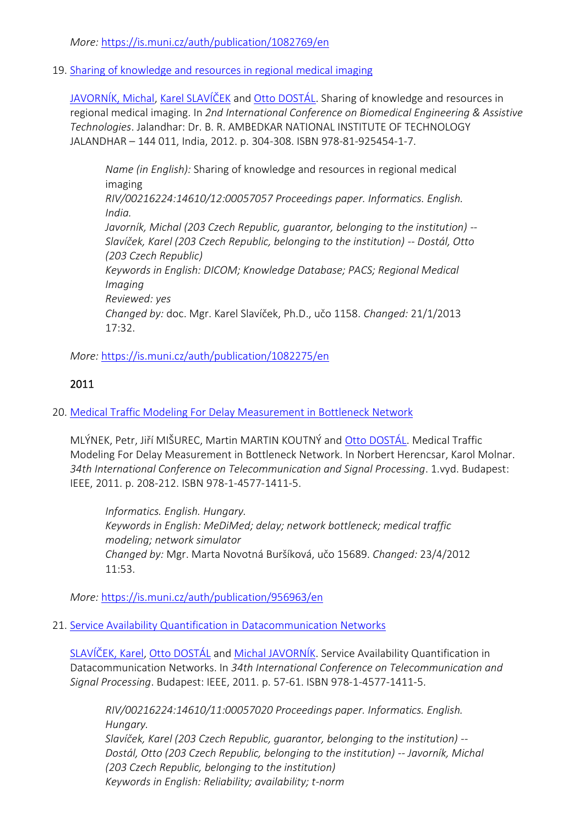*More:* [https://is.muni.cz/auth/publication/1082769/en](https://is.muni.cz/auth/publication/1082769/en/ICT-Systems-Monitoring/Dostal-Slavicek-Javornik-Budis?lang=en)

19. [Sharing of knowledge and resources in regional medical imaging](https://is.muni.cz/auth/publication/1082275/en?lang=en)

[JAVORNÍK, Michal](https://is.muni.cz/auth/person/1111?lang=en), [Karel SLAVÍČEK](https://is.muni.cz/auth/person/1158?lang=en) and [Otto DOSTÁL](https://is.muni.cz/auth/person/2535?lang=en). Sharing of knowledge and resources in regional medical imaging. In *2nd International Conference on Biomedical Engineering & Assistive Technologies*. Jalandhar: Dr. B. R. AMBEDKAR NATIONAL INSTITUTE OF TECHNOLOGY JALANDHAR – 144 011, India, 2012. p. 304-308. ISBN 978-81-925454-1-7.

*Name (in English):* Sharing of knowledge and resources in regional medical imaging *RIV/00216224:14610/12:00057057 Proceedings paper. Informatics. English. India. Javorník, Michal (203 Czech Republic, guarantor, belonging to the institution) -- Slavíček, Karel (203 Czech Republic, belonging to the institution) -- Dostál, Otto (203 Czech Republic) Keywords in English: DICOM; Knowledge Database; PACS; Regional Medical Imaging Reviewed: yes Changed by:* doc. Mgr. Karel Slavíček, Ph.D., učo 1158. *Changed:* 21/1/2013 17:32.

*More:* [https://is.muni.cz/auth/publication/1082275/en](https://is.muni.cz/auth/publication/1082275/en/Sharing-of-knowledge-and-resources-in-regional-medical-imaging/Javornik-Slavicek-Dostal?lang=en)

# 2011

#### 20. [Medical Traffic Modeling For Delay Measurement in Bottleneck](https://is.muni.cz/auth/publication/956963/en?lang=en) Network

MLÝNEK, Petr, Jiří MIŠUREC, Martin MARTIN KOUTNÝ and [Otto DOSTÁL](https://is.muni.cz/auth/person/2535?lang=en). Medical Traffic Modeling For Delay Measurement in Bottleneck Network. In Norbert Herencsar, Karol Molnar. *34th International Conference on Telecommunication and Signal Processing*. 1.vyd. Budapest: IEEE, 2011. p. 208-212. ISBN 978-1-4577-1411-5.

*Informatics. English. Hungary. Keywords in English: MeDiMed; delay; network bottleneck; medical traffic modeling; network simulator Changed by:* Mgr. Marta Novotná Buršíková, učo 15689. *Changed:* 23/4/2012 11:53.

*More:* [https://is.muni.cz/auth/publication/956963/en](https://is.muni.cz/auth/publication/956963/en/Medical-Traffic-Modeling-For-Delay-Measurement-in-Bottleneck-Network/Mlynek-Misurec-Martin-Koutny-Dostal?lang=en)

21. [Service Availability Quantification in Datacommunication Networks](https://is.muni.cz/auth/publication/956951/en?lang=en)

[SLAVÍČEK, Karel](https://is.muni.cz/auth/person/1158?lang=en), [Otto DOSTÁL](https://is.muni.cz/auth/person/2535?lang=en) and [Michal JAVORNÍK](https://is.muni.cz/auth/person/1111?lang=en). Service Availability Quantification in Datacommunication Networks. In *34th International Conference on Telecommunication and Signal Processing*. Budapest: IEEE, 2011. p. 57-61. ISBN 978-1-4577-1411-5.

*RIV/00216224:14610/11:00057020 Proceedings paper. Informatics. English. Hungary.*

*Slavíček, Karel (203 Czech Republic, guarantor, belonging to the institution) -- Dostál, Otto (203 Czech Republic, belonging to the institution) -- Javorník, Michal (203 Czech Republic, belonging to the institution) Keywords in English: Reliability; availability; t-norm*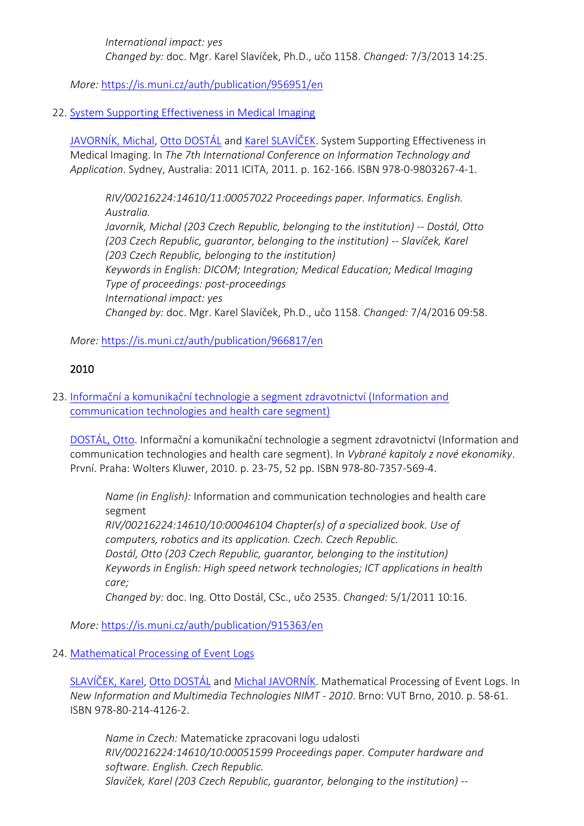*International impact: yes Changed by:* doc. Mgr. Karel Slavíček, Ph.D., učo 1158. *Changed:* 7/3/2013 14:25.

*More:* [https://is.muni.cz/auth/publication/956951/en](https://is.muni.cz/auth/publication/956951/en/Service-Availability-Quantification-in-Datacommunication-Networks/Slavicek-Dostal-Javornik?lang=en)

### 22. [System Supporting Effectiveness in Medical Imaging](https://is.muni.cz/auth/publication/966817/en?lang=en)

[JAVORNÍK, Michal](https://is.muni.cz/auth/person/1111?lang=en), [Otto DOSTÁL](https://is.muni.cz/auth/person/2535?lang=en) and [Karel SLAVÍČEK](https://is.muni.cz/auth/person/1158?lang=en). System Supporting Effectiveness in Medical Imaging. In *The 7th International Conference on Information Technology and Application*. Sydney, Australia: 2011 ICITA, 2011. p. 162-166. ISBN 978-0-9803267-4-1.

*RIV/00216224:14610/11:00057022 Proceedings paper. Informatics. English. Australia. Javorník, Michal (203 Czech Republic, belonging to the institution) -- Dostál, Otto (203 Czech Republic, guarantor, belonging to the institution) -- Slavíček, Karel (203 Czech Republic, belonging to the institution) Keywords in English: DICOM; Integration; Medical Education; Medical Imaging Type of proceedings: post-proceedings International impact: yes Changed by:* doc. Mgr. Karel Slavíček, Ph.D., učo 1158. *Changed:* 7/4/2016 09:58.

*More:* [https://is.muni.cz/auth/publication/966817/en](https://is.muni.cz/auth/publication/966817/en/System-Supporting-Effectiveness-in-Medical-Imaging/Javornik-Dostal-Slavicek?lang=en)

# 2010

23. [Informační a komunikační technologie a segment zdravotnictví \(Information and](https://is.muni.cz/auth/publication/915363/en?lang=en)  [communication technologies and health care segment\)](https://is.muni.cz/auth/publication/915363/en?lang=en)

[DOSTÁL, Otto.](https://is.muni.cz/auth/person/2535?lang=en) Informační a komunikační technologie a segment zdravotnictví (Information and communication technologies and health care segment). In *Vybrané kapitoly z nové ekonomiky*. První. Praha: Wolters Kluwer, 2010. p. 23-75, 52 pp. ISBN 978-80-7357-569-4.

*Name (in English):* Information and communication technologies and health care segment *RIV/00216224:14610/10:00046104 Chapter(s) of a specialized book. Use of computers, robotics and its application. Czech. Czech Republic. Dostál, Otto (203 Czech Republic, guarantor, belonging to the institution) Keywords in English: High speed network technologies; ICT applications in health care;*

*Changed by:* doc. Ing. Otto Dostál, CSc., učo 2535. *Changed:* 5/1/2011 10:16.

*More:* [https://is.muni.cz/auth/publication/915363/en](https://is.muni.cz/auth/publication/915363/en/Informacni-a-komunikacni-technologie-a-segment-zdravotnictvi/Dostal?lang=en)

#### 24. [Mathematical Processing of Event Logs](https://is.muni.cz/auth/publication/914660/en?lang=en)

[SLAVÍČEK, Karel](https://is.muni.cz/auth/person/1158?lang=en), [Otto DOSTÁL](https://is.muni.cz/auth/person/2535?lang=en) and [Michal JAVORNÍK](https://is.muni.cz/auth/person/1111?lang=en). Mathematical Processing of Event Logs. In *New Information and Multimedia Technologies NIMT - 2010*. Brno: VUT Brno, 2010. p. 58-61. ISBN 978-80-214-4126-2.

*Name in Czech:* Matematicke zpracovani logu udalosti *RIV/00216224:14610/10:00051599 Proceedings paper. Computer hardware and software. English. Czech Republic. Slavíček, Karel (203 Czech Republic, guarantor, belonging to the institution) --*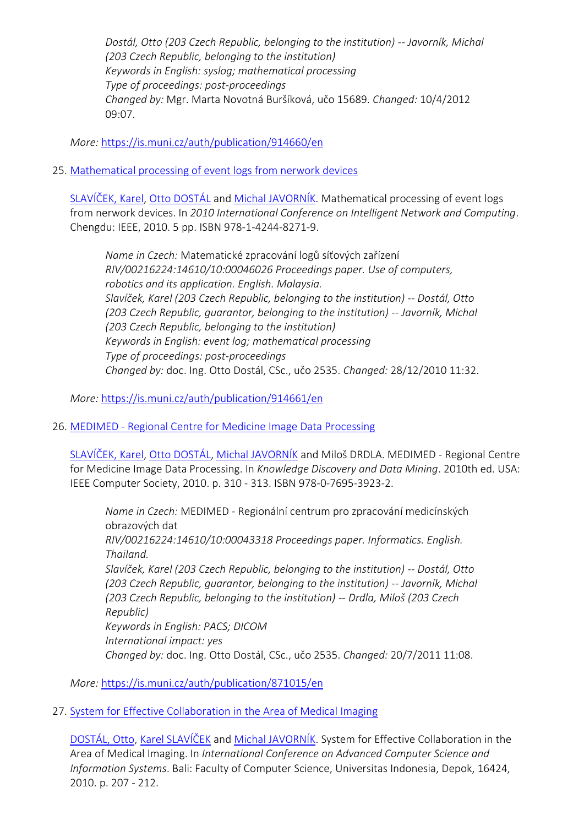*Dostál, Otto (203 Czech Republic, belonging to the institution) -- Javorník, Michal (203 Czech Republic, belonging to the institution) Keywords in English: syslog; mathematical processing Type of proceedings: post-proceedings Changed by:* Mgr. Marta Novotná Buršíková, učo 15689. *Changed:* 10/4/2012 09:07.

*More:* [https://is.muni.cz/auth/publication/914660/en](https://is.muni.cz/auth/publication/914660/en/Mathematical-Processing-of-Event-Logs/Slavicek-Dostal-Javornik?lang=en)

25. [Mathematical processing of event logs from nerwork devices](https://is.muni.cz/auth/publication/914661/en?lang=en)

[SLAVÍČEK, Karel](https://is.muni.cz/auth/person/1158?lang=en), [Otto DOSTÁL](https://is.muni.cz/auth/person/2535?lang=en) and [Michal JAVORNÍK](https://is.muni.cz/auth/person/1111?lang=en). Mathematical processing of event logs from nerwork devices. In *2010 International Conference on Intelligent Network and Computing*. Chengdu: IEEE, 2010. 5 pp. ISBN 978-1-4244-8271-9.

*Name in Czech:* Matematické zpracování logů síťových zařízení *RIV/00216224:14610/10:00046026 Proceedings paper. Use of computers, robotics and its application. English. Malaysia. Slavíček, Karel (203 Czech Republic, belonging to the institution) -- Dostál, Otto (203 Czech Republic, guarantor, belonging to the institution) -- Javorník, Michal (203 Czech Republic, belonging to the institution) Keywords in English: event log; mathematical processing Type of proceedings: post-proceedings Changed by:* doc. Ing. Otto Dostál, CSc., učo 2535. *Changed:* 28/12/2010 11:32.

*More:* [https://is.muni.cz/auth/publication/914661/en](https://is.muni.cz/auth/publication/914661/en/Mathematical-processing-of-event-logs-from-nerwork-devices/Slavicek-Dostal-Javornik?lang=en)

#### 26. MEDIMED - [Regional Centre for Medicine Image Data Processing](https://is.muni.cz/auth/publication/871015/en?lang=en)

[SLAVÍČEK, Karel](https://is.muni.cz/auth/person/1158?lang=en), [Otto DOSTÁL](https://is.muni.cz/auth/person/2535?lang=en), [Michal JAVORNÍK](https://is.muni.cz/auth/person/1111?lang=en) and Miloš DRDLA. MEDIMED - Regional Centre for Medicine Image Data Processing. In *Knowledge Discovery and Data Mining*. 2010th ed. USA: IEEE Computer Society, 2010. p. 310 - 313. ISBN 978-0-7695-3923-2.

*Name in Czech:* MEDIMED - Regionální centrum pro zpracování medicínských obrazových dat *RIV/00216224:14610/10:00043318 Proceedings paper. Informatics. English. Thailand. Slavíček, Karel (203 Czech Republic, belonging to the institution) -- Dostál, Otto (203 Czech Republic, guarantor, belonging to the institution) -- Javorník, Michal (203 Czech Republic, belonging to the institution) -- Drdla, Miloš (203 Czech Republic) Keywords in English: PACS; DICOM International impact: yes Changed by:* doc. Ing. Otto Dostál, CSc., učo 2535. *Changed:* 20/7/2011 11:08.

*More:* [https://is.muni.cz/auth/publication/871015/en](https://is.muni.cz/auth/publication/871015/en/MEDIMED-Regional-Centre-for-Medicine-Image-Data-Processing/Slavicek-Dostal-Javornik-Drdla?lang=en)

27. [System for Effective Collaboration in the Area of Medical Imaging](https://is.muni.cz/auth/publication/913027/en?lang=en)

[DOSTÁL, Otto](https://is.muni.cz/auth/person/2535?lang=en), [Karel SLAVÍČEK](https://is.muni.cz/auth/person/1158?lang=en) and [Michal JAVORNÍK](https://is.muni.cz/auth/person/1111?lang=en). System for Effective Collaboration in the Area of Medical Imaging. In *International Conference on Advanced Computer Science and Information Systems*. Bali: Faculty of Computer Science, Universitas Indonesia, Depok, 16424, 2010. p. 207 - 212.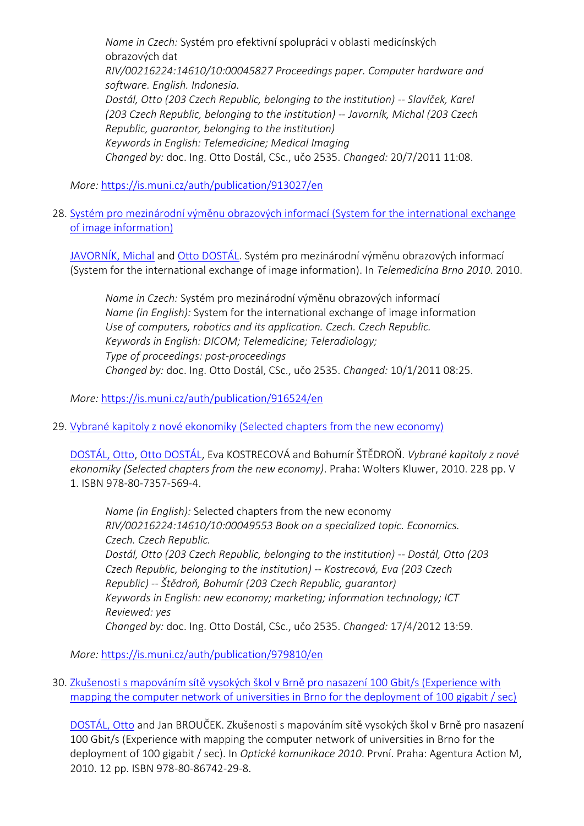*Name in Czech:* Systém pro efektivní spolupráci v oblasti medicínských obrazových dat

*RIV/00216224:14610/10:00045827 Proceedings paper. Computer hardware and software. English. Indonesia.*

*Dostál, Otto (203 Czech Republic, belonging to the institution) -- Slavíček, Karel (203 Czech Republic, belonging to the institution) -- Javorník, Michal (203 Czech Republic, guarantor, belonging to the institution) Keywords in English: Telemedicine; Medical Imaging Changed by:* doc. Ing. Otto Dostál, CSc., učo 2535. *Changed:* 20/7/2011 11:08.

*More:* [https://is.muni.cz/auth/publication/913027/en](https://is.muni.cz/auth/publication/913027/en/System-for-Effective-Collaboration-in-the-Area-of-Medical-Imaging/Dostal-Slavicek-Javornik?lang=en)

28. [Systém pro mezinárodní výměnu obrazových informací \(System for the inter](https://is.muni.cz/auth/publication/916524/en?lang=en)national exchange [of image information\)](https://is.muni.cz/auth/publication/916524/en?lang=en)

[JAVORNÍK, Michal](https://is.muni.cz/auth/person/1111?lang=en) and [Otto DOSTÁL.](https://is.muni.cz/auth/person/2535?lang=en) Systém pro mezinárodní výměnu obrazových informací (System for the international exchange of image information). In *Telemedicína Brno 2010*. 2010.

*Name in Czech:* Systém pro mezinárodní výměnu obrazových informací *Name (in English):* System for the international exchange of image information *Use of computers, robotics and its application. Czech. Czech Republic. Keywords in English: DICOM; Telemedicine; Teleradiology; Type of proceedings: post-proceedings Changed by:* doc. Ing. Otto Dostál, CSc., učo 2535. *Changed:* 10/1/2011 08:25.

*More:* [https://is.muni.cz/auth/publication/916524/en](https://is.muni.cz/auth/publication/916524/en/System-pro-mezinarodni-vymenu-obrazovych-informaci/Javornik-Dostal?lang=en)

29. [Vybrané kapitoly z nové ekonomiky \(Selected chapters from the new economy\)](https://is.muni.cz/auth/publication/979810/en?lang=en)

[DOSTÁL, Otto](https://is.muni.cz/auth/person/2535?lang=en), [Otto DOSTÁL,](https://is.muni.cz/auth/person/45081?lang=en) Eva KOSTRECOVÁ and Bohumír ŠTĚDROŇ. *Vybrané kapitoly z nové ekonomiky (Selected chapters from the new economy)*. Praha: Wolters Kluwer, 2010. 228 pp. V 1. ISBN 978-80-7357-569-4.

*Name (in English):* Selected chapters from the new economy *RIV/00216224:14610/10:00049553 Book on a specialized topic. Economics. Czech. Czech Republic. Dostál, Otto (203 Czech Republic, belonging to the institution) -- Dostál, Otto (203 Czech Republic, belonging to the institution) -- Kostrecová, Eva (203 Czech Republic) -- Štědroň, Bohumír (203 Czech Republic, guarantor) Keywords in English: new economy; marketing; information technology; ICT Reviewed: yes Changed by:* doc. Ing. Otto Dostál, CSc., učo 2535. *Changed:* 17/4/2012 13:59.

*More:* [https://is.muni.cz/auth/publication/979810/en](https://is.muni.cz/auth/publication/979810/en/Vybrane-kapitoly-z-nove-ekonomiky/Dostal-Dostal-Kostrecova-Stedron?lang=en)

30. Z[kušenosti s mapováním sítě vysokých škol v Brně pro nasazení 100 Gbit/s \(Experience with](https://is.muni.cz/auth/publication/916344/en?lang=en)  [mapping the computer network of universities in Brno for the deployment of 100 gigabit / sec\)](https://is.muni.cz/auth/publication/916344/en?lang=en)

[DOSTÁL, Otto](https://is.muni.cz/auth/person/2535?lang=en) and Jan BROUČEK. Zkušenosti s mapováním sítě vysokých škol v Brně pro nasazení 100 Gbit/s (Experience with mapping the computer network of universities in Brno for the deployment of 100 gigabit / sec). In *Optické komunikace 2010*. První. Praha: Agentura Action M, 2010. 12 pp. ISBN 978-80-86742-29-8.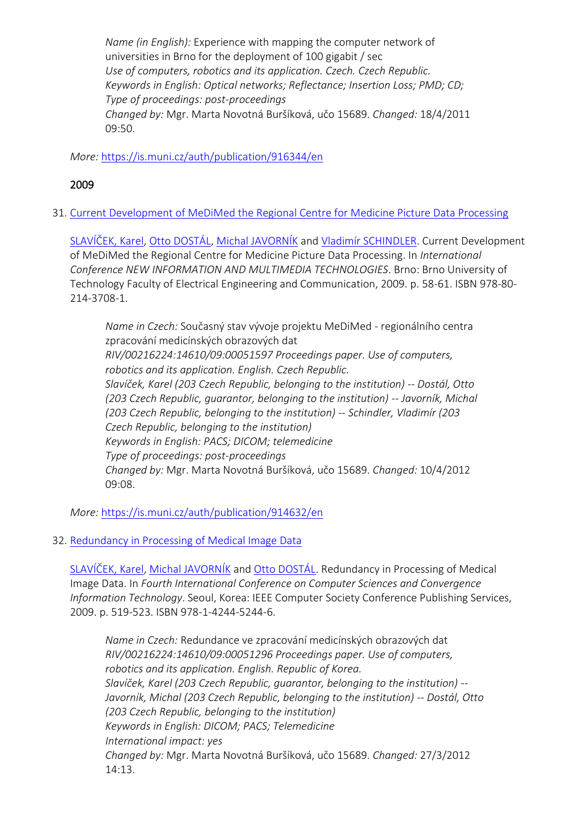*Name (in English):* Experience with mapping the computer network of universities in Brno for the deployment of 100 gigabit / sec *Use of computers, robotics and its application. Czech. Czech Republic. Keywords in English: Optical networks; Reflectance; Insertion Loss; PMD; CD; Type of proceedings: post-proceedings Changed by:* Mgr. Marta Novotná Buršíková, učo 15689. *Changed:* 18/4/2011 09:50.

*More:* [https://is.muni.cz/auth/publication/916344/en](https://is.muni.cz/auth/publication/916344/en/Zkusenosti-s-mapovanim-site-vysokych-skol-v-Brne-pro-nasazeni-100-Gbit/s/Dostal-Broucek?lang=en)

### 2009

31. [Current Development of MeDiMed the Regional Centre for Medicine Picture Data Processing](https://is.muni.cz/auth/publication/914632/en?lang=en)

[SLAVÍČEK, Karel](https://is.muni.cz/auth/person/1158?lang=en), [Otto DOSTÁL](https://is.muni.cz/auth/person/2535?lang=en), [Michal JAVORNÍK](https://is.muni.cz/auth/person/1111?lang=en) and [Vladimír SCHINDLER](https://is.muni.cz/auth/person/160298?lang=en). Current Development of MeDiMed the Regional Centre for Medicine Picture Data Processing. In *International Conference NEW INFORMATION AND MULTIMEDIA TECHNOLOGIES*. Brno: Brno University of Technology Faculty of Electrical Engineering and Communication, 2009. p. 58-61. ISBN 978-80- 214-3708-1.

*Name in Czech:* Současný stav vývoje projektu MeDiMed - regionálního centra zpracování medicínských obrazových dat *RIV/00216224:14610/09:00051597 Proceedings paper. Use of computers, robotics and its application. English. Czech Republic. Slavíček, Karel (203 Czech Republic, belonging to the institution) -- Dostál, Otto (203 Czech Republic, guarantor, belonging to the institution) -- Javorník, Michal (203 Czech Republic, belonging to the institution) -- Schindler, Vladimír (203 Czech Republic, belonging to the institution) Keywords in English: PACS; DICOM; telemedicine Type of proceedings: post-proceedings Changed by:* Mgr. Marta Novotná Buršíková, učo 15689. *Changed:* 10/4/2012 09:08.

*More:* [https://is.muni.cz/auth/publication/914632/en](https://is.muni.cz/auth/publication/914632/en/Current-Development-of-MeDiMed-the-Regional-Centre-for-Medicine-Picture-Data-Processing/Slavicek-Dostal-Javornik-Schindler?lang=en)

32. [Redundancy in Processing of Medical Image Data](https://is.muni.cz/auth/publication/872541/en?lang=en)

[SLAVÍČEK, Karel](https://is.muni.cz/auth/person/1158?lang=en), [Michal JA](https://is.muni.cz/auth/person/1111?lang=en)VORNÍK and [Otto DOSTÁL](https://is.muni.cz/auth/person/2535?lang=en). Redundancy in Processing of Medical Image Data. In *Fourth International Conference on Computer Sciences and Convergence Information Technology*. Seoul, Korea: IEEE Computer Society Conference Publishing Services, 2009. p. 519-523. ISBN 978-1-4244-5244-6.

*Name in Czech:* Redundance ve zpracování medicínských obrazových dat *RIV/00216224:14610/09:00051296 Proceedings paper. Use of computers, robotics and its application. English. Republic of Korea. Slavíček, Karel (203 Czech Republic, guarantor, belonging to the institution) -- Javorník, Michal (203 Czech Republic, belonging to the institution) -- Dostál, Otto (203 Czech Republic, belonging to the institution) Keywords in English: DICOM; PACS; Telemedicine International impact: yes Changed by:* Mgr. Marta Novotná Buršíková, učo 15689. *Changed:* 27/3/2012 14:13.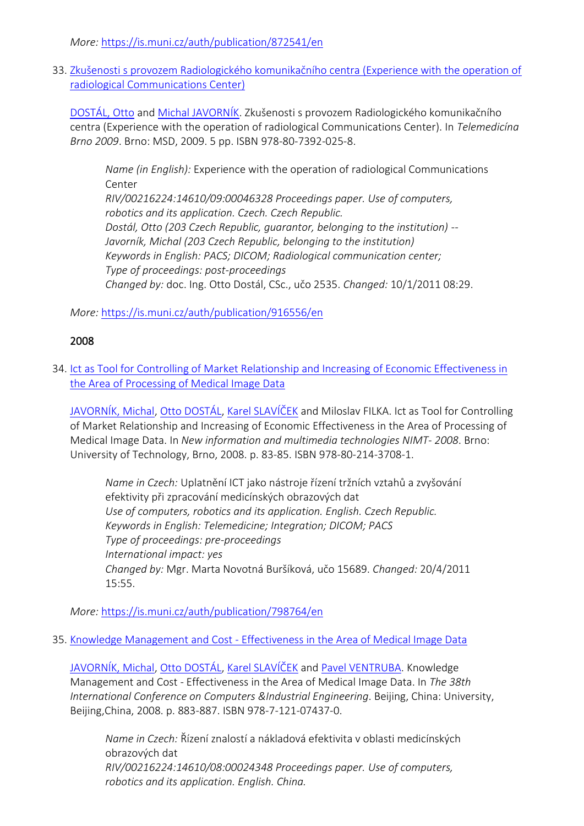*More:* [https://is.muni.cz/auth/publication/872541/en](https://is.muni.cz/auth/publication/872541/en/Redundancy-in-Processing-of-Medical-Image-Data/Slavicek-Javornik-Dostal?lang=en)

33. [Zkušenosti s provozem Radiologického komunikačního centra \(Experience with the operation of](https://is.muni.cz/auth/publication/916556/en?lang=en)  radiological [Communications Center\)](https://is.muni.cz/auth/publication/916556/en?lang=en)

[DOSTÁL, Otto](https://is.muni.cz/auth/person/2535?lang=en) and [Michal JAVORNÍK.](https://is.muni.cz/auth/person/1111?lang=en) Zkušenosti s provozem Radiologického komunikačního centra (Experience with the operation of radiological Communications Center). In *Telemedicína Brno 2009*. Brno: MSD, 2009. 5 pp. ISBN 978-80-7392-025-8.

*Name (in English):* Experience with the operation of radiological Communications Center *RIV/00216224:14610/09:00046328 Proceedings paper. Use of computers, robotics and its application. Czech. Czech Republic. Dostál, Otto (203 Czech Republic, guarantor, belonging to the institution) -- Javorník, Michal (203 Czech Republic, belonging to the institution) Keywords in English: PACS; DICOM; Radiological communication center; Type of proceedings: post-proceedings Changed by:* doc. Ing. Otto Dostál, CSc., učo 2535. *Changed:* 10/1/2011 08:29.

*More:* [https://is.muni.cz/auth/publication/916556/en](https://is.muni.cz/auth/publication/916556/en/Zkusenosti-s-provozem-Radiologickeho-komunikacniho-centra/Dostal-Javornik?lang=en)

#### 2008

34. [Ict as Tool for Controlling of Market Relationship and Increasing of Economic Effectiveness in](https://is.muni.cz/auth/publication/798764/en?lang=en)  [the Area of Processing of Medical Image Data](https://is.muni.cz/auth/publication/798764/en?lang=en)

[JAVORNÍK, Michal](https://is.muni.cz/auth/person/1111?lang=en), [Otto DOSTÁL](https://is.muni.cz/auth/person/2535?lang=en), [Karel SLAVÍČEK](https://is.muni.cz/auth/person/1158?lang=en) and Miloslav FILKA. Ict as Tool for Controlling of Market Relationship and Increasing of Economic Effectiveness in the Area of Processing of Medical Image Data. In *New information and multimedia technologies NIMT- 2008*. Brno: University of Technology, Brno, 2008. p. 83-85. ISBN 978-80-214-3708-1.

*Name in Czech:* Uplatnění ICT jako nástroje řízení tržních vztahů a zvyšování efektivity při zpracování medicínských obrazových dat *Use of computers, robotics and its application. English. Czech Republic. Keywords in English: Telemedicine; Integration; DICOM; PACS Type of proceedings: pre-proceedings International impact: yes Changed by:* Mgr. Marta Novotná Buršíková, učo 15689. *Changed:* 20/4/2011 15:55.

*More:* [https://is.muni.cz/auth/publication/798764/en](https://is.muni.cz/auth/publication/798764/en/Ict-as-Tool-for-Controlling-of-Market-Relationship-and-Increasing-of-Economic-Effectiveness-in-the-Area-of-Processing-of-Medical-Image-Data/Javornik-Dostal-Slavicek-Filka?lang=en)

35. Knowledge Management and Cost - [Effectiveness in the Area of Medical Image Data](https://is.muni.cz/auth/publication/798773/en?lang=en)

[JAVORNÍK, Michal](https://is.muni.cz/auth/person/1111?lang=en), [Otto DOSTÁL](https://is.muni.cz/auth/person/2535?lang=en), [Karel SLAVÍČEK](https://is.muni.cz/auth/person/1158?lang=en) and [Pavel VENTRUBA.](https://is.muni.cz/auth/person/1779?lang=en) Knowledge Management and Cost - Effectiveness in the Area of Medical Image Data. In *The 38th International Conference on Computers &Industrial Engineering*. Beijing, China: University, Beijing,China, 2008. p. 883-887. ISBN 978-7-121-07437-0.

*Name in Czech:* Řízení znalostí a nákladová efektivita v oblasti medicínských obrazových dat *RIV/00216224:14610/08:00024348 Proceedings paper. Use of computers, robotics and its application. English. China.*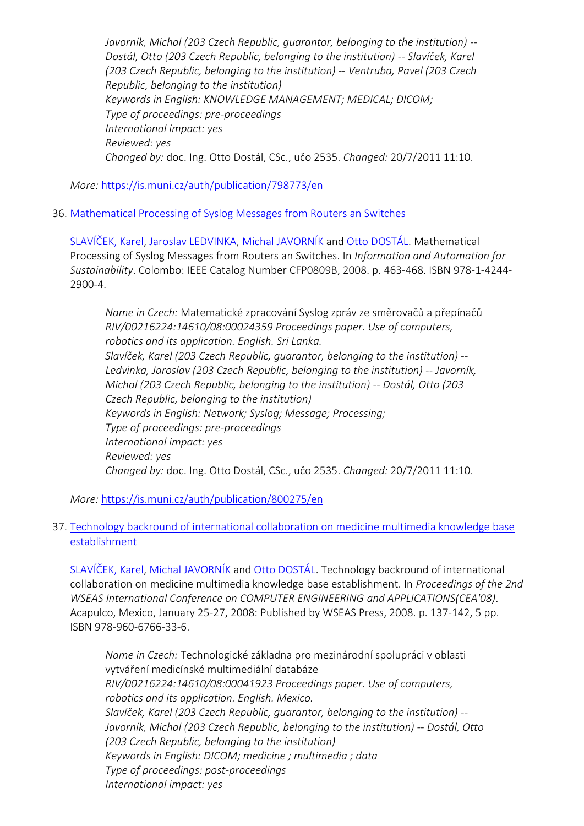*Javorník, Michal (203 Czech Republic, guarantor, belonging to the institution) -- Dostál, Otto (203 Czech Republic, belonging to the institution) -- Slavíček, Karel (203 Czech Republic, belonging to the institution) -- Ventruba, Pavel (203 Czech Republic, belonging to the institution) Keywords in English: KNOWLEDGE MANAGEMENT; MEDICAL; DICOM; Type of proceedings: pre-proceedings International impact: yes Reviewed: yes Changed by:* doc. Ing. Otto Dostál, CSc., učo 2535. *Changed:* 20/7/2011 11:10.

*More:* [https://is.muni.cz/auth/publication/798773/en](https://is.muni.cz/auth/publication/798773/en/Knowledge-Management-and-Cost-Effectiveness-in-the-Area-of-Medical-Image-Data/Javornik-Dostal-Slavicek-Ventruba?lang=en)

36. [Mathematical Processing of Syslog Messages from Routers an Switches](https://is.muni.cz/auth/publication/800275/en?lang=en)

[SLAVÍČEK, Karel](https://is.muni.cz/auth/person/1158?lang=en), [Jaroslav LEDVINKA,](https://is.muni.cz/auth/person/510?lang=en) [Michal JAVORNÍK](https://is.muni.cz/auth/person/1111?lang=en) and [Otto DOSTÁL](https://is.muni.cz/auth/person/2535?lang=en). Mathematical Processing of Syslog Messages from Routers an Switches. In *Information and Automation for Sustainability*. Colombo: IEEE Catalog Number CFP0809B, 2008. p. 463-468. ISBN 978-1-4244- 2900-4.

*Name in Czech:* Matematické zpracování Syslog zpráv ze směrovačů a přepínačů *RIV/00216224:14610/08:00024359 Proceedings paper. Use of computers, robotics and its application. English. Sri Lanka. Slavíček, Karel (203 Czech Republic, guarantor, belonging to the institution) -- Ledvinka, Jaroslav (203 Czech Republic, belonging to the institution) -- Javorník, Michal (203 Czech Republic, belonging to the institution) -- Dostál, Otto (203 Czech Republic, belonging to the institution) Keywords in English: Network; Syslog; Message; Processing; Type of proceedings: pre-proceedings International impact: yes Reviewed: yes Changed by:* doc. Ing. Otto Dostál, CSc., učo 2535. *Changed:* 20/7/2011 11:10.

*More:* [https://is.muni.cz/auth/publication/800275/en](https://is.muni.cz/auth/publication/800275/en/Mathematical-Processing-of-Syslog-Messages-from-Routers-an-Switches/Slavicek-Ledvinka-Javornik-Dostal?lang=en)

### 37. [Technology backround of international collaboration on medicine multimedia knowledge base](https://is.muni.cz/auth/publication/766557/en?lang=en)  [establishment](https://is.muni.cz/auth/publication/766557/en?lang=en)

[SLAVÍČEK, Karel](https://is.muni.cz/auth/person/1158?lang=en), [Michal JAVORNÍK](https://is.muni.cz/auth/person/1111?lang=en) and [Otto DOSTÁL](https://is.muni.cz/auth/person/2535?lang=en). Technology backround of international collaboration on medicine multimedia knowledge base establishment. In *Proceedings of the 2nd WSEAS International Conference on COMPUTER ENGINEERING and APPLICATIONS(CEA'08)*. Acapulco, Mexico, January 25-27, 2008: Published by WSEAS Press, 2008. p. 137-142, 5 pp. ISBN 978-960-6766-33-6.

*Name in Czech:* Technologické základna pro mezinárodní spolupráci v oblasti vytváření medicínské multimediální databáze *RIV/00216224:14610/08:00041923 Proceedings paper. Use of computers, robotics and its application. English. Mexico. Slavíček, Karel (203 Czech Republic, guarantor, belonging to the institution) -- Javorník, Michal (203 Czech Republic, belonging to the institution) -- Dostál, Otto (203 Czech Republic, belonging to the institution) Keywords in English: DICOM; medicine ; multimedia ; data Type of proceedings: post-proceedings International impact: yes*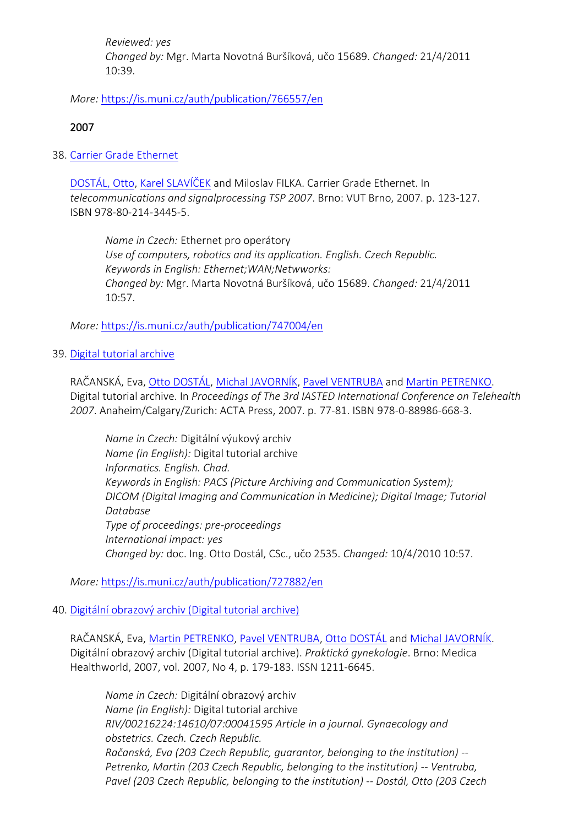*Reviewed: yes Changed by:* Mgr. Marta Novotná Buršíková, učo 15689. *Changed:* 21/4/2011 10:39.

*More:* [https://is.muni.cz/auth/publication/766557/en](https://is.muni.cz/auth/publication/766557/en/Technology-backround-of-international-collaboration-on-medicine-multimedia-knowledge-base-establishment/Slavicek-Javornik-Dostal?lang=en)

#### 2007

38. [Carrier Grade Ethernet](https://is.muni.cz/auth/publication/747004/en?lang=en)

[DOSTÁL, Otto](https://is.muni.cz/auth/person/2535?lang=en), [Karel SLAVÍČEK](https://is.muni.cz/auth/person/1158?lang=en) and Miloslav FILKA. Carrier Grade Ethernet. In *telecommunications and signalprocessing TSP 2007*. Brno: VUT Brno, 2007. p. 123-127. ISBN 978-80-214-3445-5.

*Name in Czech:* Ethernet pro operátory *Use of computers, robotics and its application. English. Czech Republic. Keywords in English: Ethernet;WAN;Netwworks: Changed by:* Mgr. Marta Novotná Buršíková, učo 15689. *Changed:* 21/4/2011 10:57.

*More:* [https://is.muni.cz/auth/publication/747004/en](https://is.muni.cz/auth/publication/747004/en/Carrier-Grade-Ethernet/Dostal-Slavicek-Filka?lang=en)

#### 39. [Digital tutorial archive](https://is.muni.cz/auth/publication/727882/en?lang=en)

RAČANSKÁ, Eva, [Otto DOSTÁL](https://is.muni.cz/auth/person/2535?lang=en), [Michal JAVORNÍK](https://is.muni.cz/auth/person/1111?lang=en), [Pavel VENTRUBA](https://is.muni.cz/auth/person/1779?lang=en) and [Martin PETRENKO.](https://is.muni.cz/auth/person/31215?lang=en) Digital tutorial archive. In *Proceedings of The 3rd IASTED International Conference on Telehealth 2007*. Anaheim/Calgary/Zurich: ACTA Press, 2007. p. 77-81. ISBN 978-0-88986-668-3.

*Name in Czech:* Digitální výukový archiv *Name (in English):* Digital tutorial archive *Informatics. English. Chad. Keywords in English: PACS (Picture Archiving and Communication System); DICOM (Digital Imaging and Communication in Medicine); Digital Image; Tutorial Database Type of proceedings: pre-proceedings International impact: yes Changed by:* doc. Ing. Otto Dostál, CSc., učo 2535. *Changed:* 10/4/2010 10:57.

*More:* [https://is.muni.cz/auth/publication/727882/en](https://is.muni.cz/auth/publication/727882/en/Digital-tutorial-archive/Racanska-Dostal-Javornik-Ventruba?lang=en)

#### 40. [Digitální obrazový archiv \(Digital tutorial archive\)](https://is.muni.cz/auth/publication/727885/en?lang=en)

RAČANSKÁ, Eva, [Martin PETRENKO,](https://is.muni.cz/auth/person/31215?lang=en) [Pavel VENTRUBA,](https://is.muni.cz/auth/person/1779?lang=en) [Otto DOSTÁL](https://is.muni.cz/auth/person/2535?lang=en) and [Michal JAVORNÍK](https://is.muni.cz/auth/person/1111?lang=en). Digitální obrazový archiv (Digital tutorial archive). *Praktická gynekologie*. Brno: Medica Healthworld, 2007, vol. 2007, No 4, p. 179-183. ISSN 1211-6645.

*Name in Czech:* Digitální obrazový archiv *Name (in English):* Digital tutorial archive *RIV/00216224:14610/07:00041595 Article in a journal. Gynaecology and obstetrics. Czech. Czech Republic. Račanská, Eva (203 Czech Republic, guarantor, belonging to the institution) -- Petrenko, Martin (203 Czech Republic, belonging to the institution) -- Ventruba, Pavel (203 Czech Republic, belonging to the institution) -- Dostál, Otto (203 Czech*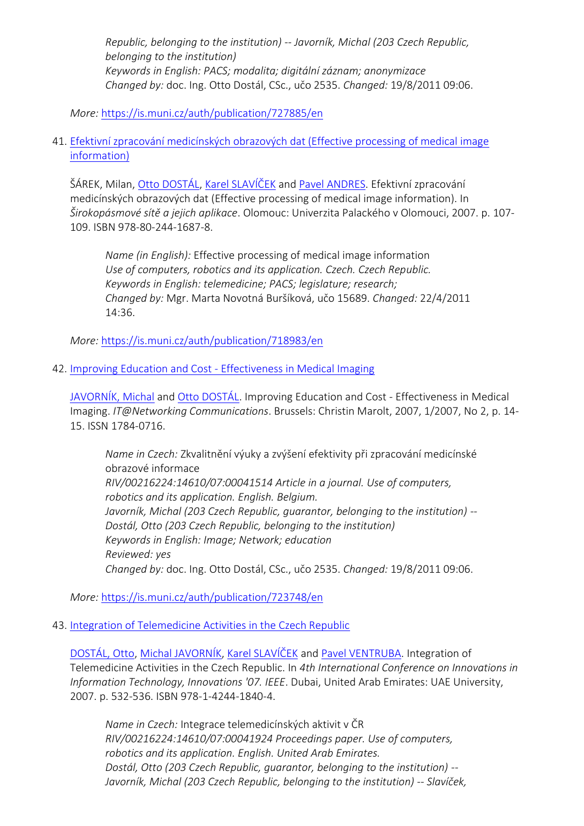*Republic, belonging to the institution) -- Javorník, Michal (203 Czech Republic, belonging to the institution) Keywords in English: PACS; modalita; digitální záznam; anonymizace Changed by:* doc. Ing. Otto Dostál, CSc., učo 2535. *Changed:* 19/8/2011 09:06.

*More:* [https://is.muni.cz/auth/publication/727885/en](https://is.muni.cz/auth/publication/727885/en/Digitalni-obrazovy-archiv/Racanska-Petrenko-Ventruba-Dostal?lang=en)

41. [Efektivní zpracování medicínských obrazových dat \(Effective processing of medical image](https://is.muni.cz/auth/publication/718983/en?lang=en)  [information\)](https://is.muni.cz/auth/publication/718983/en?lang=en)

ŠÁREK, Milan, [Otto DOSTÁL](https://is.muni.cz/auth/person/2535?lang=en), [Karel SLAVÍČEK](https://is.muni.cz/auth/person/1158?lang=en) and [Pavel ANDRES](https://is.muni.cz/auth/person/96602?lang=en). Efektivní zpracování medicínských obrazových dat (Effective processing of medical image information). In *Širokopásmové sítě a jejich aplikace*. Olomouc: Univerzita Palackého v Olomouci, 2007. p. 107- 109. ISBN 978-80-244-1687-8.

*Name (in English):* Effective processing of medical image information *Use of computers, robotics and its application. Czech. Czech Republic. Keywords in English: telemedicine; PACS; legislature; research; Changed by:* Mgr. Marta Novotná Buršíková, učo 15689. *Changed:* 22/4/2011 14:36.

*More:* [https://is.muni.cz/auth/publication/718983/en](https://is.muni.cz/auth/publication/718983/en/Efektivni-zpracovani-medicinskych-obrazovych-dat/Sarek-Dostal-Slavicek-Andres?lang=en)

42. Improving Education and Cost - [Effectiveness in Medical Imaging](https://is.muni.cz/auth/publication/723748/en?lang=en)

[JAVORNÍK, Michal](https://is.muni.cz/auth/person/1111?lang=en) and [Otto DOSTÁL](https://is.muni.cz/auth/person/2535?lang=en). Improving Education and Cost - Effectiveness in Medical Imaging. *IT@Networking Communications*. Brussels: Christin Marolt, 2007, 1/2007, No 2, p. 14- 15. ISSN 1784-0716.

*Name in Czech:* Zkvalitnění výuky a zvýšení efektivity při zpracování medicínské obrazové informace *RIV/00216224:14610/07:00041514 Article in a journal. Use of computers, robotics and its application. English. Belgium. Javorník, Michal (203 Czech Republic, guarantor, belonging to the institution) -- Dostál, Otto (203 Czech Republic, belonging to the institution) Keywords in English: Image; Network; education Reviewed: yes Changed by:* doc. Ing. Otto Dostál, CSc., učo 2535. *Changed:* 19/8/2011 09:06.

*More:* [https://is.muni.cz/auth/publication/723748/en](https://is.muni.cz/auth/publication/723748/en/Improving-Education-and-Cost-Effectiveness-in-Medical-Imaging/Javornik-Dostal?lang=en)

43. [Integration of Telemedicine Activities in the Czech Republic](https://is.muni.cz/auth/publication/766560/en?lang=en)

[DOSTÁL, Otto](https://is.muni.cz/auth/person/2535?lang=en), [Michal JAVORNÍK](https://is.muni.cz/auth/person/1111?lang=en), [Karel SLAVÍČEK](https://is.muni.cz/auth/person/1158?lang=en) and [Pavel VENTRUBA.](https://is.muni.cz/auth/person/1779?lang=en) Integration of Telemedicine Activities in the Czech Republic. In *4th International Conference on Innovations in Information Technology, Innovations '07. IEEE*. Dubai, United Arab Emirates: UAE University, 2007. p. 532-536. ISBN 978-1-4244-1840-4.

*Name in Czech:* Integrace telemedicínských aktivit v ČR *RIV/00216224:14610/07:00041924 Proceedings paper. Use of computers, robotics and its application. English. United Arab Emirates. Dostál, Otto (203 Czech Republic, guarantor, belonging to the institution) -- Javorník, Michal (203 Czech Republic, belonging to the institution) -- Slavíček,*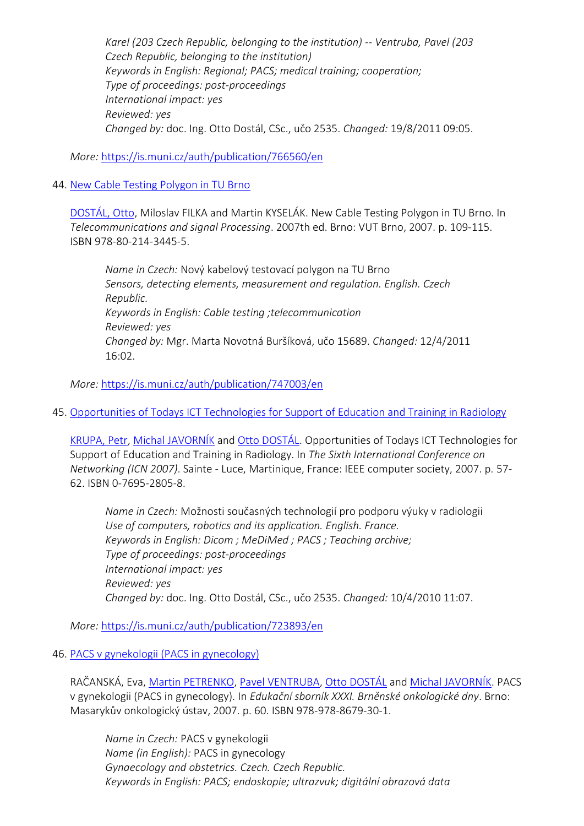*Karel (203 Czech Republic, belonging to the institution) -- Ventruba, Pavel (203 Czech Republic, belonging to the institution) Keywords in English: Regional; PACS; medical training; cooperation; Type of proceedings: post-proceedings International impact: yes Reviewed: yes Changed by:* doc. Ing. Otto Dostál, CSc., učo 2535. *Changed:* 19/8/2011 09:05.

*More:* [https://is.muni.cz/auth/publication/766560/en](https://is.muni.cz/auth/publication/766560/en/Integration-of-Telemedicine-Activities-in-the-Czech-Republic/Dostal-Javornik-Slavicek-Ventruba?lang=en)

#### 44. [New Cable Testing Polygon in TU Brno](https://is.muni.cz/auth/publication/747003/en?lang=en)

[DOSTÁL, Otto,](https://is.muni.cz/auth/person/2535?lang=en) Miloslav FILKA and Martin KYSELÁK. New Cable Testing Polygon in TU Brno. In *Telecommunications and signal Processing*. 2007th ed. Brno: VUT Brno, 2007. p. 109-115. ISBN 978-80-214-3445-5.

*Name in Czech:* Nový kabelový testovací polygon na TU Brno *Sensors, detecting elements, measurement and regulation. English. Czech Republic. Keywords in English: Cable testing ;telecommunication Reviewed: yes Changed by:* Mgr. Marta Novotná Buršíková, učo 15689. *Changed:* 12/4/2011 16:02.

*More:* [https://is.muni.cz/auth/publication/747003/en](https://is.muni.cz/auth/publication/747003/en/New-Cable-Testing-Polygon-in-TU-Brno/Dostal-Filka-Kyselak?lang=en)

45. [Opportunities of Todays ICT Technologies for Support of Education and Training in Radiology](https://is.muni.cz/auth/publication/723893/en?lang=en)

[KRUPA, Petr,](https://is.muni.cz/auth/person/2084?lang=en) Michal J[AVORNÍK](https://is.muni.cz/auth/person/1111?lang=en) and [Otto DOSTÁL](https://is.muni.cz/auth/person/2535?lang=en). Opportunities of Todays ICT Technologies for Support of Education and Training in Radiology. In *The Sixth International Conference on Networking (ICN 2007)*. Sainte - Luce, Martinique, France: IEEE computer society, 2007. p. 57- 62. ISBN 0-7695-2805-8.

*Name in Czech:* Možnosti současných technologií pro podporu výuky v radiologii *Use of computers, robotics and its application. English. France. Keywords in English: Dicom ; MeDiMed ; PACS ; Teaching archive; Type of proceedings: post-proceedings International impact: yes Reviewed: yes Changed by:* doc. Ing. Otto Dostál, CSc., učo 2535. *Changed:* 10/4/2010 11:07.

*More:* [https://is.muni.cz/auth/publication/723893/en](https://is.muni.cz/auth/publication/723893/en/Opportunities-of-Todays-ICT-Technologies-for-Support-of-Education-and-Training-in-Radiology/Krupa-Javornik-Dostal?lang=en)

#### 46. [PACS v gynekologii \(PACS in gynecology\)](https://is.muni.cz/auth/publication/727884/en?lang=en)

RAČANSKÁ, Eva, [Martin PETRENKO,](https://is.muni.cz/auth/person/31215?lang=en) [Pavel VENTRUBA,](https://is.muni.cz/auth/person/1779?lang=en) [Otto DOSTÁL](https://is.muni.cz/auth/person/2535?lang=en) and [Michal JAVORNÍK](https://is.muni.cz/auth/person/1111?lang=en). PACS v gynekologii (PACS in gynecology). In *Edukační sborník XXXI. Brněnské onkologické dny*. Brno: Masarykův onkologický ústav, 2007. p. 60. ISBN 978-978-8679-30-1.

*Name in Czech:* PACS v gynekologii *Name (in English):* PACS in gynecology *Gynaecology and obstetrics. Czech. Czech Republic. Keywords in English: PACS; endoskopie; ultrazvuk; digitální obrazová data*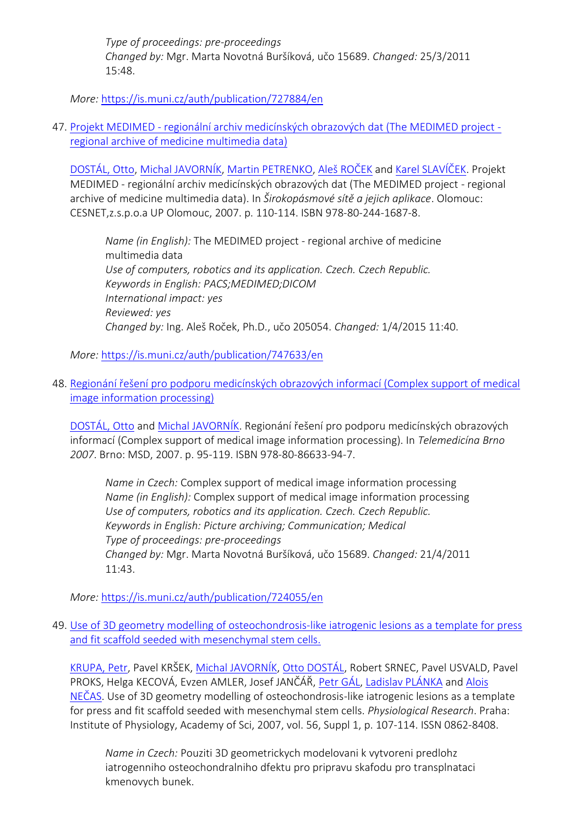*Type of proceedings: pre-proceedings Changed by:* Mgr. Marta Novotná Buršíková, učo 15689. *Changed:* 25/3/2011 15:48.

*More:* [https://is.muni.cz/auth/publication/727884/en](https://is.muni.cz/auth/publication/727884/en/PACS-v-gynekologii/Racanska-Petrenko-Ventruba-Dostal?lang=en)

47. Projekt MEDIMED - [regionální archiv medicínských obrazových dat \(The MEDIMED project](https://is.muni.cz/auth/publication/747633/en?lang=en)  [regional archive of medicine multimedia data\)](https://is.muni.cz/auth/publication/747633/en?lang=en)

[DOSTÁL, Otto](https://is.muni.cz/auth/person/2535?lang=en), [Michal JAVORNÍK](https://is.muni.cz/auth/person/1111?lang=en), [Martin PETRENKO,](https://is.muni.cz/auth/person/31215?lang=en) [Aleš ROČEK](https://is.muni.cz/auth/person/205054?lang=en) and [Karel SLAVÍČEK](https://is.muni.cz/auth/person/1158?lang=en). Projekt MEDIMED - regionální archiv medicínských obrazových dat (The MEDIMED project - regional archive of medicine multimedia data). In *Širokopásmové sítě a jejich aplikace*. Olomouc: CESNET,z.s.p.o.a UP Olomouc, 2007. p. 110-114. ISBN 978-80-244-1687-8.

*Name (in English):* The MEDIMED project - regional archive of medicine multimedia data *Use of computers, robotics and its application. Czech. Czech Republic. Keywords in English: PACS;MEDIMED;DICOM International impact: yes Reviewed: yes Changed by:* Ing. Aleš Roček, Ph.D., učo 205054. *Changed:* 1/4/2015 11:40.

*More:* [https://is.muni.cz/auth/publication/747633/en](https://is.muni.cz/auth/publication/747633/en/Projekt-MEDIMED-regionalni-archiv-medicinskych-obrazovych-dat/Dostal-Javornik-Petrenko-Rocek?lang=en)

48. [Regionání řešení pro podporu medicínských obrazových informací \(Complex support of medical](https://is.muni.cz/auth/publication/724055/en?lang=en)  [image information processing\)](https://is.muni.cz/auth/publication/724055/en?lang=en)

[DOSTÁL, Otto](https://is.muni.cz/auth/person/2535?lang=en) and [Michal JAVORNÍK.](https://is.muni.cz/auth/person/1111?lang=en) Regionání řešení pro podporu medicínských obrazových informací (Complex support of medical image information processing). In *Telemedicína Brno 2007*. Brno: MSD, 2007. p. 95-119. ISBN 978-80-86633-94-7.

*Name in Czech:* Complex support of medical image information processing *Name (in English):* Complex support of medical image information processing *Use of computers, robotics and its application. Czech. Czech Republic. Keywords in English: Picture archiving; Communication; Medical Type of proceedings: pre-proceedings Changed by:* Mgr. Marta Novotná Buršíková, učo 15689. *Changed:* 21/4/2011 11:43.

*More:* [https://is.muni.cz/auth/publication/724055/en](https://is.muni.cz/auth/publication/724055/en/Regionani-reseni-pro-podporu-medicinskych-obrazovych-informaci/Dostal-Javornik?lang=en)

49. [Use of 3D geometry modelling of osteochondrosis-like iatrogenic lesions as a template for press](https://is.muni.cz/auth/publication/771705/en?lang=en)  [and fit scaffold seeded with mesenchymal stem cells.](https://is.muni.cz/auth/publication/771705/en?lang=en)

[KRUPA, Petr](https://is.muni.cz/auth/person/2084?lang=en), Pavel KRŠEK, [Michal JAVORNÍK](https://is.muni.cz/auth/person/1111?lang=en), [Otto DOSTÁL](https://is.muni.cz/auth/person/2535?lang=en), Robert SRNEC, Pavel USVALD, Pavel PROKS, Helga KECOVÁ, Evzen AMLER, Josef JANČÁŘ, [Petr GÁL](https://is.muni.cz/auth/person/1765?lang=en), [Ladislav PLÁNKA](https://is.muni.cz/auth/person/20583?lang=en) and [Alois](https://is.muni.cz/auth/person/24520?lang=en)  [NEČAS](https://is.muni.cz/auth/person/24520?lang=en). Use of 3D geometry modelling of osteochondrosis-like iatrogenic lesions as a template for press and fit scaffold seeded with mesenchymal stem cells. *Physiological Research*. Praha: Institute of Physiology, Academy of Sci, 2007, vol. 56, Suppl 1, p. 107-114. ISSN 0862-8408.

*Name in Czech:* Pouziti 3D geometrickych modelovani k vytvoreni predlohz iatrogenniho osteochondralniho dfektu pro pripravu skafodu pro transplnataci kmenovych bunek.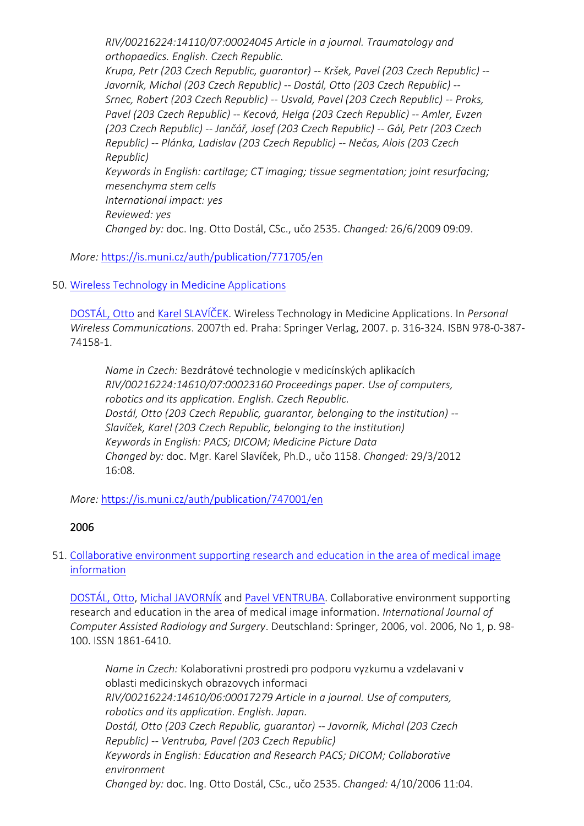*RIV/00216224:14110/07:00024045 Article in a journal. Traumatology and orthopaedics. English. Czech Republic. Krupa, Petr (203 Czech Republic, guarantor) -- Kršek, Pavel (203 Czech Republic) -- Javorník, Michal (203 Czech Republic) -- Dostál, Otto (203 Czech Republic) -- Srnec, Robert (203 Czech Republic) -- Usvald, Pavel (203 Czech Republic) -- Proks, Pavel (203 Czech Republic) -- Kecová, Helga (203 Czech Republic) -- Amler, Evzen (203 Czech Republic) -- Jančář, Josef (203 Czech Republic) -- Gál, Petr (203 Czech Republic) -- Plánka, Ladislav (203 Czech Republic) -- Nečas, Alois (203 Czech Republic) Keywords in English: cartilage; CT imaging; tissue segmentation; joint resurfacing; mesenchyma stem cells International impact: yes Reviewed: yes Changed by:* doc. Ing. Otto Dostál, CSc., učo 2535. *Changed:* 26/6/2009 09:09.

#### *More:* [https://is.muni.cz/auth/publication/771705/en](https://is.muni.cz/auth/publication/771705/en/Use-of-3D-geometry-modelling-of-osteochondrosis-like-iatrogenic-lesions-as-a-template-for-press-and-fit-scaffold-seeded-with-mesenchymal-stem-cells/Krupa-Krsek-Javornik-Dostal?lang=en)

#### 50. [Wireless Technology in Medicine Applications](https://is.muni.cz/auth/publication/747001/en?lang=en)

[DOSTÁL, Otto](https://is.muni.cz/auth/person/2535?lang=en) and [Karel SLAVÍČEK](https://is.muni.cz/auth/person/1158?lang=en). Wireless Technology in Medicine Applications. In *Personal Wireless Communications*. 2007th ed. Praha: Springer Verlag, 2007. p. 316-324. ISBN 978-0-387- 74158-1.

*Name in Czech:* Bezdrátové technologie v medicínských aplikacích *RIV/00216224:14610/07:00023160 Proceedings paper. Use of computers, robotics and its application. English. Czech Republic. Dostál, Otto (203 Czech Republic, guarantor, belonging to the institution) -- Slavíček, Karel (203 Czech Republic, belonging to the institution) Keywords in English: PACS; DICOM; Medicine Picture Data Changed by:* doc. Mgr. Karel Slavíček, Ph.D., učo 1158. *Changed:* 29/3/2012 16:08.

*More:* [https://is.muni.cz/auth/publication/747001/en](https://is.muni.cz/auth/publication/747001/en/Wireless-Technology-in-Medicine-Applications/Dostal-Slavicek?lang=en)

#### 2006

#### 51. [Collaborative environment supporting research and education in the area of medical image](https://is.muni.cz/auth/publication/697369/en?lang=en)  [information](https://is.muni.cz/auth/publication/697369/en?lang=en)

[DOSTÁL, Otto](https://is.muni.cz/auth/person/2535?lang=en), [Michal JAVORNÍK](https://is.muni.cz/auth/person/1111?lang=en) and [Pavel VENTRUBA.](https://is.muni.cz/auth/person/1779?lang=en) Collaborative environment supporting research and education in the area of medical image information. *International Journal of Computer Assisted Radiology and Surgery*. Deutschland: Springer, 2006, vol. 2006, No 1, p. 98- 100. ISSN 1861-6410.

*Name in Czech:* Kolaborativni prostredi pro podporu vyzkumu a vzdelavani v oblasti medicinskych obrazovych informaci *RIV/00216224:14610/06:00017279 Article in a journal. Use of computers, robotics and its application. English. Japan. Dostál, Otto (203 Czech Republic, guarantor) -- Javorník, Michal (203 Czech Republic) -- Ventruba, Pavel (203 Czech Republic) Keywords in English: Education and Research PACS; DICOM; Collaborative environment Changed by:* doc. Ing. Otto Dostál, CSc., učo 2535. *Changed:* 4/10/2006 11:04.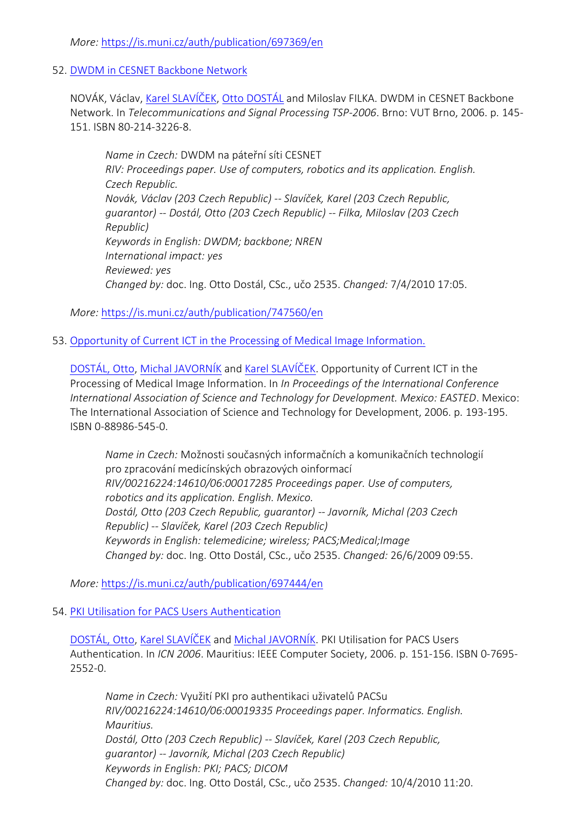*More:* [https://is.muni.cz/auth/publication/697369/en](https://is.muni.cz/auth/publication/697369/en/Collaborative-environment-supporting-research-and-education-in-the-area-of-medical-image-information/Dostal-Javornik-Ventruba?lang=en)

#### 52. [DWDM in CESNET Backbone Network](https://is.muni.cz/auth/publication/747560/en?lang=en)

NOVÁK, Václav, [Karel SLAVÍČEK](https://is.muni.cz/auth/person/1158?lang=en), [Otto DOSTÁL](https://is.muni.cz/auth/person/2535?lang=en) and Miloslav FILKA. DWDM in CESNET Backbone Network. In *Telecommunications and Signal Processing TSP-2006*. Brno: VUT Brno, 2006. p. 145- 151. ISBN 80-214-3226-8.

*Name in Czech:* DWDM na páteřní síti CESNET *RIV: Proceedings paper. Use of computers, robotics and its application. English. Czech Republic. Novák, Václav (203 Czech Republic) -- Slavíček, Karel (203 Czech Republic, guarantor) -- Dostál, Otto (203 Czech Republic) -- Filka, Miloslav (203 Czech Republic) Keywords in English: DWDM; backbone; NREN International impact: yes Reviewed: yes Changed by:* doc. Ing. Otto Dostál, CSc., učo 2535. *Changed:* 7/4/2010 17:05.

*More:* [https://is.muni.cz/auth/publication/747560/en](https://is.muni.cz/auth/publication/747560/en/DWDM-in-CESNET-Backbone-Network/Novak-Slavicek-Dostal-Filka?lang=en)

#### 53. [Opportunity of Current ICT in the Processing of Medical Image Information.](https://is.muni.cz/auth/publication/697444/en?lang=en)

[DOSTÁL, Otto](https://is.muni.cz/auth/person/2535?lang=en), [Michal JAVORNÍK](https://is.muni.cz/auth/person/1111?lang=en) and [Karel SLAVÍČEK](https://is.muni.cz/auth/person/1158?lang=en). Opportunity of Current ICT in the Processing of Medical Image Information. In *In Proceedings of the International Conference International Association of Science and Technology for Development. Mexico: EASTED*. Mexico: The International Association of Science and Technology for Development, 2006. p. 193-195. ISBN 0-88986-545-0.

*Name in Czech:* Možnosti současných informačních a komunikačních technologií pro zpracování medicínských obrazových oinformací *RIV/00216224:14610/06:00017285 Proceedings paper. Use of computers, robotics and its application. English. Mexico. Dostál, Otto (203 Czech Republic, guarantor) -- Javorník, Michal (203 Czech Republic) -- Slavíček, Karel (203 Czech Republic) Keywords in English: telemedicine; wireless; PACS;Medical;Image Changed by:* doc. Ing. Otto Dostál, CSc., učo 2535. *Changed:* 26/6/2009 09:55.

*More:* [https://is.muni.cz/auth/publication/697444/en](https://is.muni.cz/auth/publication/697444/en/Opportunity-of-Current-ICT-in-the-Processing-of-Medical-Image-Information/Dostal-Javornik-Slavicek?lang=en)

#### 54. [PKI Utilisation for PACS Users Authentication](https://is.muni.cz/auth/publication/697294/en?lang=en)

[DOSTÁL, Otto](https://is.muni.cz/auth/person/2535?lang=en), [Karel SLAVÍČEK](https://is.muni.cz/auth/person/1158?lang=en) and Michal [JAVORNÍK](https://is.muni.cz/auth/person/1111?lang=en). PKI Utilisation for PACS Users Authentication. In *ICN 2006*. Mauritius: IEEE Computer Society, 2006. p. 151-156. ISBN 0-7695- 2552-0.

*Name in Czech:* Využití PKI pro authentikaci uživatelů PACSu *RIV/00216224:14610/06:00019335 Proceedings paper. Informatics. English. Mauritius. Dostál, Otto (203 Czech Republic) -- Slavíček, Karel (203 Czech Republic, guarantor) -- Javorník, Michal (203 Czech Republic) Keywords in English: PKI; PACS; DICOM Changed by:* doc. Ing. Otto Dostál, CSc., učo 2535. *Changed:* 10/4/2010 11:20.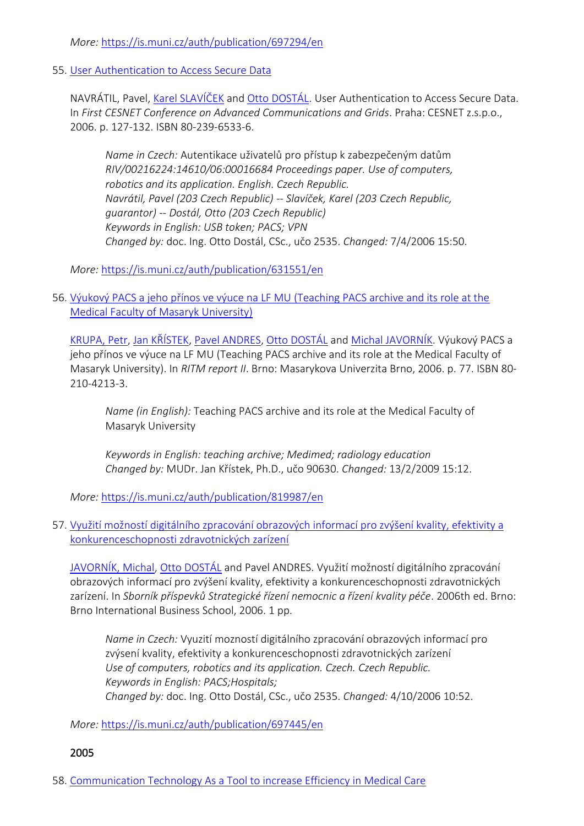*More:* [https://is.muni.cz/auth/publication/697294/en](https://is.muni.cz/auth/publication/697294/en/PKI-Utilisation-for-PACS-Users-Authentication/Dostal-Slavicek-Javornik?lang=en)

55. [User Authentication to Access Secure Data](https://is.muni.cz/auth/publication/631551/en?lang=en)

NAVRÁTIL, Pavel, [Karel SLAVÍČEK](https://is.muni.cz/auth/person/1158?lang=en) and [Otto DOSTÁL](https://is.muni.cz/auth/person/2535?lang=en). User Authentication to Access Secure Data. In *First CESNET Conference on Advanced Communications and Grids*. Praha: CESNET z.s.p.o., 2006. p. 127-132. ISBN 80-239-6533-6.

*Name in Czech:* Autentikace uživatelů pro přístup k zabezpečeným datům *RIV/00216224:14610/06:00016684 Proceedings paper. Use of computers, robotics and its application. English. Czech Republic. Navrátil, Pavel (203 Czech Republic) -- Slavíček, Karel (203 Czech Republic, guarantor) -- Dostál, Otto (203 Czech Republic) Keywords in English: USB token; PACS; VPN Changed by:* doc. Ing. Otto Dostál, CSc., učo 2535. *Changed:* 7/4/2006 15:50.

*More:* [https://is.muni.cz/auth/publication/631551/en](https://is.muni.cz/auth/publication/631551/en/User-Authentication-to-Access-Secure-Data/Navratil-Slavicek-Dostal?lang=en)

56. [Výukový PACS a jeho přínos ve výuce na LF MU \(Teaching PACS archive and its role at the](https://is.muni.cz/auth/publication/819987/en?lang=en)  [Medical Faculty of Masaryk University\)](https://is.muni.cz/auth/publication/819987/en?lang=en)

[KRUPA, Petr,](https://is.muni.cz/auth/person/2084?lang=en) [Jan KŘÍSTEK](https://is.muni.cz/auth/person/90630?lang=en), [Pavel ANDRES,](https://is.muni.cz/auth/person/96602?lang=en) [Otto DOSTÁL](https://is.muni.cz/auth/person/2535?lang=en) and [Michal JAVORNÍK.](https://is.muni.cz/auth/person/1111?lang=en) Výukový PACS a jeho přínos ve výuce na LF MU (Teaching PACS archive and its role at the Medical Faculty of Masaryk University). In *RITM report II*. Brno: Masarykova Univerzita Brno, 2006. p. 77. ISBN 80- 210-4213-3.

*Name (in English):* Teaching PACS archive and its role at the Medical Faculty of Masaryk University

*Keywords in English: teaching archive; Medimed; radiology education Changed by:* MUDr. Jan Křístek, Ph.D., učo 90630. *Changed:* 13/2/2009 15:12.

*More:* [https://is.muni.cz/auth/publication/819987/en](https://is.muni.cz/auth/publication/819987/en/Vyukovy-PACS-a-jeho-prinos-ve-vyuce-na-LF-MU/Krupa-Kristek-Andres-Dostal?lang=en)

57. [Využití možností digitálního zpracování obrazových informací pro zvýšení kvality, efektivity a](https://is.muni.cz/auth/publication/697445/en?lang=en)  [konkurenceschopnosti zdravotnických zarízení](https://is.muni.cz/auth/publication/697445/en?lang=en)

[JAVORNÍK, Michal](https://is.muni.cz/auth/person/1111?lang=en), [Otto DOSTÁL](https://is.muni.cz/auth/person/2535?lang=en) and Pavel ANDRES. Využití možností digitálního zpracování obrazových informací pro zvýšení kvality, efektivity a konkurenceschopnosti zdravotnických zarízení. In *Sborník příspevků Strategické řízení nemocnic a řízení kvality péče*. 2006th ed. Brno: Brno International Business School, 2006. 1 pp.

*Name in Czech:* Vyuzití mozností digitálního zpracování obrazových informací pro zvýsení kvality, efektivity a konkurenceschopnosti zdravotnických zarízení *Use of computers, robotics and its application. Czech. Czech Republic. Keywords in English: PACS;Hospitals; Changed by:* doc. Ing. Otto Dostál, CSc., učo 2535. *Changed:* 4/10/2006 10:52.

*More:* [https://is.muni.cz/auth/publication/697445/en](https://is.muni.cz/auth/publication/697445/en/Vyuziti-moznosti-digitalniho-zpracovani-obrazovych-informaci-pro-zvyseni-kvality-efektivity-a-konkurenceschopnosti-zdravotnickych-zarizeni/Javornik-Dostal-Andres?lang=en)

#### 2005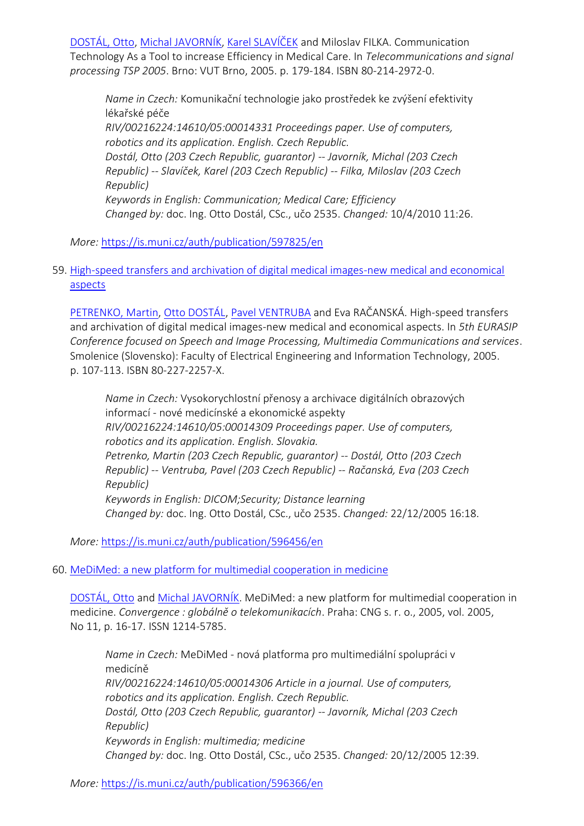[DOSTÁL, Otto](https://is.muni.cz/auth/person/2535?lang=en), [Michal JAVORNÍK](https://is.muni.cz/auth/person/1111?lang=en), [Karel SLAVÍČEK](https://is.muni.cz/auth/person/1158?lang=en) and Miloslav FILKA. Communication Technology As a Tool to increase Efficiency in Medical Care. In *Telecommunications and signal processing TSP 2005*. Brno: VUT Brno, 2005. p. 179-184. ISBN 80-214-2972-0.

*Name in Czech:* Komunikační technologie jako prostředek ke zvýšení efektivity lékařské péče *RIV/00216224:14610/05:00014331 Proceedings paper. Use of computers, robotics and its application. English. Czech Republic. Dostál, Otto (203 Czech Republic, guarantor) -- Javorník, Michal (203 Czech Republic) -- Slavíček, Karel (203 Czech Republic) -- Filka, Miloslav (203 Czech Republic) Keywords in English: Communication; Medical Care; Efficiency Changed by:* doc. Ing. Otto Dostál, CSc., učo 2535. *Changed:* 10/4/2010 11:26.

*More:* [https://is.muni.cz/auth/publication/597825/en](https://is.muni.cz/auth/publication/597825/en/Communication-Technology-As-a-Tool-to-increase-Efficiency-in-Medical-Care/Dostal-Javornik-Slavicek-Filka?lang=en)

59. [High-speed transfers and archivation of digital medical images-new medical and economical](https://is.muni.cz/auth/publication/596456/en?lang=en)  [aspects](https://is.muni.cz/auth/publication/596456/en?lang=en)

[PETRENKO, Martin,](https://is.muni.cz/auth/person/31215?lang=en) [Otto DOSTÁL](https://is.muni.cz/auth/person/2535?lang=en), [Pavel VENTRUBA](https://is.muni.cz/auth/person/1779?lang=en) and Eva RAČANSKÁ. High-speed transfers and archivation of digital medical images-new medical and economical aspects. In *5th EURASIP Conference focused on Speech and Image Processing, Multimedia Communications and services*. Smolenice (Slovensko): Faculty of Electrical Engineering and Information Technology, 2005. p. 107-113. ISBN 80-227-2257-X.

*Name in Czech:* Vysokorychlostní přenosy a archivace digitálních obrazových informací - nové medicínské a ekonomické aspekty *RIV/00216224:14610/05:00014309 Proceedings paper. Use of computers, robotics and its application. English. Slovakia. Petrenko, Martin (203 Czech Republic, guarantor) -- Dostál, Otto (203 Czech Republic) -- Ventruba, Pavel (203 Czech Republic) -- Račanská, Eva (203 Czech Republic) Keywords in English: DICOM;Security; Distance learning Changed by:* doc. Ing. Otto Dostál, CSc., učo 2535. *Changed:* 22/12/2005 16:18.

*More:* [https://is.muni.cz/auth/publication/596456/en](https://is.muni.cz/auth/publication/596456/en/High-speed-transfers-and-archivation-of-digital-medical-images-new-medical-and-economical-aspects/Petrenko-Dostal-Ventruba-Racanska?lang=en)

# 60. [MeDiMed: a new platform for multimedial cooperation in medicine](https://is.muni.cz/auth/publication/596366/en?lang=en)

[DOSTÁL, Otto](https://is.muni.cz/auth/person/2535?lang=en) and [Michal JAVORNÍK](https://is.muni.cz/auth/person/1111?lang=en). MeDiMed: a new platform for multimedial cooperation in medicine. *Convergence : globálně o telekomunikacích*. Praha: CNG s. r. o., 2005, vol. 2005, No 11, p. 16-17. ISSN 1214-5785.

*Name in Czech:* MeDiMed - nová platforma pro multimediální spolupráci v medicíně *RIV/00216224:14610/05:00014306 Article in a journal. Use of computers, robotics and its application. English. Czech Republic. Dostál, Otto (203 Czech Republic, guarantor) -- Javorník, Michal (203 Czech Republic) Keywords in English: multimedia; medicine Changed by:* doc. Ing. Otto Dostál, CSc., učo 2535. *Changed:* 20/12/2005 12:39.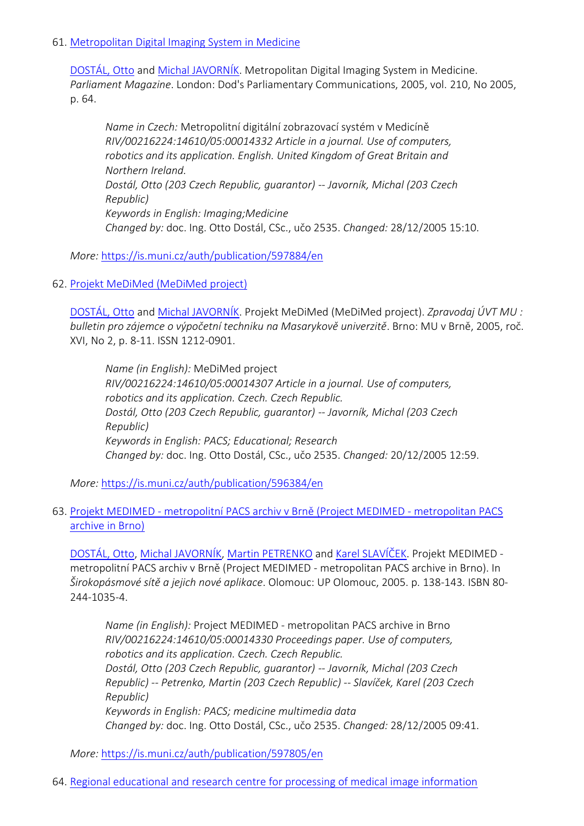#### 61. [Metropolitan Digital Imaging System in Medicine](https://is.muni.cz/auth/publication/597884/en?lang=en)

[DOSTÁL, Otto](https://is.muni.cz/auth/person/2535?lang=en) and [Michal JAVORNÍK](https://is.muni.cz/auth/person/1111?lang=en). Metropolitan Digital Imaging System in Medicine. *Parliament Magazine*. London: Dod's Parliamentary Communications, 2005, vol. 210, No 2005, p. 64.

*Name in Czech:* Metropolitní digitální zobrazovací systém v Medicíně *RIV/00216224:14610/05:00014332 Article in a journal. Use of computers, robotics and its application. English. United Kingdom of Great Britain and Northern Ireland. Dostál, Otto (203 Czech Republic, guarantor) -- Javorník, Michal (203 Czech Republic) Keywords in English: Imaging;Medicine Changed by:* doc. Ing. Otto Dostál, CSc., učo 2535. *Changed:* 28/12/2005 15:10.

*More:* [https://is.muni.cz/auth/publication/597884/en](https://is.muni.cz/auth/publication/597884/en/Metropolitan-Digital-Imaging-System-in-Medicine/Dostal-Javornik?lang=en)

#### 62. [Projekt MeDiMed \(MeDiMed project\)](https://is.muni.cz/auth/publication/596384/en?lang=en)

[DOSTÁL, Otto](https://is.muni.cz/auth/person/2535?lang=en) and [Michal JAVORNÍK](https://is.muni.cz/auth/person/1111?lang=en). Projekt MeDiMed (MeDiMed project). *Zpravodaj ÚVT MU : bulletin pro zájemce o výpočetní techniku na Masarykově univerzitě*. Brno: MU v Brně, 2005, roč. XVI, No 2, p. 8-11. ISSN 1212-0901.

*Name (in English):* MeDiMed project *RIV/00216224:14610/05:00014307 Article in a journal. Use of computers, robotics and its application. Czech. Czech Republic. Dostál, Otto (203 Czech Republic, guarantor) -- Javorník, Michal (203 Czech Republic) Keywords in English: PACS; Educational; Research Changed by:* doc. Ing. Otto Dostál, CSc., učo 2535. *Changed:* 20/12/2005 12:59.

*More:* [https://is.muni.cz/auth/publication/596384/en](https://is.muni.cz/auth/publication/596384/en/Projekt-MeDiMed/Dostal-Javornik?lang=en)

#### 63. Projekt MEDIMED - [metropolitní PACS archiv v Brně \(Project MEDIMED](https://is.muni.cz/auth/publication/597805/en?lang=en) - metropolitan PACS [archive in Brno\)](https://is.muni.cz/auth/publication/597805/en?lang=en)

[DOSTÁL, Otto](https://is.muni.cz/auth/person/2535?lang=en), [Michal JAVORNÍK](https://is.muni.cz/auth/person/1111?lang=en), [Martin PETRENKO](https://is.muni.cz/auth/person/31215?lang=en) and [Karel SLAVÍČEK](https://is.muni.cz/auth/person/1158?lang=en). Projekt MEDIMED metropolitní PACS archiv v Brně (Project MEDIMED - metropolitan PACS archive in Brno). In *Širokopásmové sítě a jejich nové aplikace*. Olomouc: UP Olomouc, 2005. p. 138-143. ISBN 80- 244-1035-4.

*Name (in English):* Project MEDIMED - metropolitan PACS archive in Brno *RIV/00216224:14610/05:00014330 Proceedings paper. Use of computers, robotics and its application. Czech. Czech Republic. Dostál, Otto (203 Czech Republic, guarantor) -- Javorník, Michal (203 Czech Republic) -- Petrenko, Martin (203 Czech Republic) -- Slavíček, Karel (203 Czech Republic) Keywords in English: PACS; medicine multimedia data Changed by:* doc. Ing. Otto Dostál, CSc., učo 2535. *Changed:* 28/12/2005 09:41.

*More:* [https://is.muni.cz/auth/publication/597805/en](https://is.muni.cz/auth/publication/597805/en/Projekt-MEDIMED-metropolitni-PACS-archiv-v-Brne/Dostal-Javornik-Petrenko-Slavicek?lang=en)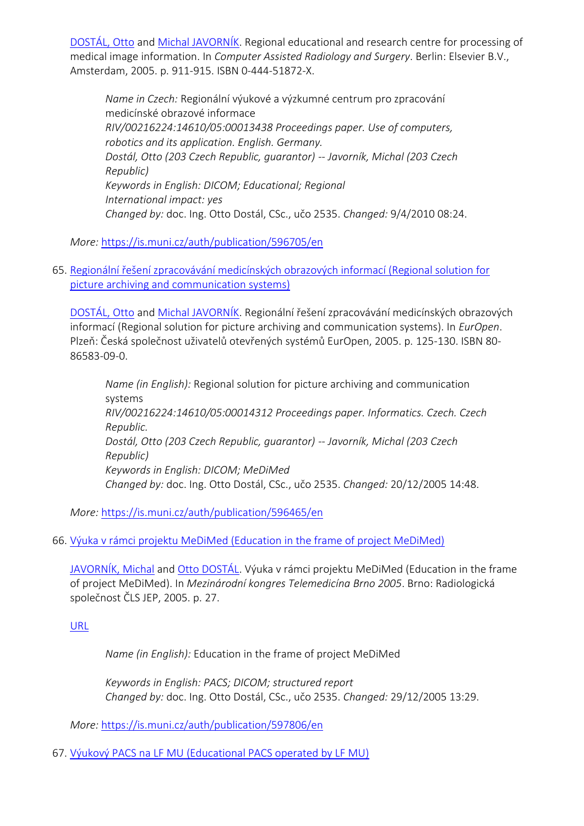[DOSTÁL, Otto](https://is.muni.cz/auth/person/2535?lang=en) and [Michal JAVORNÍK](https://is.muni.cz/auth/person/1111?lang=en). Regional educational and research centre for processing of medical image information. In *Computer Assisted Radiology and Surgery*. Berlin: Elsevier B.V., Amsterdam, 2005. p. 911-915. ISBN 0-444-51872-X.

*Name in Czech:* Regionální výukové a výzkumné centrum pro zpracování medicínské obrazové informace *RIV/00216224:14610/05:00013438 Proceedings paper. Use of computers, robotics and its application. English. Germany. Dostál, Otto (203 Czech Republic, guarantor) -- Javorník, Michal (203 Czech Republic) Keywords in English: DICOM; Educational; Regional International impact: yes Changed by:* doc. Ing. Otto Dostál, CSc., učo 2535. *Changed:* 9/4/2010 08:24.

*More:* [https://is.muni.cz/auth/publication/596705/en](https://is.muni.cz/auth/publication/596705/en/Regional-educational-and-research-centre-for-processing-of-medical-image-information/Dostal-Javornik?lang=en)

65. [Regionální řešení zpracovávání medicínských obrazových informací \(Regional solution for](https://is.muni.cz/auth/publication/596465/en?lang=en)  [picture archiving and communication systems\)](https://is.muni.cz/auth/publication/596465/en?lang=en)

[DOSTÁL, Otto](https://is.muni.cz/auth/person/2535?lang=en) and [Michal JAVORNÍK.](https://is.muni.cz/auth/person/1111?lang=en) Regionální řešení zpracovávání medicínských obrazových informací (Regional solution for picture archiving and communication systems). In *EurOpen*. Plzeň: Česká společnost uživatelů otevřených systémů EurOpen, 2005. p. 125-130. ISBN 80- 86583-09-0.

*Name (in English):* Regional solution for picture archiving and communication systems *RIV/00216224:14610/05:00014312 Proceedings paper. Informatics. Czech. Czech Republic. Dostál, Otto (203 Czech Republic, guarantor) -- Javorník, Michal (203 Czech Republic) Keywords in English: DICOM; MeDiMed Changed by:* doc. Ing. Otto Dostál, CSc., učo 2535. *Changed:* 20/12/2005 14:48.

*More:* [https://is.muni.cz/auth/publication/596465/en](https://is.muni.cz/auth/publication/596465/en/Regionalni-reseni-zpracovavani-medicinskych-obrazovych-informaci/Dostal-Javornik?lang=en)

# 66. [Výuka v rámci projektu MeDiMed \(Education in the frame of project MeDiMed\)](https://is.muni.cz/auth/publication/597806/en?lang=en)

[JAVORNÍK, Michal](https://is.muni.cz/auth/person/1111?lang=en) and [Otto DOSTÁL.](https://is.muni.cz/auth/person/2535?lang=en) Výuka v rámci projektu MeDiMed (Education in the frame of project MeDiMed). In *Mezinárodní kongres Telemedicína Brno 2005*. Brno: Radiologická společnost ČLS JEP, 2005. p. 27.

# [URL](http://www.symma.cz/)

*Name (in English):* Education in the frame of project MeDiMed

*Keywords in English: PACS; DICOM; structured report Changed by:* doc. Ing. Otto Dostál, CSc., učo 2535. *Changed:* 29/12/2005 13:29.

*More:* [https://is.muni.cz/auth/publication/597806/en](https://is.muni.cz/auth/publication/597806/en/Vyuka-v-ramci-projektu-MeDiMed/Javornik-Dostal?lang=en)

67. Výukový PACS [na LF MU \(Educational PACS operated by LF MU\)](https://is.muni.cz/auth/publication/597164/en?lang=en)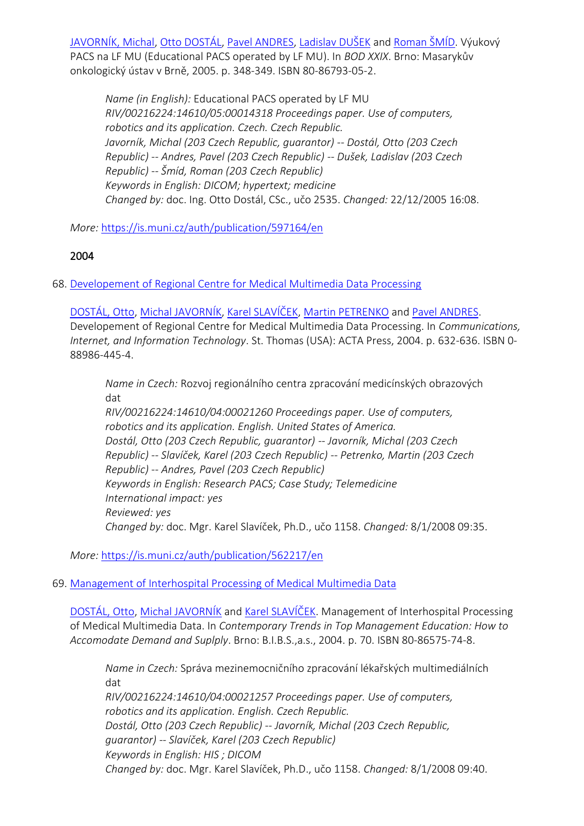[JAVORNÍK, Michal](https://is.muni.cz/auth/person/1111?lang=en), [Otto DOSTÁL](https://is.muni.cz/auth/person/2535?lang=en), [Pavel ANDRES,](https://is.muni.cz/auth/person/96602?lang=en) [Ladislav DUŠEK](https://is.muni.cz/auth/person/670?lang=en) and [Roman ŠMÍD.](https://is.muni.cz/auth/person/3993?lang=en) Výukový PACS na LF MU (Educational PACS operated by LF MU). In *BOD XXIX*. Brno: Masarykův onkologický ústav v Brně, 2005. p. 348-349. ISBN 80-86793-05-2.

*Name (in English):* Educational PACS operated by LF MU *RIV/00216224:14610/05:00014318 Proceedings paper. Use of computers, robotics and its application. Czech. Czech Republic. Javorník, Michal (203 Czech Republic, guarantor) -- Dostál, Otto (203 Czech Republic) -- Andres, Pavel (203 Czech Republic) -- Dušek, Ladislav (203 Czech Republic) -- Šmíd, Roman (203 Czech Republic) Keywords in English: DICOM; hypertext; medicine Changed by:* doc. Ing. Otto Dostál, CSc., učo 2535. *Changed:* 22/12/2005 16:08.

*More:* [https://is.muni.cz/auth/publication/597164/en](https://is.muni.cz/auth/publication/597164/en/Vyukovy-PACS-na-LF-MU/Javornik-Dostal-Andres-Dusek?lang=en)

### 2004

68. [Developement of Regional Centre for Medical Multimedia Data Processing](https://is.muni.cz/auth/publication/562217/en?lang=en)

[DOSTÁL, Otto](https://is.muni.cz/auth/person/2535?lang=en), [Michal JAVORNÍK](https://is.muni.cz/auth/person/1111?lang=en), [Karel SLAVÍČEK](https://is.muni.cz/auth/person/1158?lang=en), [Martin PETRENKO](https://is.muni.cz/auth/person/31215?lang=en) and [Pavel ANDRES.](https://is.muni.cz/auth/person/96602?lang=en) Developement of Regional Centre for Medical Multimedia Data Processing. In *Communications, Internet, and Information Technology*. St. Thomas (USA): ACTA Press, 2004. p. 632-636. ISBN 0- 88986-445-4.

*Name in Czech:* Rozvoj regionálního centra zpracování medicínských obrazových dat

*RIV/00216224:14610/04:00021260 Proceedings paper. Use of computers, robotics and its application. English. United States of America. Dostál, Otto (203 Czech Republic, guarantor) -- Javorník, Michal (203 Czech Republic) -- Slavíček, Karel (203 Czech Republic) -- Petrenko, Martin (203 Czech Republic) -- Andres, Pavel (203 Czech Republic) Keywords in English: Research PACS; Case Study; Telemedicine International impact: yes Reviewed: yes Changed by:* doc. Mgr. Karel Slavíček, Ph.D., učo 1158. *Changed:* 8/1/2008 09:35.

*More:* [https://is.muni.cz/auth/publication/562217/en](https://is.muni.cz/auth/publication/562217/en/Developement-of-Regional-Centre-for-Medical-Multimedia-Data-Processing/Dostal-Javornik-Slavicek-Petrenko?lang=en)

#### 69. [Management of Interhospital Processing of Medical Multimedia Data](https://is.muni.cz/auth/publication/562169/en?lang=en)

[DOSTÁL, Otto](https://is.muni.cz/auth/person/2535?lang=en), [Michal JAVO](https://is.muni.cz/auth/person/1111?lang=en)RNÍK and [Karel SLAVÍČEK](https://is.muni.cz/auth/person/1158?lang=en). Management of Interhospital Processing of Medical Multimedia Data. In *Contemporary Trends in Top Management Education: How to Accomodate Demand and Suplply*. Brno: B.I.B.S.,a.s., 2004. p. 70. ISBN 80-86575-74-8.

*Name in Czech:* Správa mezinemocničního zpracování lékařských multimediálních dat

*RIV/00216224:14610/04:00021257 Proceedings paper. Use of computers, robotics and its application. English. Czech Republic. Dostál, Otto (203 Czech Republic) -- Javorník, Michal (203 Czech Republic, guarantor) -- Slavíček, Karel (203 Czech Republic) Keywords in English: HIS ; DICOM Changed by:* doc. Mgr. Karel Slavíček, Ph.D., učo 1158. *Changed:* 8/1/2008 09:40.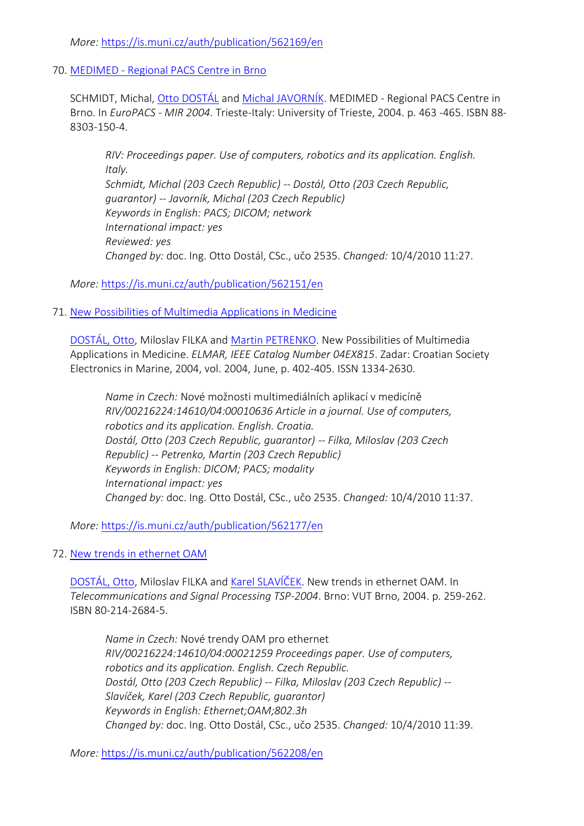*More:* [https://is.muni.cz/auth/publication/562169/en](https://is.muni.cz/auth/publication/562169/en/Management-of-Interhospital-Processing-of-Medical-Multimedia-Data/Dostal-Javornik-Slavicek?lang=en)

70. MEDIMED - [Regional PACS Centre in Brno](https://is.muni.cz/auth/publication/562151/en?lang=en)

SCHMIDT, Michal, [Otto DOSTÁL](https://is.muni.cz/auth/person/2535?lang=en) and [Michal JAVORNÍK](https://is.muni.cz/auth/person/1111?lang=en). MEDIMED - Regional PACS Centre in Brno. In *EuroPACS - MIR 2004*. Trieste-Italy: University of Trieste, 2004. p. 463 -465. ISBN 88- 8303-150-4.

*RIV: Proceedings paper. Use of computers, robotics and its application. English. Italy. Schmidt, Michal (203 Czech Republic) -- Dostál, Otto (203 Czech Republic, guarantor) -- Javorník, Michal (203 Czech Republic) Keywords in English: PACS; DICOM; network International impact: yes Reviewed: yes Changed by:* doc. Ing. Otto Dostál, CSc., učo 2535. *Changed:* 10/4/2010 11:27.

*More:* [https://is.muni.cz/auth/publication/562151/en](https://is.muni.cz/auth/publication/562151/en/MEDIMED-Regional-PACS-Centre-in-Brno/Schmidt-Dostal-Javornik?lang=en)

71. [New Possibilities of Multimedia Applications in Medicine](https://is.muni.cz/auth/publication/562177/en?lang=en)

[DOSTÁL, Otto](https://is.muni.cz/auth/person/2535?lang=en), Miloslav FILKA and [Martin PETRENKO.](https://is.muni.cz/auth/person/31215?lang=en) New Possibilities of Multimedia Applications in Medicine. *ELMAR, IEEE Catalog Number 04EX815*. Zadar: Croatian Society Electronics in Marine, 2004, vol. 2004, June, p. 402-405. ISSN 1334-2630.

*Name in Czech:* Nové možnosti multimediálních aplikací v medicíně *RIV/00216224:14610/04:00010636 Article in a journal. Use of computers, robotics and its application. English. Croatia. Dostál, Otto (203 Czech Republic, guarantor) -- Filka, Miloslav (203 Czech Republic) -- Petrenko, Martin (203 Czech Republic) Keywords in English: DICOM; PACS; modality International impact: yes Changed by:* doc. Ing. Otto Dostál, CSc., učo 2535. *Changed:* 10/4/2010 11:37.

*More:* [https://is.muni.cz/auth/publication/562177/en](https://is.muni.cz/auth/publication/562177/en/New-Possibilities-of-Multimedia-Applications-in-Medicine/Dostal-Filka-Petrenko?lang=en)

72. [New trends in ethernet OAM](https://is.muni.cz/auth/publication/562208/en?lang=en)

[DOSTÁL, Otto](https://is.muni.cz/auth/person/2535?lang=en), Miloslav FILKA and [Karel SLAVÍČEK](https://is.muni.cz/auth/person/1158?lang=en). New trends in ethernet OAM. In *Telecommunications and Signal Processing TSP-2004*. Brno: VUT Brno, 2004. p. 259-262. ISBN 80-214-2684-5.

*Name in Czech:* Nové trendy OAM pro ethernet *RIV/00216224:14610/04:00021259 Proceedings paper. Use of computers, robotics and its application. English. Czech Republic. Dostál, Otto (203 Czech Republic) -- Filka, Miloslav (203 Czech Republic) -- Slavíček, Karel (203 Czech Republic, guarantor) Keywords in English: Ethernet;OAM;802.3h Changed by:* doc. Ing. Otto Dostál, CSc., učo 2535. *Changed:* 10/4/2010 11:39.

*More:* [https://is.muni.cz/auth/publication/562208/en](https://is.muni.cz/auth/publication/562208/en/New-trends-in-ethernet-OAM/Dostal-Filka-Slavicek?lang=en)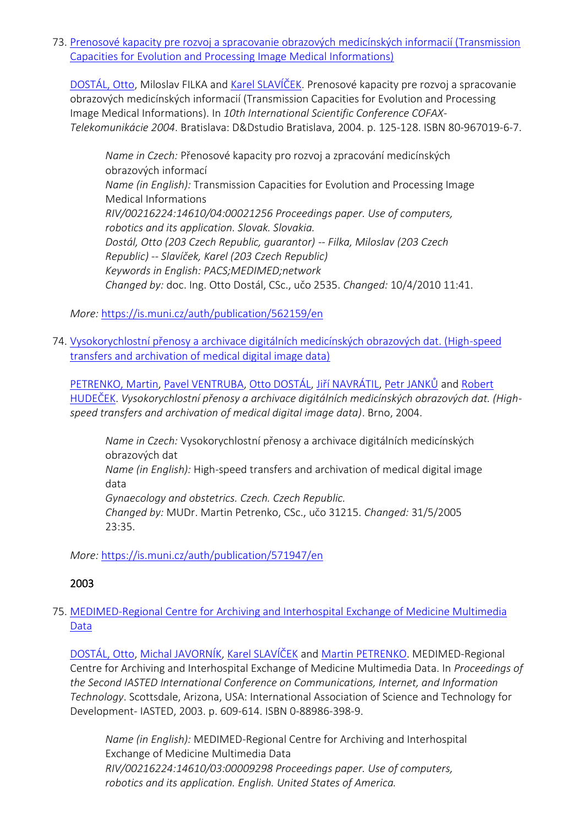73. [Prenosové kapacity pre rozvoj a spracovanie obrazových medicínských informacií \(Transmission](https://is.muni.cz/auth/publication/562159/en?lang=en)  [Capacities for Evolution and Processing Image Medical Informations\)](https://is.muni.cz/auth/publication/562159/en?lang=en)

[DOSTÁL, Otto](https://is.muni.cz/auth/person/2535?lang=en), Miloslav FILKA and [Karel SLAVÍČEK.](https://is.muni.cz/auth/person/1158?lang=en) Prenosové kapacity pre rozvoj a spracovanie obrazových medicínských informacií (Transmission Capacities for Evolution and Processing Image Medical Informations). In *10th International Scientific Conference COFAX-Telekomunikácie 2004*. Bratislava: D&Dstudio Bratislava, 2004. p. 125-128. ISBN 80-967019-6-7.

*Name in Czech:* Přenosové kapacity pro rozvoj a zpracování medicínských obrazových informací *Name (in English):* Transmission Capacities for Evolution and Processing Image Medical Informations *RIV/00216224:14610/04:00021256 Proceedings paper. Use of computers, robotics and its application. Slovak. Slovakia. Dostál, Otto (203 Czech Republic, guarantor) -- Filka, Miloslav (203 Czech Republic) -- Slavíček, Karel (203 Czech Republic) Keywords in English: PACS;MEDIMED;network Changed by:* doc. Ing. Otto Dostál, CSc., učo 2535. *Changed:* 10/4/2010 11:41.

*More:* [https://is.muni.cz/auth/publication/562159/en](https://is.muni.cz/auth/publication/562159/en/Prenosove-kapacity-pre-rozvoj-a-spracovanie-obrazovych-medicinskych-informacii/Dostal-Filka-Slavicek?lang=en)

74. [Vysokorychlostní přenosy a archivace digitálních medicínských obrazových dat. \(High](https://is.muni.cz/auth/publication/571947/en?lang=en)-speed [transfers and archivation of medical digital image data\)](https://is.muni.cz/auth/publication/571947/en?lang=en)

[PETRENKO, Martin,](https://is.muni.cz/auth/person/31215?lang=en) [Pavel VENTRUBA,](https://is.muni.cz/auth/person/1779?lang=en) [Otto DOSTÁL](https://is.muni.cz/auth/person/2535?lang=en), [Jiří NAVRÁTIL](https://is.muni.cz/auth/person/2761?lang=en), [Petr JANKŮ](https://is.muni.cz/auth/person/38558?lang=en) and [Robert](https://is.muni.cz/auth/person/77349?lang=en)  [HUDEČEK](https://is.muni.cz/auth/person/77349?lang=en). *Vysokorychlostní přenosy a archivace digitálních medicínských obrazových dat. (Highspeed transfers and archivation of medical digital image data)*. Brno, 2004.

*Name in Czech:* Vysokorychlostní přenosy a archivace digitálních medicínských obrazových dat *Name (in English):* High-speed transfers and archivation of medical digital image data *Gynaecology and obstetrics. Czech. Czech Republic. Changed by:* MUDr. Martin Petrenko, CSc., učo 31215. *Changed:* 31/5/2005 23:35.

*More:* [https://is.muni.cz/auth/publication/571947/en](https://is.muni.cz/auth/publication/571947/en/Vysokorychlostni-prenosy-a-archivace-digitalnich-medicinskych-obrazovych-dat/Petrenko-Ventruba-Dostal-Navratil?lang=en)

2003

### 75. [MEDIMED-Regional Centre for Archiving and Interhospital Exchange of Medicine Multimedia](https://is.muni.cz/auth/publication/491157/en?lang=en)  [Data](https://is.muni.cz/auth/publication/491157/en?lang=en)

[DOSTÁL, Otto](https://is.muni.cz/auth/person/2535?lang=en), [Michal JAVORNÍK](https://is.muni.cz/auth/person/1111?lang=en), [Karel SLAVÍČEK](https://is.muni.cz/auth/person/1158?lang=en) and [Martin PETRENKO.](https://is.muni.cz/auth/person/31215?lang=en) MEDIMED-Regional Centre for Archiving and Interhospital Exchange of Medicine Multimedia Data. In *Proceedings of the Second IASTED International Conference on Communications, Internet, and Information Technology*. Scottsdale, Arizona, USA: International Association of Science and Technology for Development- IASTED, 2003. p. 609-614. ISBN 0-88986-398-9.

*Name (in English):* MEDIMED-Regional Centre for Archiving and Interhospital Exchange of Medicine Multimedia Data *RIV/00216224:14610/03:00009298 Proceedings paper. Use of computers, robotics and its application. English. United States of America.*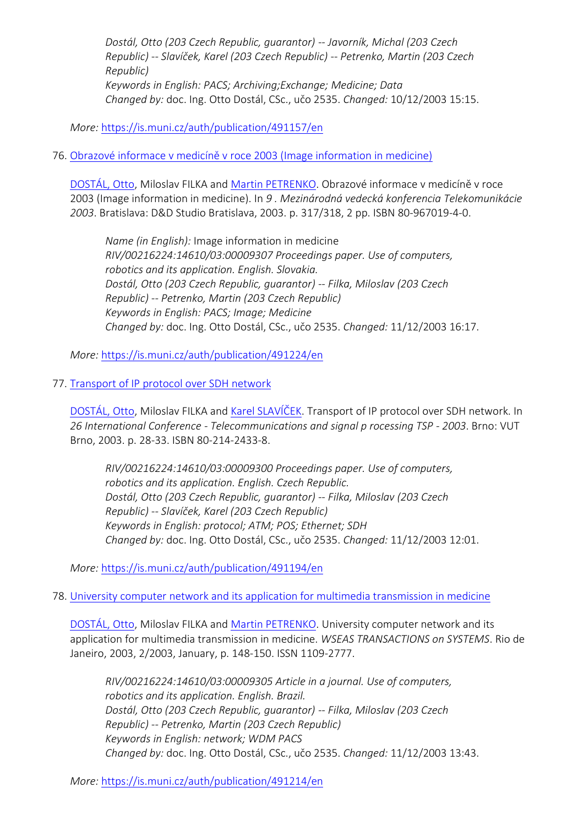*Dostál, Otto (203 Czech Republic, guarantor) -- Javorník, Michal (203 Czech Republic) -- Slavíček, Karel (203 Czech Republic) -- Petrenko, Martin (203 Czech Republic) Keywords in English: PACS; Archiving;Exchange; Medicine; Data Changed by:* doc. Ing. Otto Dostál, CSc., učo 2535. *Changed:* 10/12/2003 15:15.

*More:* [https://is.muni.cz/auth/publication/491157/en](https://is.muni.cz/auth/publication/491157/en/MEDIMED-Regional-Centre-for-Archiving-and-Interhospital-Exchange-of-Medicine-Multimedia-Data/Dostal-Javornik-Slavicek-Petrenko?lang=en)

### 76. [Obrazové informace v medicíně v roce 2003 \(Image information in medicine\)](https://is.muni.cz/auth/publication/491224/en?lang=en)

[DOSTÁL, Otto](https://is.muni.cz/auth/person/2535?lang=en), Miloslav FILKA and [Martin PETRENKO](https://is.muni.cz/auth/person/31215?lang=en). Obrazové informace v medicíně v roce 2003 (Image information in medicine). In *9 . Mezinárodná vedecká konferencia Telekomunikácie 2003*. Bratislava: D&D Studio Bratislava, 2003. p. 317/318, 2 pp. ISBN 80-967019-4-0.

*Name (in English):* Image information in medicine *RIV/00216224:14610/03:00009307 Proceedings paper. Use of computers, robotics and its application. English. Slovakia. Dostál, Otto (203 Czech Republic, guarantor) -- Filka, Miloslav (203 Czech Republic) -- Petrenko, Martin (203 Czech Republic) Keywords in English: PACS; Image; Medicine Changed by:* doc. Ing. Otto Dostál, CSc., učo 2535. *Changed:* 11/12/2003 16:17.

*More:* [https://is.muni.cz/auth/publication/491224/en](https://is.muni.cz/auth/publication/491224/en/Obrazove-informace-v-medicine-v-roce-2003/Dostal-Filka-Petrenko?lang=en)

### 77. [Transport of IP protocol over SDH network](https://is.muni.cz/auth/publication/491194/en?lang=en)

[DOSTÁL, Otto](https://is.muni.cz/auth/person/2535?lang=en), Miloslav FILKA and [Karel SLAVÍČEK](https://is.muni.cz/auth/person/1158?lang=en). Transport of IP protocol over SDH network. In *26 International Conference - Telecommunications and signal p rocessing TSP - 2003*. Brno: VUT Brno, 2003. p. 28-33. ISBN 80-214-2433-8.

*RIV/00216224:14610/03:00009300 Proceedings paper. Use of computers, robotics and its application. English. Czech Republic. Dostál, Otto (203 Czech Republic, guarantor) -- Filka, Miloslav (203 Czech Republic) -- Slavíček, Karel (203 Czech Republic) Keywords in English: protocol; ATM; POS; Ethernet; SDH Changed by:* doc. Ing. Otto Dostál, CSc., učo 2535. *Changed:* 11/12/2003 12:01.

*More:* [https://is.muni.cz/auth/publication/491194/en](https://is.muni.cz/auth/publication/491194/en/Transport-of-IP-protocol-over-SDH-network/Dostal-Filka-Slavicek?lang=en)

#### 78. [University computer network and its application for multimedia transmission in medicine](https://is.muni.cz/auth/publication/491214/en?lang=en)

[DOSTÁL, Otto](https://is.muni.cz/auth/person/2535?lang=en), Miloslav FILKA and [Martin PETRENKO.](https://is.muni.cz/auth/person/31215?lang=en) University computer network and its application for multimedia transmission in medicine. *WSEAS TRANSACTIONS on SYSTEMS*. Rio de Janeiro, 2003, 2/2003, January, p. 148-150. ISSN 1109-2777.

*RIV/00216224:14610/03:00009305 Article in a journal. Use of computers, robotics and its application. English. Brazil. Dostál, Otto (203 Czech Republic, guarantor) -- Filka, Miloslav (203 Czech Republic) -- Petrenko, Martin (203 Czech Republic) Keywords in English: network; WDM PACS Changed by:* doc. Ing. Otto Dostál, CSc., učo 2535. *Changed:* 11/12/2003 13:43.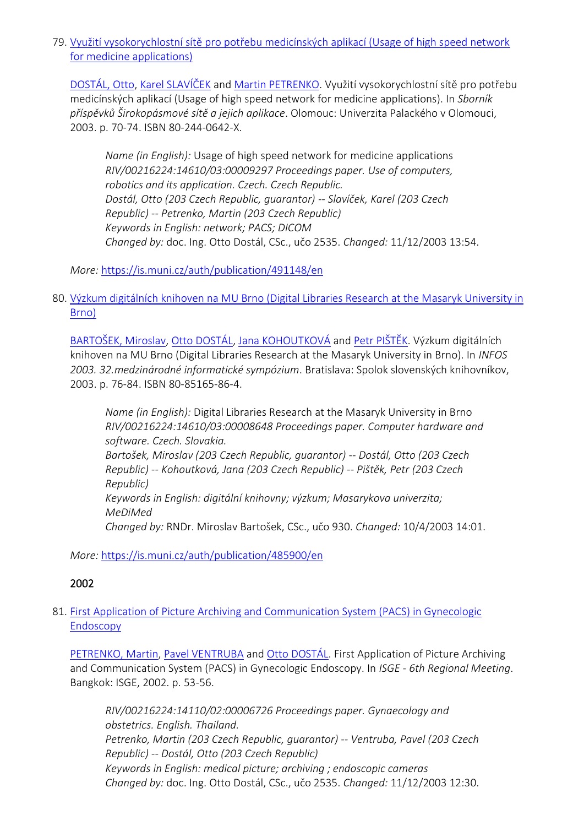79. [Využití vysokorychlostní sítě pro potřebu medicínských aplikací \(Usage of high speed network](https://is.muni.cz/auth/publication/491148/en?lang=en)  [for medicine applications\)](https://is.muni.cz/auth/publication/491148/en?lang=en)

[DOSTÁL, Otto](https://is.muni.cz/auth/person/2535?lang=en), [Karel SLAVÍČEK](https://is.muni.cz/auth/person/1158?lang=en) and [Martin PETRENKO](https://is.muni.cz/auth/person/31215?lang=en). Využití vysokorychlostní sítě pro potřebu medicínských aplikací (Usage of high speed network for medicine applications). In *Sborník příspěvků Širokopásmové sítě a jejich aplikace*. Olomouc: Univerzita Palackého v Olomouci, 2003. p. 70-74. ISBN 80-244-0642-X.

*Name (in English):* Usage of high speed network for medicine applications *RIV/00216224:14610/03:00009297 Proceedings paper. Use of computers, robotics and its application. Czech. Czech Republic. Dostál, Otto (203 Czech Republic, guarantor) -- Slavíček, Karel (203 Czech Republic) -- Petrenko, Martin (203 Czech Republic) Keywords in English: network; PACS; DICOM Changed by:* doc. Ing. Otto Dostál, CSc., učo 2535. *Changed:* 11/12/2003 13:54.

*More:* [https://is.muni.cz/auth/publication/491148/en](https://is.muni.cz/auth/publication/491148/en/Vyuziti-vysokorychlostni-site-pro-potrebu-medicinskych-aplikaci/Dostal-Slavicek-Petrenko?lang=en)

80. [Výzkum digitálních knihoven na MU Brno \(Digital Libraries Research at the M](https://is.muni.cz/auth/publication/485900/en?lang=en)asaryk University in [Brno\)](https://is.muni.cz/auth/publication/485900/en?lang=en)

[BARTOŠEK, Miroslav](https://is.muni.cz/auth/person/930?lang=en), [Otto DOSTÁL](https://is.muni.cz/auth/person/2535?lang=en), [Jana KOHOUTKOVÁ](https://is.muni.cz/auth/person/1096?lang=en) and [Petr PIŠTĚK.](https://is.muni.cz/auth/person/657?lang=en) Výzkum digitálních knihoven na MU Brno (Digital Libraries Research at the Masaryk University in Brno). In *INFOS 2003. 32.medzinárodné informatické sympózium*. Bratislava: Spolok slovenských knihovníkov, 2003. p. 76-84. ISBN 80-85165-86-4.

*Name (in English):* Digital Libraries Research at the Masaryk University in Brno *RIV/00216224:14610/03:00008648 Proceedings paper. Computer hardware and software. Czech. Slovakia. Bartošek, Miroslav (203 Czech Republic, guarantor) -- Dostál, Otto (203 Czech Republic) -- Kohoutková, Jana (203 Czech Republic) -- Pištěk, Petr (203 Czech Republic) Keywords in English: digitální knihovny; výzkum; Masarykova univerzita; MeDiMed Changed by:* RNDr. Miroslav Bartošek, CSc., učo 930. *Changed:* 10/4/2003 14:01.

*More:* [https://is.muni.cz/auth/publication/485900/en](https://is.muni.cz/auth/publication/485900/en/Vyzkum-digitalnich-knihoven-na-MU-Brno/Bartosek-Dostal-Kohoutkova-Pistek?lang=en)

#### 2002

### 81. [First Application of Picture Archiving and Communication System \(PACS\) in Gynecologic](https://is.muni.cz/auth/publication/406723/en?lang=en)  [Endoscopy](https://is.muni.cz/auth/publication/406723/en?lang=en)

[PETRENKO, Martin,](https://is.muni.cz/auth/person/31215?lang=en) [Pavel VENTRUBA](https://is.muni.cz/auth/person/1779?lang=en) and [Otto DOSTÁL](https://is.muni.cz/auth/person/2535?lang=en). First Application of Picture Archiving and Communication System (PACS) in Gynecologic Endoscopy. In *ISGE - 6th Regional Meeting*. Bangkok: ISGE, 2002. p. 53-56.

*RIV/00216224:14110/02:00006726 Proceedings paper. Gynaecology and obstetrics. English. Thailand. Petrenko, Martin (203 Czech Republic, guarantor) -- Ventruba, Pavel (203 Czech Republic) -- Dostál, Otto (203 Czech Republic) Keywords in English: medical picture; archiving ; endoscopic cameras Changed by:* doc. Ing. Otto Dostál, CSc., učo 2535. *Changed:* 11/12/2003 12:30.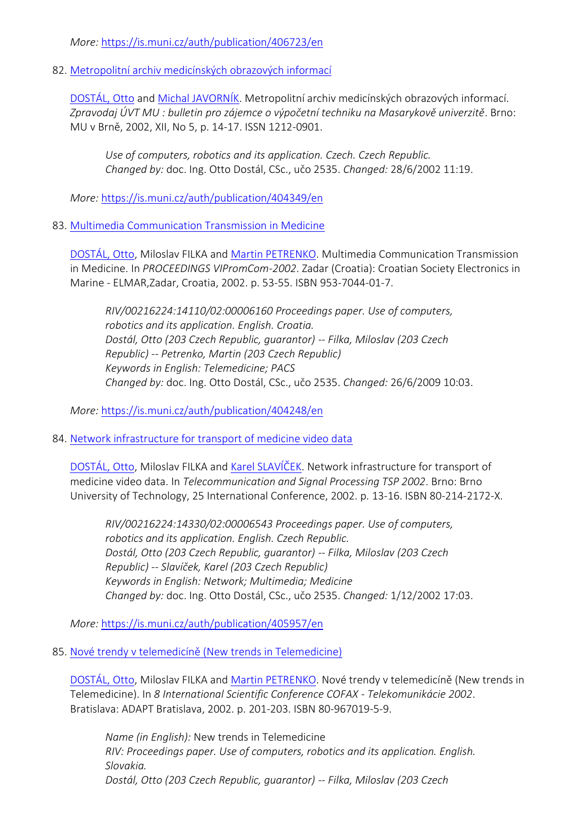*More:* [https://is.muni.cz/auth/publication/406723/en](https://is.muni.cz/auth/publication/406723/en/First-Application-of-Picture-Archiving-and-Communication-System-PACS-in-Gynecologic-Endoscopy/Petrenko-Ventruba-Dostal?lang=en)

82. [Metropolitní archiv medicínských obrazových informací](https://is.muni.cz/auth/publication/404349/en?lang=en)

[DOSTÁL, Otto](https://is.muni.cz/auth/person/2535?lang=en) and [Michal JAVORNÍK.](https://is.muni.cz/auth/person/1111?lang=en) Metropolitní archiv medicínských obrazových informací. *Zpravodaj ÚVT MU : bulletin pro zájemce o výpočetní techniku na Masarykově univerzitě*. Brno: MU v Brně, 2002, XII, No 5, p. 14-17. ISSN 1212-0901.

*Use of computers, robotics and its application. Czech. Czech Republic. Changed by:* doc. Ing. Otto Dostál, CSc., učo 2535. *Changed:* 28/6/2002 11:19.

*More:* [https://is.muni.cz/auth/publication/404349/en](https://is.muni.cz/auth/publication/404349/en/Metropolitni-archiv-medicinskych-obrazovych-informaci/Dostal-Javornik?lang=en)

83. [Multimedia Communication Transmission in Medicine](https://is.muni.cz/auth/publication/404248/en?lang=en)

[DOSTÁL, Otto](https://is.muni.cz/auth/person/2535?lang=en), Miloslav FILKA and [Martin PETRENKO.](https://is.muni.cz/auth/person/31215?lang=en) Multimedia Communication Transmission in Medicine. In *PROCEEDINGS VIPromCom-2002*. Zadar (Croatia): Croatian Society Electronics in Marine - ELMAR,Zadar, Croatia, 2002. p. 53-55. ISBN 953-7044-01-7.

*RIV/00216224:14110/02:00006160 Proceedings paper. Use of computers, robotics and its application. English. Croatia. Dostál, Otto (203 Czech Republic, guarantor) -- Filka, Miloslav (203 Czech Republic) -- Petrenko, Martin (203 Czech Republic) Keywords in English: Telemedicine; PACS Changed by:* doc. Ing. Otto Dostál, CSc., učo 2535. *Changed:* 26/6/2009 10:03.

*More:* [https://is.muni.cz/auth/publication/404248/en](https://is.muni.cz/auth/publication/404248/en/Multimedia-Communication-Transmission-in-Medicine/Dostal-Filka-Petrenko?lang=en)

#### 84. [Network infrastructure for transport of medicine video data](https://is.muni.cz/auth/publication/405957/en?lang=en)

[DOSTÁL, Otto](https://is.muni.cz/auth/person/2535?lang=en), Miloslav FILKA and [Karel SLAVÍČEK](https://is.muni.cz/auth/person/1158?lang=en). Network infrastructure for transport of medicine video data. In *Telecommunication and Signal Processing TSP 2002*. Brno: Brno University of Technology, 25 International Conference, 2002. p. 13-16. ISBN 80-214-2172-X.

*RIV/00216224:14330/02:00006543 Proceedings paper. Use of computers, robotics and its application. English. Czech Republic. Dostál, Otto (203 Czech Republic, guarantor) -- Filka, Miloslav (203 Czech Republic) -- Slavíček, Karel (203 Czech Republic) Keywords in English: Network; Multimedia; Medicine Changed by:* doc. Ing. Otto Dostál, CSc., učo 2535. *Changed:* 1/12/2002 17:03.

*More:* [https://is.muni.cz/auth/publication/405957/en](https://is.muni.cz/auth/publication/405957/en/Network-infrastructure-for-transport-of-medicine-video-data/Dostal-Filka-Slavicek?lang=en)

85. [Nové trendy v telemedicíně \(New trends in Telemedicine\)](https://is.muni.cz/auth/publication/404297/en?lang=en)

[DOSTÁL, Otto](https://is.muni.cz/auth/person/2535?lang=en), Miloslav FILKA and [Martin PETRENKO](https://is.muni.cz/auth/person/31215?lang=en). Nové trendy v telemedicíně (New trends in Telemedicine). In *8 International Scientific Conference COFAX - Telekomunikácie 2002*. Bratislava: ADAPT Bratislava, 2002. p. 201-203. ISBN 80-967019-5-9.

*Name (in English):* New trends in Telemedicine *RIV: Proceedings paper. Use of computers, robotics and its application. English. Slovakia. Dostál, Otto (203 Czech Republic, guarantor) -- Filka, Miloslav (203 Czech*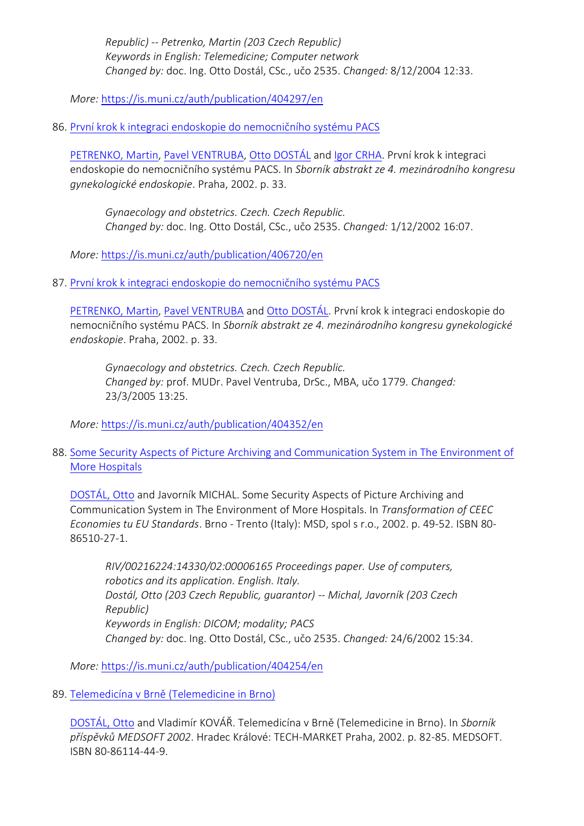*Republic) -- Petrenko, Martin (203 Czech Republic) Keywords in English: Telemedicine; Computer network Changed by:* doc. Ing. Otto Dostál, CSc., učo 2535. *Changed:* 8/12/2004 12:33.

*More:* [https://is.muni.cz/auth/publication/404297/en](https://is.muni.cz/auth/publication/404297/en/Nove-trendy-v-telemedicine/Dostal-Filka-Petrenko?lang=en)

86. [První krok k integraci endoskopie do nemocničního systému PACS](https://is.muni.cz/auth/publication/406720/en?lang=en)

[PETRENKO, Martin,](https://is.muni.cz/auth/person/31215?lang=en) [Pavel VENTRUBA,](https://is.muni.cz/auth/person/1779?lang=en) [Otto DOSTÁL](https://is.muni.cz/auth/person/2535?lang=en) an[d Igor CRHA](https://is.muni.cz/auth/person/644?lang=en). První krok k integraci endoskopie do nemocničního systému PACS. In *Sborník abstrakt ze 4. mezinárodního kongresu gynekologické endoskopie*. Praha, 2002. p. 33.

*Gynaecology and obstetrics. Czech. Czech Republic. Changed by:* doc. Ing. Otto Dostál, CSc., učo 2535. *Changed:* 1/12/2002 16:07.

*More:* [https://is.muni.cz/auth/publication/406720/en](https://is.muni.cz/auth/publication/406720/en/Prvni-krok-k-integraci-endoskopie-do-nemocnicniho-systemu-PACS/Petrenko-Ventruba-Dostal-Crha?lang=en)

87. [První krok k integraci endoskopie do nemocničního systému PACS](https://is.muni.cz/auth/publication/404352/en?lang=en)

[PETRENKO, Martin,](https://is.muni.cz/auth/person/31215?lang=en) [Pavel VENTRUBA](https://is.muni.cz/auth/person/1779?lang=en) and [Otto DOSTÁL.](https://is.muni.cz/auth/person/2535?lang=en) První krok k integraci endoskopie do nemocničního systému PACS. In *Sborník abstrakt ze 4. mezinárodního kongresu gynekologické endoskopie*. Praha, 2002. p. 33.

*Gynaecology and obstetrics. Czech. Czech Republic. Changed by:* prof. MUDr. Pavel Ventruba, DrSc., MBA, učo 1779. *Changed:* 23/3/2005 13:25.

*More:* [https://is.muni.cz/auth/publication/404352/en](https://is.muni.cz/auth/publication/404352/en/Prvni-krok-k-integraci-endoskopie-do-nemocnicniho-systemu-PACS/Petrenko-Ventruba-Dostal?lang=en)

88. Some Security Aspects of Picture Archiving and Communication System in The Environment of [More Hospitals](https://is.muni.cz/auth/publication/404254/en?lang=en)

[DOSTÁL, Ott](https://is.muni.cz/auth/person/2535?lang=en)o and Javorník MICHAL. Some Security Aspects of Picture Archiving and Communication System in The Environment of More Hospitals. In *Transformation of CEEC Economies tu EU Standards*. Brno - Trento (Italy): MSD, spol s r.o., 2002. p. 49-52. ISBN 80- 86510-27-1.

*RIV/00216224:14330/02:00006165 Proceedings paper. Use of computers, robotics and its application. English. Italy. Dostál, Otto (203 Czech Republic, guarantor) -- Michal, Javorník (203 Czech Republic) Keywords in English: DICOM; modality; PACS Changed by:* doc. Ing. Otto Dostál, CSc., učo 2535. *Changed:* 24/6/2002 15:34.

*More:* [https://is.muni.cz/auth/publication/404254/en](https://is.muni.cz/auth/publication/404254/en/Some-Security-Aspects-of-Picture-Archiving-and-Communication-System-in-The-Environment-of-More-Hospitals/Dostal-Michal?lang=en)

89. [Telemedicína v Brně \(Telemedicine in Brno\)](https://is.muni.cz/auth/publication/404295/en?lang=en)

[DOSTÁL, Otto](https://is.muni.cz/auth/person/2535?lang=en) and Vladimír KOVÁŘ. Telemedicína v Brně (Telemedicine in Brno). In *Sborník příspěvků MEDSOFT 2002*. Hradec Králové: TECH-MARKET Praha, 2002. p. 82-85. MEDSOFT. ISBN 80-86114-44-9.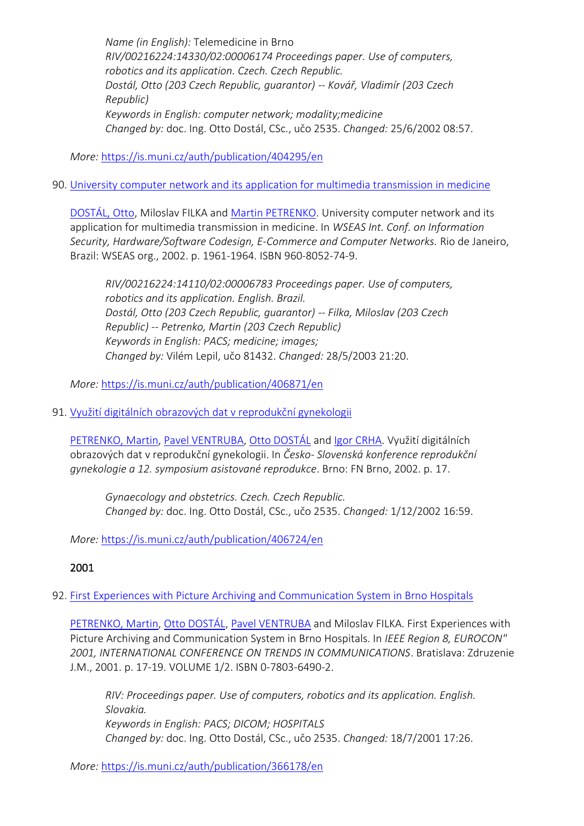*Name (in English):* Telemedicine in Brno *RIV/00216224:14330/02:00006174 Proceedings paper. Use of computers, robotics and its application. Czech. Czech Republic. Dostál, Otto (203 Czech Republic, guarantor) -- Kovář, Vladimír (203 Czech Republic) Keywords in English: computer network; modality;medicine Changed by:* doc. Ing. Otto Dostál, CSc., učo 2535. *Changed:* 25/6/2002 08:57.

*More:* [https://is.muni.cz/auth/publication/404295/en](https://is.muni.cz/auth/publication/404295/en/Telemedicina-v-Brne/Dostal-Kovar?lang=en)

90. [University computer network and its application for multimedia transmission in medicine](https://is.muni.cz/auth/publication/406871/en?lang=en)

[DOSTÁL, Otto](https://is.muni.cz/auth/person/2535?lang=en), Miloslav FILKA and [Martin PETRENKO.](https://is.muni.cz/auth/person/31215?lang=en) University computer network and its application for multimedia transmission in medicine. In *WSEAS Int. Conf. on Information Security, Hardware/Software Codesign, E-Commerce and Computer Networks.* Rio de Janeiro, Brazil: WSEAS org., 2002. p. 1961-1964. ISBN 960-8052-74-9.

*RIV/00216224:14110/02:00006783 Proceedings paper. Use of computers, robotics and its application. English. Brazil. Dostál, Otto (203 Czech Republic, guarantor) -- Filka, Miloslav (203 Czech Republic) -- Petrenko, Martin (203 Czech Republic) Keywords in English: PACS; medicine; images; Changed by:* Vilém Lepil, učo 81432. *Changed:* 28/5/2003 21:20.

*More:* [https://is.muni.cz/auth/publication/406871/en](https://is.muni.cz/auth/publication/406871/en/University-computer-network-and-its-application-for-multimedia-transmission-in-medicine/Dostal-Filka-Petrenko?lang=en)

91. [Využití digitálních obrazových dat v reprodukční gynekolog](https://is.muni.cz/auth/publication/406724/en?lang=en)ii

[PETRENKO, Martin,](https://is.muni.cz/auth/person/31215?lang=en) [Pavel VENTRUBA,](https://is.muni.cz/auth/person/1779?lang=en) [Otto DOSTÁL](https://is.muni.cz/auth/person/2535?lang=en) an[d Igor CRHA](https://is.muni.cz/auth/person/644?lang=en). Využití digitálních obrazových dat v reprodukční gynekologii. In *Česko- Slovenská konference reprodukční gynekologie a 12. symposium asistované reprodukce*. Brno: FN Brno, 2002. p. 17.

*Gynaecology and obstetrics. Czech. Czech Republic. Changed by:* doc. Ing. Otto Dostál, CSc., učo 2535. *Changed:* 1/12/2002 16:59.

*More:* [https://is.muni.cz/auth/publication/406724/en](https://is.muni.cz/auth/publication/406724/en/Vyuziti-digitalnich-obrazovych-dat-v-reprodukcni-gynekologii/Petrenko-Ventruba-Dostal-Crha?lang=en)

2001

#### 92. [First Experiences with Picture Archiving and Communication System in Brno Hospitals](https://is.muni.cz/auth/publication/366178/en?lang=en)

[PETRENKO, Martin,](https://is.muni.cz/auth/person/31215?lang=en) [Otto DOSTÁL](https://is.muni.cz/auth/person/2535?lang=en), [Pavel VENTRUBA](https://is.muni.cz/auth/person/1779?lang=en) and Miloslav FILKA. First Experiences with Picture Archiving and Communication System in Brno Hospitals. In *IEEE Region 8, EUROCON" 2001, INTERNATIONAL CONFERENCE ON TRENDS IN COMMUNICATIONS*. Bratislava: Zdruzenie J.M., 2001. p. 17-19. VOLUME 1/2. ISBN 0-7803-6490-2.

*RIV: Proceedings paper. Use of computers, robotics and its application. English. Slovakia. Keywords in English: PACS; DICOM; HOSPITALS Changed by:* doc. Ing. Otto Dostál, CSc., učo 2535. *Changed:* 18/7/2001 17:26.

*More:* [https://is.muni.cz/auth/publication/366178/en](https://is.muni.cz/auth/publication/366178/en/First-Experiences-with-Picture-Archiving-and-Communication-System-in-Brno-Hospitals/Petrenko-Dostal-Ventruba-Filka?lang=en)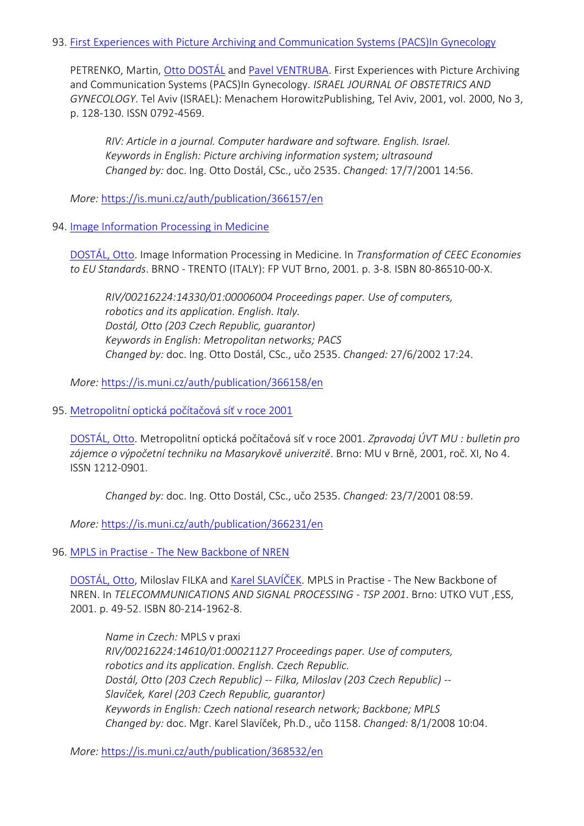#### 93. [First Experiences with Picture Archiving and Communication Systems \(PACS\)In Gynecology](https://is.muni.cz/auth/publication/366157/en?lang=en)

PETRENKO, Martin, [Otto DOSTÁL](https://is.muni.cz/auth/person/2535?lang=en) and [Pavel VENTRUBA.](https://is.muni.cz/auth/person/1779?lang=en) First Experiences with Picture Archiving and Communication Systems (PACS)In Gynecology. *ISRAEL JOURNAL OF OBSTETRICS AND GYNECOLOGY*. Tel Aviv (ISRAEL): Menachem HorowitzPublishing, Tel Aviv, 2001, vol. 2000, No 3, p. 128-130. ISSN 0792-4569.

*RIV: Article in a journal. Computer hardware and software. English. Israel. Keywords in English: Picture archiving information system; ultrasound Changed by:* doc. Ing. Otto Dostál, CSc., učo 2535. *Changed:* 17/7/2001 14:56.

*More:* [https://is.muni.cz/auth/publication/366157/en](https://is.muni.cz/auth/publication/366157/en/First-Experiences-with-Picture-Archiving-and-Communication-Systems-PACSIn-Gynecology/John-Byrnes-Dostal-Ventruba?lang=en)

94. [Image Information Processing in Medicine](https://is.muni.cz/auth/publication/366158/en?lang=en)

[DOSTÁL, Otto](https://is.muni.cz/auth/person/2535?lang=en). Image Information Processing in Medicine. In *Transformation of CEEC Economies to EU Standards*. BRNO - TRENTO (ITALY): FP VUT Brno, 2001. p. 3-8. ISBN 80-86510-00-X.

*RIV/00216224:14330/01:00006004 Proceedings paper. Use of computers, robotics and its application. English. Italy. Dostál, Otto (203 Czech Republic, guarantor) Keywords in English: Metropolitan networks; PACS Changed by:* doc. Ing. Otto Dostál, CSc., učo 2535. *Changed:* 27/6/2002 17:24.

*More:* [https://is.muni.cz/auth/publication/366158/en](https://is.muni.cz/auth/publication/366158/en/Image-Information-Processing-in-Medicine/Dostal?lang=en)

95. [Metropolitní optická počítačová síť v roce 2001](https://is.muni.cz/auth/publication/366231/en?lang=en)

[DOSTÁL, Otto.](https://is.muni.cz/auth/person/2535?lang=en) Metropolitní optická počítačová síť v roce 2001. *Zpravodaj ÚVT MU : bulletin pro zájemce o výpočetní techniku na Masarykově univerzitě*. Brno: MU v Brně, 2001, roč. XI, No 4. ISSN 1212-0901.

*Changed by:* doc. Ing. Otto Dostál, CSc., učo 2535. *Changed:* 23/7/2001 08:59.

*More:* [https://is.muni.cz/auth/publication/366231/en](https://is.muni.cz/auth/publication/366231/en/Metropolitni-opticka-pocitacova-sit-v-roce-2001/Dostal?lang=en)

96. MPLS in Practise - [The New Backbone of NREN](https://is.muni.cz/auth/publication/368532/en?lang=en)

[DOSTÁL, Otto](https://is.muni.cz/auth/person/2535?lang=en), Miloslav FILKA and [Karel SLAVÍČEK](https://is.muni.cz/auth/person/1158?lang=en). MPLS in Practise - The New Backbone of NREN. In *TELECOMMUNICATIONS AND SIGNAL PROCESSING - TSP 2001*. Brno: UTKO VUT ,ESS, 2001. p. 49-52. ISBN 80-214-1962-8.

*Name in Czech:* MPLS v praxi *RIV/00216224:14610/01:00021127 Proceedings paper. Use of computers, robotics and its application. English. Czech Republic. Dostál, Otto (203 Czech Republic) -- Filka, Miloslav (203 Czech Republic) -- Slavíček, Karel (203 Czech Republic, guarantor) Keywords in English: Czech national research network; Backbone; MPLS Changed by:* doc. Mgr. Karel Slavíček, Ph.D., učo 1158. *Changed:* 8/1/2008 10:04.

*More:* [https://is.muni.cz/auth/publication/368532/en](https://is.muni.cz/auth/publication/368532/en/MPLS-in-Practise-The-New-Backbone-of-NREN/Dostal-Filka-Slavicek?lang=en)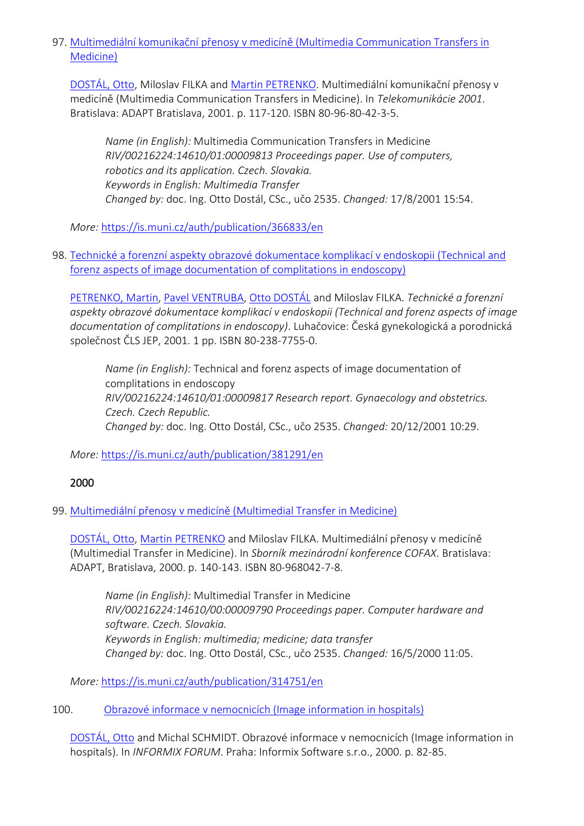### 97. [Multimediální komunikační přenosy v medicíně \(Multimedia Communication Transfers in](https://is.muni.cz/auth/publication/366833/en?lang=en)  [Medicine\)](https://is.muni.cz/auth/publication/366833/en?lang=en)

[DOSTÁL, Otto](https://is.muni.cz/auth/person/2535?lang=en), Miloslav FILKA and [Martin PETRENKO](https://is.muni.cz/auth/person/31215?lang=en). Multimediální komunikační přenosy v medicíně (Multimedia Communication Transfers in Medicine). In *Telekomunikácie 2001*. Bratislava: ADAPT Bratislava, 2001. p. 117-120. ISBN 80-96-80-42-3-5.

*Name (in English):* Multimedia Communication Transfers in Medicine *RIV/00216224:14610/01:00009813 Proceedings paper. Use of computers, robotics and its application. Czech. Slovakia. Keywords in English: Multimedia Transfer Changed by:* doc. Ing. Otto Dostál, CSc., učo 2535. *Changed:* 17/8/2001 15:54.

*More:* [https://is.muni.cz/auth/publication/366833/en](https://is.muni.cz/auth/publication/366833/en/Multimedialni-komunikacni-prenosy-v-medicine/Dostal-Filka-Petrenko?lang=en)

98. [Technické a forenzní aspekty obrazové dokumentace komplikací v endoskopii \(Technical and](https://is.muni.cz/auth/publication/381291/en?lang=en)  [forenz aspects of image documentation of complitations in endoscopy\)](https://is.muni.cz/auth/publication/381291/en?lang=en)

[PETRENKO, Martin,](https://is.muni.cz/auth/person/31215?lang=en) [Pavel VENTRUBA,](https://is.muni.cz/auth/person/1779?lang=en) [Otto DOSTÁL](https://is.muni.cz/auth/person/2535?lang=en) and Miloslav FILKA. *Technické a forenzní aspekty obrazové dokumentace komplikací v endoskopii (Technical and forenz aspects of image documentation of complitations in endoscopy)*. Luhačovice: Česká gynekologická a porodnická společnost ČLS JEP, 2001. 1 pp. ISBN 80-238-7755-0.

*Name (in English):* Technical and forenz aspects of image documentation of complitations in endoscopy *RIV/00216224:14610/01:00009817 Research report. Gynaecology and obstetrics. Czech. Czech Republic. Changed by:* doc. Ing. Otto Dostál, CSc., učo 2535. *Changed:* 20/12/2001 10:29.

*More:* [https://is.muni.cz/auth/publication/381291/en](https://is.muni.cz/auth/publication/381291/en/Technicke-a-forenzni-aspekty-obrazove-dokumentace-komplikaci-v-endoskopii/Petrenko-Ventruba-Dostal-Filka?lang=en)

# 2000

# 99. [Multimediální přenosy v medicíně \(Multimedial Transfer in Medicine\)](https://is.muni.cz/auth/publication/314751/en?lang=en)

[DOSTÁL, Otto](https://is.muni.cz/auth/person/2535?lang=en), [Martin PETRENKO](https://is.muni.cz/auth/person/31215?lang=en) and Miloslav FILKA. Multimediální přenosy v medicíně (Multimedial Transfer in Medicine). In *Sborník mezinárodní konference COFAX*. Bratislava: ADAPT, Bratislava, 2000. p. 140-143. ISBN 80-968042-7-8.

*Name (in English):* Multimedial Transfer in Medicine *RIV/00216224:14610/00:00009790 Proceedings paper. Computer hardware and software. Czech. Slovakia. Keywords in English: multimedia; medicine; data transfer Changed by:* doc. Ing. Otto Dostál, CSc., učo 2535. *Changed:* 16/5/2000 11:05.

*More:* [https://is.muni.cz/auth/publication/314751/en](https://is.muni.cz/auth/publication/314751/en/Multimedialni-prenosy-v-medicine/Dostal-Petrenko-Filka?lang=en)

100. [Obrazové informace v nemocnicích \(Image information in hospitals\)](https://is.muni.cz/auth/publication/366204/en?lang=en)

[DOSTÁL](https://is.muni.cz/auth/person/2535?lang=en), Otto and Michal SCHMIDT. Obrazové informace v nemocnicích (Image information in hospitals). In *INFORMIX FORUM*. Praha: Informix Software s.r.o., 2000. p. 82-85.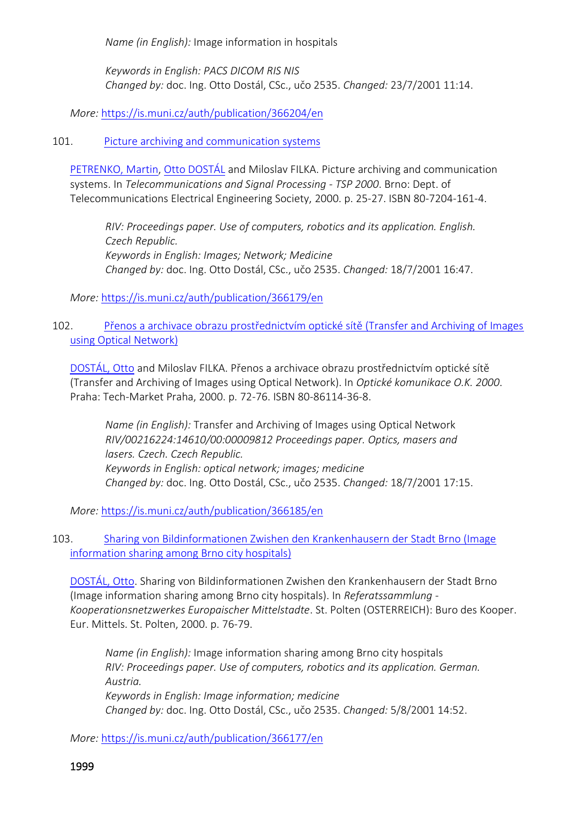*Name (in English):* Image information in hospitals

*Keywords in English: PACS DICOM RIS NIS Changed by:* doc. Ing. Otto Dostál, CSc., učo 2535. *Changed:* 23/7/2001 11:14.

*More:* [https://is.muni.cz/auth/publication/366204/en](https://is.muni.cz/auth/publication/366204/en/Obrazove-informace-v-nemocnicich/Dostal-Schmidt?lang=en)

#### 101. [Picture archiving and communication systems](https://is.muni.cz/auth/publication/366179/en?lang=en)

[PETRENKO, Martin,](https://is.muni.cz/auth/person/31215?lang=en) [Otto DOSTÁL](https://is.muni.cz/auth/person/2535?lang=en) and Miloslav FILKA. Picture archiving and communication systems. In *Telecommunications and Signal Processing - TSP 2000*. Brno: Dept. of Telecommunications Electrical Engineering Society, 2000. p. 25-27. ISBN 80-7204-161-4.

*RIV: Proceedings paper. Use of computers, robotics and its application. English. Czech Republic. Keywords in English: Images; Network; Medicine Changed by:* doc. Ing. Otto Dostál, CSc., učo 2535. *Changed:* 18/7/2001 16:47.

*More:* [https://is.muni.cz/auth/publication/366179/en](https://is.muni.cz/auth/publication/366179/en/Picture-archiving-and-communication-systems/Petrenko-Dostal-Filka?lang=en)

102. [Přenos a archivace obrazu prostřednictvím optické sítě \(Transfer and Archiving of Images](https://is.muni.cz/auth/publication/366185/en?lang=en)  [using Optical Network\)](https://is.muni.cz/auth/publication/366185/en?lang=en)

[DOSTÁL, Otto](https://is.muni.cz/auth/person/2535?lang=en) and Miloslav FILKA. Přenos a archivace obrazu prostřednictvím optické sítě (Transfer and Archiving of Images using Optical Network). In *Optické komunikace O.K. 2000*. Praha: Tech-Market Praha, 2000. p. 72-76. ISBN 80-86114-36-8.

*Name (in English):* Transfer and Archiving of Images using Optical Network *RIV/00216224:14610/00:00009812 Proceedings paper. Optics, masers and lasers. Czech. Czech Republic. Keywords in English: optical network; images; medicine Changed by:* doc. Ing. Otto Dostál, CSc., učo 2535. *Changed:* 18/7/2001 17:15.

*More:* [https://is.muni.cz/auth/publication/366185/en](https://is.muni.cz/auth/publication/366185/en/Prenos-a-archivace-obrazu-prostrednictvim-opticke-site/Dostal-Filka?lang=en)

103. [Sharing von Bildinformationen Zwishen den Krankenhausern der Stadt Brno \(Image](https://is.muni.cz/auth/publication/366177/en?lang=en)  [information sharing among Brno city hospitals\)](https://is.muni.cz/auth/publication/366177/en?lang=en)

[DOSTÁL, Otto](https://is.muni.cz/auth/person/2535?lang=en). Sharing von Bildinformationen Zwishen den Krankenhausern der Stadt Brno (Image information sharing among Brno city hospitals). In *Referatssammlung - Kooperationsnetzwerkes Europaischer Mittelstadte*. St. Polten (OSTERREICH): Buro des Kooper. Eur. Mittels. St. Polten, 2000. p. 76-79.

*Name (in English):* Image information sharing among Brno city hospitals *RIV: Proceedings paper. Use of computers, robotics and its application. German. Austria. Keywords in English: Image information; medicine Changed by:* doc. Ing. Otto Dostál, CSc., učo 2535. *Changed:* 5/8/2001 14:52.

*More:* [https://is.muni.cz/auth/publication/366177/en](https://is.muni.cz/auth/publication/366177/en/Sharing-von-Bildinformationen-Zwishen-den-Krankenhausern-der-Stadt-Brno/Dostal?lang=en)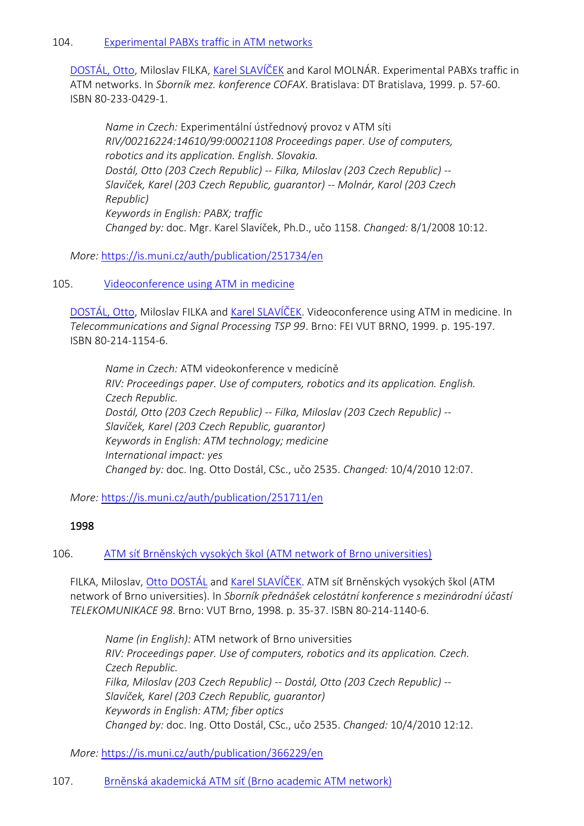### 104. [Experimental PABXs traffic in ATM networks](https://is.muni.cz/auth/publication/251734/en?lang=en)

[DOSTÁL, Otto](https://is.muni.cz/auth/person/2535?lang=en), Miloslav FILKA, [Karel SLAVÍČEK](https://is.muni.cz/auth/person/1158?lang=en) and Karol MOLNÁR. Experimental PABXs traffic in ATM networks. In *Sborník mez. konference COFAX*. Bratislava: DT Bratislava, 1999. p. 57-60. ISBN 80-233-0429-1.

*Name in Czech:* Experimentální ústřednový provoz v ATM síti *RIV/00216224:14610/99:00021108 Proceedings paper. Use of computers, robotics and its application. English. Slovakia. Dostál, Otto (203 Czech Republic) -- Filka, Miloslav (203 Czech Republic) -- Slavíček, Karel (203 Czech Republic, guarantor) -- Molnár, Karol (203 Czech Republic) Keywords in English: PABX; traffic Changed by:* doc. Mgr. Karel Slavíček, Ph.D., učo 1158. *Changed:* 8/1/2008 10:12.

### *More:* [https://is.muni.cz/auth/publication/251734/en](https://is.muni.cz/auth/publication/251734/en/Experimental-PABXs-traffic-in-ATM-networks/Dostal-Filka-Slavicek-Molnar?lang=en)

105. [Videoconference using ATM in medicine](https://is.muni.cz/auth/publication/251711/en?lang=en)

[DOSTÁL, Otto](https://is.muni.cz/auth/person/2535?lang=en), Miloslav FILKA and [Karel SLAVÍČEK](https://is.muni.cz/auth/person/1158?lang=en). Videoconference using ATM in medicine. In *Telecommunications and Signal Processing TSP 99*. Brno: FEI VUT BRNO, 1999. p. 195-197. ISBN 80-214-1154-6.

*Name in Czech:* ATM videokonference v medicíně *RIV: Proceedings paper. Use of computers, robotics and its application. English. Czech Republic. Dostál, Otto (203 Czech Republic) -- Filka, Miloslav (203 Czech Republic) -- Slavíček, Karel (203 Czech Republic, guarantor) Keywords in English: ATM technology; medicine International impact: yes Changed by:* doc. Ing. Otto Dostál, CSc., učo 2535. *Changed:* 10/4/2010 12:07.

*More:* [https://is.muni.cz/auth/publication/251711/en](https://is.muni.cz/auth/publication/251711/en/Videoconference-using-ATM-in-medicine/Dostal-Filka-Slavicek?lang=en)

#### 1998

106. [ATM síť Brněnských vysokých škol \(ATM network of Brno universities\)](https://is.muni.cz/auth/publication/366229/en?lang=en)

FILKA, Miloslav, [Otto DOSTÁL](https://is.muni.cz/auth/person/2535?lang=en) and [Karel SLAVÍČEK.](https://is.muni.cz/auth/person/1158?lang=en) ATM síť Brněnských vysokých škol (ATM network of Brno universities). In *Sborník přednášek celostátní konference s mezinárodní účastí TELEKOMUNIKACE 98*. Brno: VUT Brno, 1998. p. 35-37. ISBN 80-214-1140-6.

*Name (in English):* ATM network of Brno universities *RIV: Proceedings paper. Use of computers, robotics and its application. Czech. Czech Republic. Filka, Miloslav (203 Czech Republic) -- Dostál, Otto (203 Czech Republic) -- Slavíček, Karel (203 Czech Republic, guarantor) Keywords in English: ATM; fiber optics Changed by:* doc. Ing. Otto Dostál, CSc., učo 2535. *Changed:* 10/4/2010 12:12.

*More:* [https://is.muni.cz/auth/publication/366229/en](https://is.muni.cz/auth/publication/366229/en/ATM-sit-Brnenskych-vysokych-skol/Filka-Dostal-Slavicek?lang=en)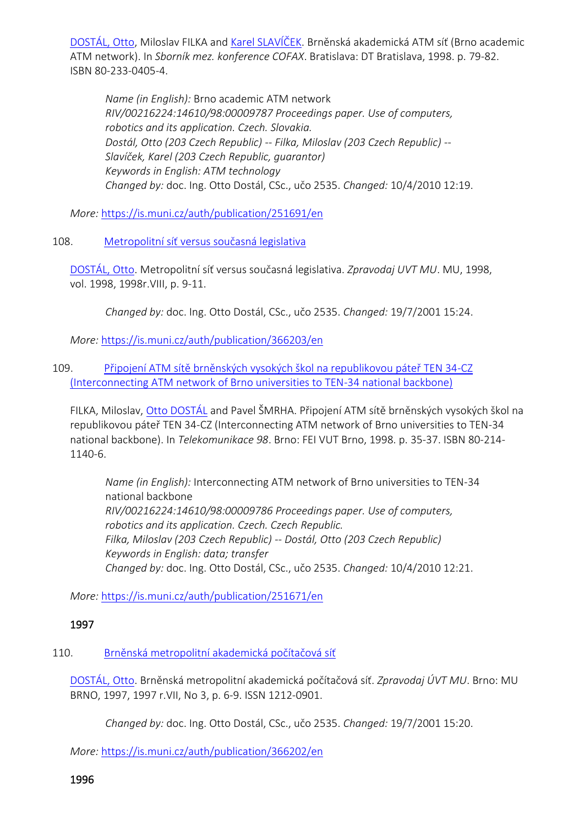[DOSTÁL, Otto](https://is.muni.cz/auth/person/2535?lang=en), Miloslav FILKA and [Karel SLAVÍČEK.](https://is.muni.cz/auth/person/1158?lang=en) Brněnská akademická ATM síť (Brno academic ATM network). In *Sborník mez. konference COFAX*. Bratislava: DT Bratislava, 1998. p. 79-82. ISBN 80-233-0405-4.

*Name (in English):* Brno academic ATM network *RIV/00216224:14610/98:00009787 Proceedings paper. Use of computers, robotics and its application. Czech. Slovakia. Dostál, Otto (203 Czech Republic) -- Filka, Miloslav (203 Czech Republic) -- Slavíček, Karel (203 Czech Republic, guarantor) Keywords in English: ATM technology Changed by:* doc. Ing. Otto Dostál, CSc., učo 2535. *Changed:* 10/4/2010 12:19.

*More:* [https://is.muni.cz/auth/publication/251691/en](https://is.muni.cz/auth/publication/251691/en/Brnenska-akademicka-ATM-sit/Dostal-Filka-Slavicek?lang=en)

108. [Metropolitní síť versus současná legislativa](https://is.muni.cz/auth/publication/366203/en?lang=en)

[DOSTÁL, Otto.](https://is.muni.cz/auth/person/2535?lang=en) Metropolitní síť versus současná legislativa. *Zpravodaj UVT MU*. MU, 1998, vol. 1998, 1998r.VIII, p. 9-11.

*Changed by:* doc. Ing. Otto Dostál, CSc., učo 2535. *Changed:* 19/7/2001 15:24.

*More:* [https://is.muni.cz/auth/publication/366203/en](https://is.muni.cz/auth/publication/366203/en/Metropolitni-sit-versus-soucasna-legislativa/Dostal?lang=en)

109. [Připojení ATM sítě brněnských vysokých škol na republikovou páteř TEN 34](https://is.muni.cz/auth/publication/251671/en?lang=en)-CZ [\(Interconnecting ATM network of Brno universities to TEN-34 national backbone\)](https://is.muni.cz/auth/publication/251671/en?lang=en)

FILKA, Miloslav, [Otto DOSTÁL](https://is.muni.cz/auth/person/2535?lang=en) and Pavel ŠMRHA. Připojení ATM sítě brněnských vysokých škol na republikovou páteř TEN 34-CZ (Interconnecting ATM network of Brno universities to TEN-34 national backbone). In *Telekomunikace 98*. Brno: FEI VUT Brno, 1998. p. 35-37. ISBN 80-214- 1140-6.

*Name (in English):* Interconnecting ATM network of Brno universities to TEN-34 national backbone *RIV/00216224:14610/98:00009786 Proceedings paper. Use of computers, robotics and its application. Czech. Czech Republic. Filka, Miloslav (203 Czech Republic) -- Dostál, Otto (203 Czech Republic) Keywords in English: data; transfer Changed by:* doc. Ing. Otto Dostál, CSc., učo 2535. *Changed:* 10/4/2010 12:21.

*More:* [https://is.muni.cz/auth/publication/251671/en](https://is.muni.cz/auth/publication/251671/en/Pripojeni-ATM-site-brnenskych-vysokych-skol-na-republikovou-pater-TEN-34-CZ/Filka-Dostal-Smrha?lang=en)

#### 1997

# 110. [Brněnská metropolitní akademická počítačová síť](https://is.muni.cz/auth/publication/366202/en?lang=en)

[DOSTÁL, Otto.](https://is.muni.cz/auth/person/2535?lang=en) Brněnská metropolitní akademická počítačová síť. *Zpravodaj ÚVT MU*. Brno: MU BRNO, 1997, 1997 r.VII, No 3, p. 6-9. ISSN 1212-0901.

*Changed by:* doc. Ing. Otto Dostál, CSc., učo 2535. *Changed:* 19/7/2001 15:20.

*More:* [https://is.muni.cz/auth/publication/366202/en](https://is.muni.cz/auth/publication/366202/en/Brnenska-metropolitni-akademicka-pocitacova-sit/Dostal?lang=en)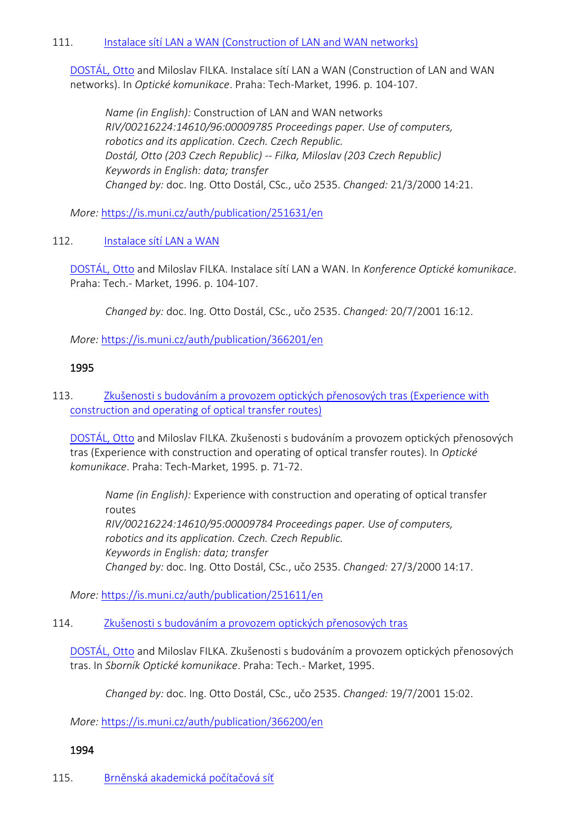#### 111. [Instalace sítí LAN a WAN \(Construction of LAN and WAN networks\)](https://is.muni.cz/auth/publication/251631/en?lang=en)

[DOSTÁL, Otto](https://is.muni.cz/auth/person/2535?lang=en) and Miloslav FILKA. Instalace sítí LAN a WAN (Construction of LAN and WAN networks). In *Optické komunikace*. Praha: Tech-Market, 1996. p. 104-107.

*Name (in English):* Construction of LAN and WAN networks *RIV/00216224:14610/96:00009785 Proceedings paper. Use of computers, robotics and its application. Czech. Czech Republic. Dostál, Otto (203 Czech Republic) -- Filka, Miloslav (203 Czech Republic) Keywords in English: data; transfer Changed by:* doc. Ing. Otto Dostál, CSc., učo 2535. *Changed:* 21/3/2000 14:21.

*More:* [https://is.muni.cz/auth/publication/251631/en](https://is.muni.cz/auth/publication/251631/en/Instalace-siti-LAN-a-WAN/Dostal-Filka?lang=en)

#### 112. **[Instalace sítí LAN a WAN](https://is.muni.cz/auth/publication/366201/en?lang=en)**

[DOSTÁL, Otto](https://is.muni.cz/auth/person/2535?lang=en) and Miloslav FILKA. Instalace sítí LAN a WAN. In *Konference Optické komunikace*. Praha: Tech.- Market, 1996. p. 104-107.

*Changed by:* doc. Ing. Otto Dostál, CSc., učo 2535. *Changed:* 20/7/2001 16:12.

*More:* [https://is.muni.cz/auth/publication/366201/en](https://is.muni.cz/auth/publication/366201/en/Instalace-siti-LAN-a-WAN/Dostal-Filka?lang=en)

#### 1995

### 113. [Zkušenosti s budováním a provozem optických přenosových tras \(Experience with](https://is.muni.cz/auth/publication/251611/en?lang=en)  [construction and operating of optical transfer routes\)](https://is.muni.cz/auth/publication/251611/en?lang=en)

[DOSTÁL, Otto](https://is.muni.cz/auth/person/2535?lang=en) and Miloslav FILKA. Zkušenosti s budováním a provozem optických přenosových tras (Experience with construction and operating of optical transfer routes). In *Optické komunikace*. Praha: Tech-Market, 1995. p. 71-72.

*Name (in English):* Experience with construction and operating of optical transfer routes *RIV/00216224:14610/95:00009784 Proceedings paper. Use of computers, robotics and its application. Czech. Czech Republic. Keywords in English: data; transfer Changed by:* doc. Ing. Otto Dostál, CSc., učo 2535. *Changed:* 27/3/2000 14:17.

*More:* [https://is.muni.cz/auth/publication/251611/en](https://is.muni.cz/auth/publication/251611/en/Zkusenosti-s-budovanim-a-provozem-optickych-prenosovych-tras/Dostal-Filka?lang=en)

#### 114. [Zkušenosti s budováním a provozem optických přenosových tras](https://is.muni.cz/auth/publication/366200/en?lang=en)

[DOSTÁL, Otto](https://is.muni.cz/auth/person/2535?lang=en) and Miloslav FILKA. Zkušenosti s budováním a provozem optických přenosových tras. In *Sborník Optické komunikace*. Praha: Tech.- Market, 1995.

*Changed by:* doc. Ing. Otto Dostál, CSc., učo 2535. *Changed:* 19/7/2001 15:02.

*More:* [https://is.muni.cz/auth/publication/366200/en](https://is.muni.cz/auth/publication/366200/en/Zkusenosti-s-budovanim-a-provozem-optickych-prenosovych-tras/Dostal-Filka?lang=en)

1994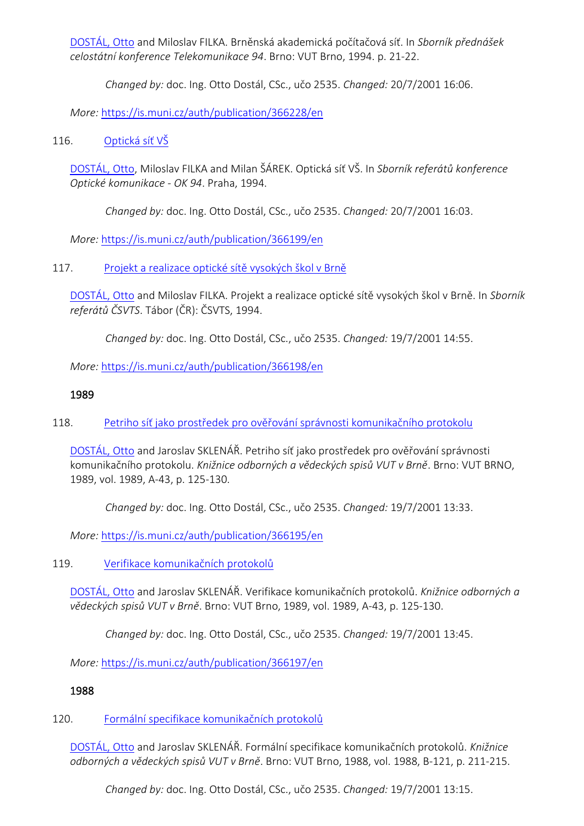[DOSTÁL, Otto](https://is.muni.cz/auth/person/2535?lang=en) and Miloslav FILKA. Brněnská akademická počítačová síť. In *Sborník přednášek celostátní konference Telekomunikace 94*. Brno: VUT Brno, 1994. p. 21-22.

*Changed by:* doc. Ing. Otto Dostál, CSc., učo 2535. *Changed:* 20/7/2001 16:06.

*More:* [https://is.muni.cz/auth/publication/366228/en](https://is.muni.cz/auth/publication/366228/en/Brnenska-akademicka-pocitacova-sit/Dostal-Filka?lang=en)

# 116. [Optická síť VŠ](https://is.muni.cz/auth/publication/366199/en?lang=en)

[DOSTÁL, Otto](https://is.muni.cz/auth/person/2535?lang=en), Miloslav FILKA and Milan ŠÁREK. Optická síť VŠ. In *Sborník referátů konference Optické komunikace - OK 94*. Praha, 1994.

*Changed by:* doc. Ing. Otto Dostál, CSc., učo 2535. *Changed:* 20/7/2001 16:03.

*More:* [https://is.muni.cz/auth/publication/366199/en](https://is.muni.cz/auth/publication/366199/en/Opticka-sit-VS/Dostal-Filka-Sarek?lang=en)

117. Projekt a realizace optick[é sítě vysokých škol v Brně](https://is.muni.cz/auth/publication/366198/en?lang=en)

[DOSTÁL, Otto](https://is.muni.cz/auth/person/2535?lang=en) and Miloslav FILKA. Projekt a realizace optické sítě vysokých škol v Brně. In *Sborník referátů ČSVTS*. Tábor (ČR): ČSVTS, 1994.

*Changed by:* doc. Ing. Otto Dostál, CSc., učo 2535. *Changed:* 19/7/2001 14:55.

*More:* [https://is.muni.cz/auth/publication/366198/en](https://is.muni.cz/auth/publication/366198/en/Projekt-a-realizace-opticke-site-vysokych-skol-v-Brne/Dostal-Filka?lang=en)

### 1989

118. [Petriho síť jako prostředek pro ověřování správnosti komunikačního protokolu](https://is.muni.cz/auth/publication/366195/en?lang=en)

[DOSTÁL, Otto](https://is.muni.cz/auth/person/2535?lang=en) and Jaroslav SKLENÁŘ. Petriho síť jako prostředek pro ověřování správnosti komunikačního protokolu. *Knižnice odborných a vědeckých spisů VUT v Brně*. Brno: VUT BRNO, 1989, vol. 1989, A-43, p. 125-130.

*Changed by:* doc. Ing. Otto Dostál, CSc., učo 2535. *Changed:* 19/7/2001 13:33.

*More:* [https://is.muni.cz/auth/publication/366195/en](https://is.muni.cz/auth/publication/366195/en/Petriho-sit-jako-prostredek-pro-overovani-spravnosti-komunikacniho-protokolu/Dostal-Sklenar?lang=en)

# 119. [Verifikace komunikačních protokolů](https://is.muni.cz/auth/publication/366197/en?lang=en)

[DOSTÁL, Otto](https://is.muni.cz/auth/person/2535?lang=en) and Jaroslav SKLENÁŘ. Verifikace komunikačních protokolů. *Knižnice odborných a vědeckých spisů VUT v Brně*. Brno: VUT Brno, 1989, vol. 1989, A-43, p. 125-130.

*Changed by:* doc. Ing. Otto Dostál, CSc., učo 2535. *Changed:* 19/7/2001 13:45.

*More:* [https://is.muni.cz/auth/publication/366197/en](https://is.muni.cz/auth/publication/366197/en/Verifikace-komunikacnich-protokolu/Dostal-Sklenar?lang=en)

# 1988

# 120. [Formální specifikace komunikačních protokolů](https://is.muni.cz/auth/publication/366193/en?lang=en)

[DOSTÁL, Otto](https://is.muni.cz/auth/person/2535?lang=en) and Jaroslav SKLENÁŘ. Formální specifikace komunikačních protokolů. *Knižnice odborných a vědeckých spisů VUT v Brně*. Brno: VUT Brno, 1988, vol. 1988, B-121, p. 211-215.

*Changed by:* doc. Ing. Otto Dostál, CSc., učo 2535. *Changed:* 19/7/2001 13:15.